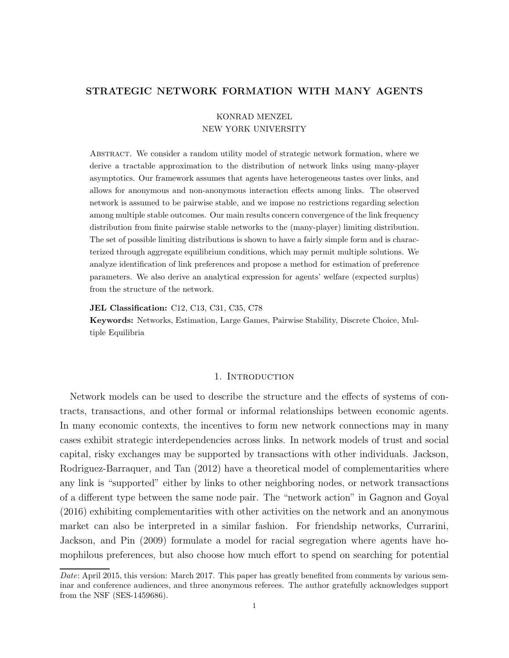## STRATEGIC NETWORK FORMATION WITH MANY AGENTS

## KONRAD MENZEL NEW YORK UNIVERSITY

Abstract. We consider a random utility model of strategic network formation, where we derive a tractable approximation to the distribution of network links using many-player asymptotics. Our framework assumes that agents have heterogeneous tastes over links, and allows for anonymous and non-anonymous interaction effects among links. The observed network is assumed to be pairwise stable, and we impose no restrictions regarding selection among multiple stable outcomes. Our main results concern convergence of the link frequency distribution from finite pairwise stable networks to the (many-player) limiting distribution. The set of possible limiting distributions is shown to have a fairly simple form and is characterized through aggregate equilibrium conditions, which may permit multiple solutions. We analyze identification of link preferences and propose a method for estimation of preference parameters. We also derive an analytical expression for agents' welfare (expected surplus) from the structure of the network.

JEL Classification: C12, C13, C31, C35, C78

Keywords: Networks, Estimation, Large Games, Pairwise Stability, Discrete Choice, Multiple Equilibria

#### 1. INTRODUCTION

Network models can be used to describe the structure and the effects of systems of contracts, transactions, and other formal or informal relationships between economic agents. In many economic contexts, the incentives to form new network connections may in many cases exhibit strategic interdependencies across links. In network models of trust and social capital, risky exchanges may be supported by transactions with other individuals. Jackson, Rodriguez-Barraquer, and Tan (2012) have a theoretical model of complementarities where any link is "supported" either by links to other neighboring nodes, or network transactions of a different type between the same node pair. The "network action" in Gagnon and Goyal (2016) exhibiting complementarities with other activities on the network and an anonymous market can also be interpreted in a similar fashion. For friendship networks, Currarini, Jackson, and Pin (2009) formulate a model for racial segregation where agents have homophilous preferences, but also choose how much effort to spend on searching for potential

Date: April 2015, this version: March 2017. This paper has greatly benefited from comments by various seminar and conference audiences, and three anonymous referees. The author gratefully acknowledges support from the NSF (SES-1459686).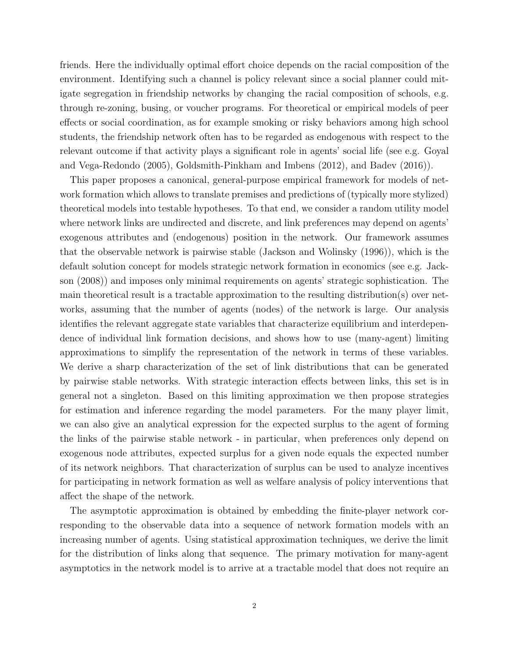friends. Here the individually optimal effort choice depends on the racial composition of the environment. Identifying such a channel is policy relevant since a social planner could mitigate segregation in friendship networks by changing the racial composition of schools, e.g. through re-zoning, busing, or voucher programs. For theoretical or empirical models of peer effects or social coordination, as for example smoking or risky behaviors among high school students, the friendship network often has to be regarded as endogenous with respect to the relevant outcome if that activity plays a significant role in agents' social life (see e.g. Goyal and Vega-Redondo (2005), Goldsmith-Pinkham and Imbens (2012), and Badev (2016)).

This paper proposes a canonical, general-purpose empirical framework for models of network formation which allows to translate premises and predictions of (typically more stylized) theoretical models into testable hypotheses. To that end, we consider a random utility model where network links are undirected and discrete, and link preferences may depend on agents' exogenous attributes and (endogenous) position in the network. Our framework assumes that the observable network is pairwise stable (Jackson and Wolinsky (1996)), which is the default solution concept for models strategic network formation in economics (see e.g. Jackson (2008)) and imposes only minimal requirements on agents' strategic sophistication. The main theoretical result is a tractable approximation to the resulting distribution(s) over networks, assuming that the number of agents (nodes) of the network is large. Our analysis identifies the relevant aggregate state variables that characterize equilibrium and interdependence of individual link formation decisions, and shows how to use (many-agent) limiting approximations to simplify the representation of the network in terms of these variables. We derive a sharp characterization of the set of link distributions that can be generated by pairwise stable networks. With strategic interaction effects between links, this set is in general not a singleton. Based on this limiting approximation we then propose strategies for estimation and inference regarding the model parameters. For the many player limit, we can also give an analytical expression for the expected surplus to the agent of forming the links of the pairwise stable network - in particular, when preferences only depend on exogenous node attributes, expected surplus for a given node equals the expected number of its network neighbors. That characterization of surplus can be used to analyze incentives for participating in network formation as well as welfare analysis of policy interventions that affect the shape of the network.

The asymptotic approximation is obtained by embedding the finite-player network corresponding to the observable data into a sequence of network formation models with an increasing number of agents. Using statistical approximation techniques, we derive the limit for the distribution of links along that sequence. The primary motivation for many-agent asymptotics in the network model is to arrive at a tractable model that does not require an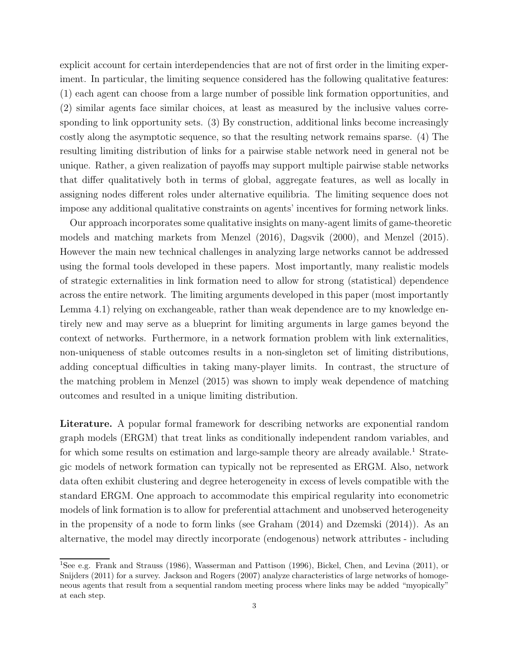explicit account for certain interdependencies that are not of first order in the limiting experiment. In particular, the limiting sequence considered has the following qualitative features: (1) each agent can choose from a large number of possible link formation opportunities, and (2) similar agents face similar choices, at least as measured by the inclusive values corresponding to link opportunity sets. (3) By construction, additional links become increasingly costly along the asymptotic sequence, so that the resulting network remains sparse. (4) The resulting limiting distribution of links for a pairwise stable network need in general not be unique. Rather, a given realization of payoffs may support multiple pairwise stable networks that differ qualitatively both in terms of global, aggregate features, as well as locally in assigning nodes different roles under alternative equilibria. The limiting sequence does not impose any additional qualitative constraints on agents' incentives for forming network links.

Our approach incorporates some qualitative insights on many-agent limits of game-theoretic models and matching markets from Menzel (2016), Dagsvik (2000), and Menzel (2015). However the main new technical challenges in analyzing large networks cannot be addressed using the formal tools developed in these papers. Most importantly, many realistic models of strategic externalities in link formation need to allow for strong (statistical) dependence across the entire network. The limiting arguments developed in this paper (most importantly Lemma 4.1) relying on exchangeable, rather than weak dependence are to my knowledge entirely new and may serve as a blueprint for limiting arguments in large games beyond the context of networks. Furthermore, in a network formation problem with link externalities, non-uniqueness of stable outcomes results in a non-singleton set of limiting distributions, adding conceptual difficulties in taking many-player limits. In contrast, the structure of the matching problem in Menzel (2015) was shown to imply weak dependence of matching outcomes and resulted in a unique limiting distribution.

Literature. A popular formal framework for describing networks are exponential random graph models (ERGM) that treat links as conditionally independent random variables, and for which some results on estimation and large-sample theory are already available.<sup>1</sup> Strategic models of network formation can typically not be represented as ERGM. Also, network data often exhibit clustering and degree heterogeneity in excess of levels compatible with the standard ERGM. One approach to accommodate this empirical regularity into econometric models of link formation is to allow for preferential attachment and unobserved heterogeneity in the propensity of a node to form links (see Graham (2014) and Dzemski (2014)). As an alternative, the model may directly incorporate (endogenous) network attributes - including

<sup>1</sup>See e.g. Frank and Strauss (1986), Wasserman and Pattison (1996), Bickel, Chen, and Levina (2011), or Snijders (2011) for a survey. Jackson and Rogers (2007) analyze characteristics of large networks of homogeneous agents that result from a sequential random meeting process where links may be added "myopically" at each step.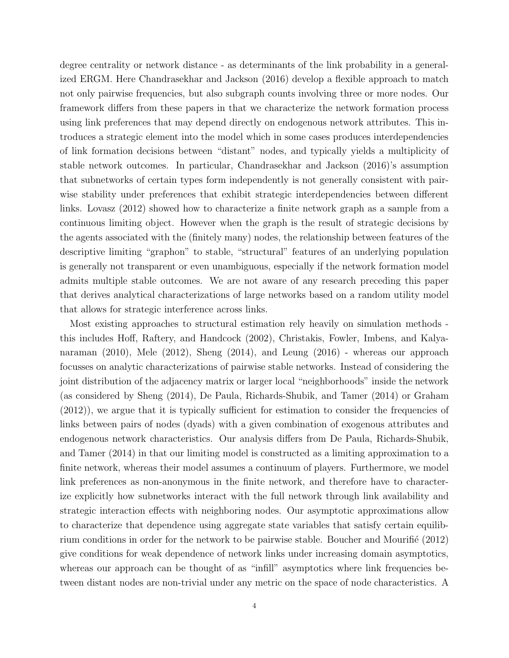degree centrality or network distance - as determinants of the link probability in a generalized ERGM. Here Chandrasekhar and Jackson (2016) develop a flexible approach to match not only pairwise frequencies, but also subgraph counts involving three or more nodes. Our framework differs from these papers in that we characterize the network formation process using link preferences that may depend directly on endogenous network attributes. This introduces a strategic element into the model which in some cases produces interdependencies of link formation decisions between "distant" nodes, and typically yields a multiplicity of stable network outcomes. In particular, Chandrasekhar and Jackson (2016)'s assumption that subnetworks of certain types form independently is not generally consistent with pairwise stability under preferences that exhibit strategic interdependencies between different links. Lovasz (2012) showed how to characterize a finite network graph as a sample from a continuous limiting object. However when the graph is the result of strategic decisions by the agents associated with the (finitely many) nodes, the relationship between features of the descriptive limiting "graphon" to stable, "structural" features of an underlying population is generally not transparent or even unambiguous, especially if the network formation model admits multiple stable outcomes. We are not aware of any research preceding this paper that derives analytical characterizations of large networks based on a random utility model that allows for strategic interference across links.

Most existing approaches to structural estimation rely heavily on simulation methods this includes Hoff, Raftery, and Handcock (2002), Christakis, Fowler, Imbens, and Kalyanaraman (2010), Mele (2012), Sheng (2014), and Leung (2016) - whereas our approach focusses on analytic characterizations of pairwise stable networks. Instead of considering the joint distribution of the adjacency matrix or larger local "neighborhoods" inside the network (as considered by Sheng (2014), De Paula, Richards-Shubik, and Tamer (2014) or Graham (2012)), we argue that it is typically sufficient for estimation to consider the frequencies of links between pairs of nodes (dyads) with a given combination of exogenous attributes and endogenous network characteristics. Our analysis differs from De Paula, Richards-Shubik, and Tamer (2014) in that our limiting model is constructed as a limiting approximation to a finite network, whereas their model assumes a continuum of players. Furthermore, we model link preferences as non-anonymous in the finite network, and therefore have to characterize explicitly how subnetworks interact with the full network through link availability and strategic interaction effects with neighboring nodes. Our asymptotic approximations allow to characterize that dependence using aggregate state variables that satisfy certain equilibrium conditions in order for the network to be pairwise stable. Boucher and Mourifié (2012) give conditions for weak dependence of network links under increasing domain asymptotics, whereas our approach can be thought of as "infill" asymptotics where link frequencies between distant nodes are non-trivial under any metric on the space of node characteristics. A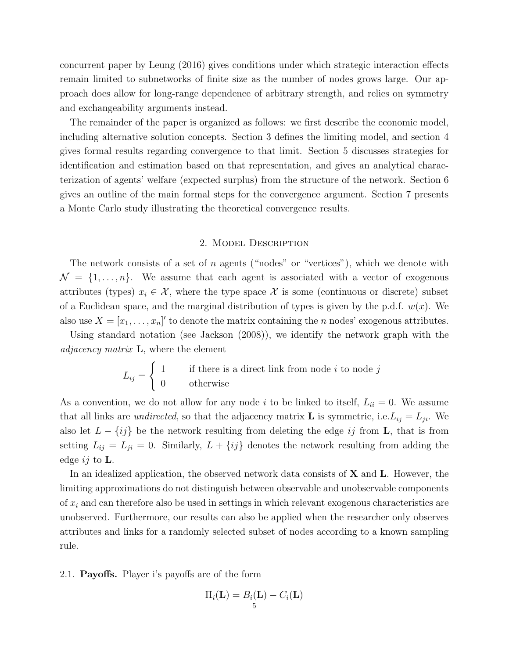concurrent paper by Leung (2016) gives conditions under which strategic interaction effects remain limited to subnetworks of finite size as the number of nodes grows large. Our approach does allow for long-range dependence of arbitrary strength, and relies on symmetry and exchangeability arguments instead.

The remainder of the paper is organized as follows: we first describe the economic model, including alternative solution concepts. Section 3 defines the limiting model, and section 4 gives formal results regarding convergence to that limit. Section 5 discusses strategies for identification and estimation based on that representation, and gives an analytical characterization of agents' welfare (expected surplus) from the structure of the network. Section 6 gives an outline of the main formal steps for the convergence argument. Section 7 presents a Monte Carlo study illustrating the theoretical convergence results.

#### 2. Model Description

The network consists of a set of n agents ("nodes" or "vertices"), which we denote with  $\mathcal{N} = \{1, \ldots, n\}.$  We assume that each agent is associated with a vector of exogenous attributes (types)  $x_i \in \mathcal{X}$ , where the type space  $\mathcal{X}$  is some (continuous or discrete) subset of a Euclidean space, and the marginal distribution of types is given by the p.d.f.  $w(x)$ . We also use  $X = [x_1, \ldots, x_n]'$  to denote the matrix containing the *n* nodes' exogenous attributes.

Using standard notation (see Jackson (2008)), we identify the network graph with the *adjacency matrix*  $\bf{L}$ , where the element

$$
L_{ij} = \begin{cases} 1 & \text{if there is a direct link from node } i \text{ to node } j \\ 0 & \text{otherwise} \end{cases}
$$

As a convention, we do not allow for any node i to be linked to itself,  $L_{ii} = 0$ . We assume that all links are *undirected*, so that the adjacency matrix **L** is symmetric, i.e.  $L_{ij} = L_{ji}$ . We also let  $L - \{ij\}$  be the network resulting from deleting the edge ij from **L**, that is from setting  $L_{ij} = L_{ji} = 0$ . Similarly,  $L + \{ij\}$  denotes the network resulting from adding the edge ij to  $\mathbf{L}$ .

In an idealized application, the observed network data consists of  $X$  and  $L$ . However, the limiting approximations do not distinguish between observable and unobservable components of  $x_i$  and can therefore also be used in settings in which relevant exogenous characteristics are unobserved. Furthermore, our results can also be applied when the researcher only observes attributes and links for a randomly selected subset of nodes according to a known sampling rule.

2.1. Payoffs. Player i's payoffs are of the form

$$
\Pi_i(\mathbf{L}) = B_i(\mathbf{L}) - C_i(\mathbf{L})
$$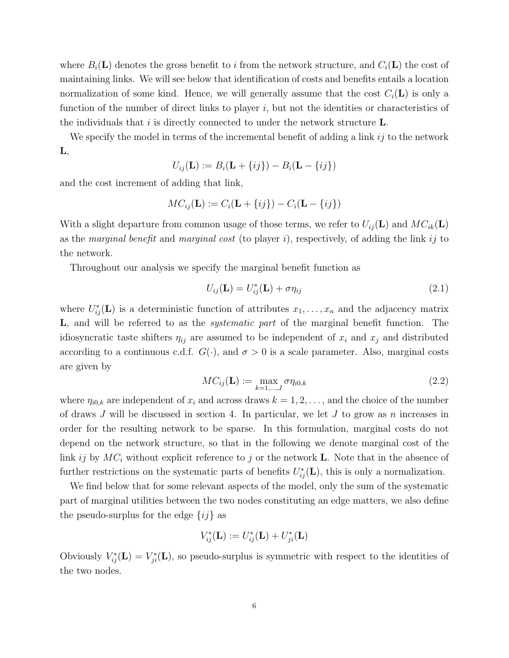where  $B_i(\mathbf{L})$  denotes the gross benefit to i from the network structure, and  $C_i(\mathbf{L})$  the cost of maintaining links. We will see below that identification of costs and benefits entails a location normalization of some kind. Hence, we will generally assume that the cost  $C_i(\mathbf{L})$  is only a function of the number of direct links to player  $i$ , but not the identities or characteristics of the individuals that  $i$  is directly connected to under the network structure  $\mathbf{L}$ .

We specify the model in terms of the incremental benefit of adding a link  $ij$  to the network  $\mathbf{L},$ 

$$
U_{ij}(\mathbf{L}) := B_i(\mathbf{L} + \{ij\}) - B_i(\mathbf{L} - \{ij\})
$$

and the cost increment of adding that link,

$$
MC_{ij}(\mathbf{L}) := C_i(\mathbf{L} + \{ij\}) - C_i(\mathbf{L} - \{ij\})
$$

With a slight departure from common usage of those terms, we refer to  $U_{ij}(\mathbf{L})$  and  $MC_{ik}(\mathbf{L})$ as the *marginal benefit* and *marginal cost* (to player i), respectively, of adding the link ij to the network.

Throughout our analysis we specify the marginal benefit function as

$$
U_{ij}(\mathbf{L}) = U_{ij}^*(\mathbf{L}) + \sigma \eta_{ij}
$$
\n(2.1)

where  $U_{ij}^*(\mathbf{L})$  is a deterministic function of attributes  $x_1, \ldots, x_n$  and the adjacency matrix L, and will be referred to as the *systematic part* of the marginal benefit function. The idiosyncratic taste shifters  $\eta_{ij}$  are assumed to be independent of  $x_i$  and  $x_j$  and distributed according to a continuous c.d.f.  $G(\cdot)$ , and  $\sigma > 0$  is a scale parameter. Also, marginal costs are given by

$$
MC_{ij}(\mathbf{L}) := \max_{k=1,\dots,J} \sigma \eta_{i0,k}
$$
\n(2.2)

where  $\eta_{i0,k}$  are independent of  $x_i$  and across draws  $k = 1, 2, \ldots$ , and the choice of the number of draws  $J$  will be discussed in section 4. In particular, we let  $J$  to grow as  $n$  increases in order for the resulting network to be sparse. In this formulation, marginal costs do not depend on the network structure, so that in the following we denote marginal cost of the link ij by  $MC_i$  without explicit reference to j or the network **L**. Note that in the absence of further restrictions on the systematic parts of benefits  $U_{ij}^*(\mathbf{L})$ , this is only a normalization.

We find below that for some relevant aspects of the model, only the sum of the systematic part of marginal utilities between the two nodes constituting an edge matters, we also define the pseudo-surplus for the edge  $\{ij\}$  as

$$
V_{ij}^*(\mathbf{L}) := U_{ij}^*(\mathbf{L}) + U_{ji}^*(\mathbf{L})
$$

Obviously  $V_{ij}^*(L) = V_{ji}^*(L)$ , so pseudo-surplus is symmetric with respect to the identities of the two nodes.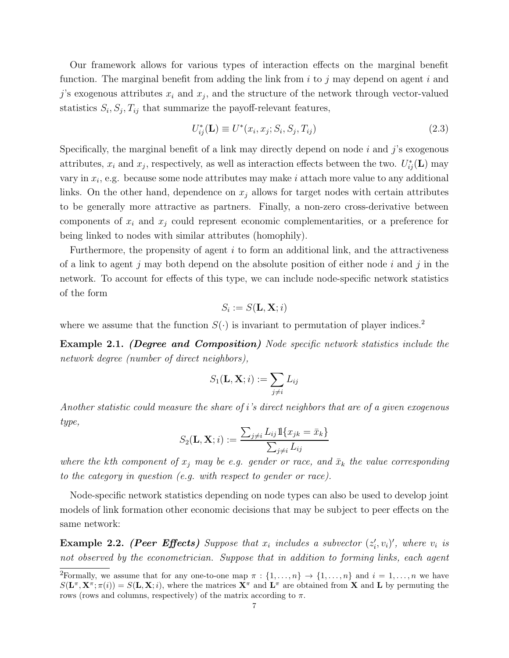Our framework allows for various types of interaction effects on the marginal benefit function. The marginal benefit from adding the link from  $i$  to  $j$  may depend on agent  $i$  and  $j$ 's exogenous attributes  $x_i$  and  $x_j$ , and the structure of the network through vector-valued statistics  $S_i$ ,  $S_j$ ,  $T_{ij}$  that summarize the payoff-relevant features,

$$
U_{ij}^*(\mathbf{L}) \equiv U^*(x_i, x_j; S_i, S_j, T_{ij})
$$
\n
$$
(2.3)
$$

Specifically, the marginal benefit of a link may directly depend on node  $i$  and  $j$ 's exogenous attributes,  $x_i$  and  $x_j$ , respectively, as well as interaction effects between the two.  $U_{ij}^*(\mathbf{L})$  may vary in  $x_i$ , e.g. because some node attributes may make i attach more value to any additional links. On the other hand, dependence on  $x_i$  allows for target nodes with certain attributes to be generally more attractive as partners. Finally, a non-zero cross-derivative between components of  $x_i$  and  $x_j$  could represent economic complementarities, or a preference for being linked to nodes with similar attributes (homophily).

Furthermore, the propensity of agent  $i$  to form an additional link, and the attractiveness of a link to agent j may both depend on the absolute position of either node i and j in the network. To account for effects of this type, we can include node-specific network statistics of the form

$$
S_i := S(\mathbf{L}, \mathbf{X}; i)
$$

where we assume that the function  $S(\cdot)$  is invariant to permutation of player indices.<sup>2</sup>

Example 2.1. (Degree and Composition) Node specific network statistics include the network degree (number of direct neighbors),

$$
S_1(\mathbf{L}, \mathbf{X}; i) := \sum_{j \neq i} L_{ij}
$$

Another statistic could measure the share of i's direct neighbors that are of a given exogenous type,

$$
S_2(\mathbf{L}, \mathbf{X}; i) := \frac{\sum_{j \neq i} L_{ij} \mathbb{1}\{x_{jk} = \bar{x}_k\}}{\sum_{j \neq i} L_{ij}}
$$

where the kth component of  $x_j$  may be e.g. gender or race, and  $\bar{x}_k$  the value corresponding to the category in question (e.g. with respect to gender or race).

Node-specific network statistics depending on node types can also be used to develop joint models of link formation other economic decisions that may be subject to peer effects on the same network:

**Example 2.2.** (Peer Effects) Suppose that  $x_i$  includes a subvector  $(z'_i, v_i)'$ , where  $v_i$  is not observed by the econometrician. Suppose that in addition to forming links, each agent

<sup>&</sup>lt;sup>2</sup>Formally, we assume that for any one-to-one map  $\pi : \{1, \ldots, n\} \to \{1, \ldots, n\}$  and  $i = 1, \ldots, n$  we have  $S(\mathbf{L}^{\pi}, \mathbf{X}^{\pi}; \pi(i)) = S(\mathbf{L}, \mathbf{X}; i)$ , where the matrices  $\mathbf{X}^{\pi}$  and  $\mathbf{L}^{\pi}$  are obtained from **X** and **L** by permuting the rows (rows and columns, respectively) of the matrix according to  $\pi$ .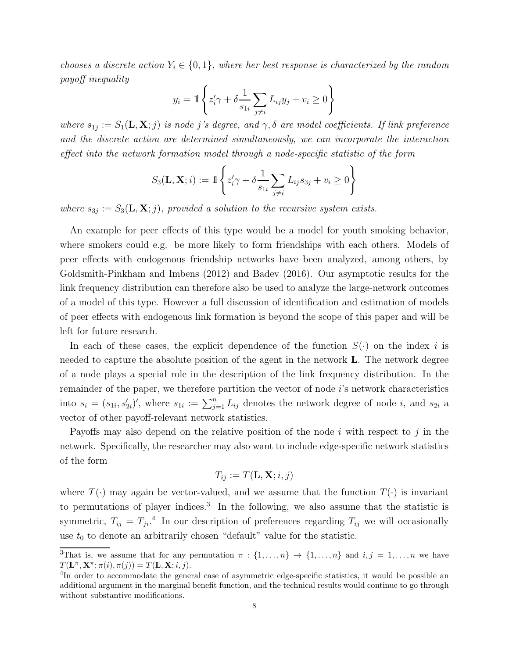chooses a discrete action  $Y_i \in \{0, 1\}$ , where her best response is characterized by the random payoff inequality

$$
y_i = \mathbb{1}\left\{ z_i' \gamma + \delta \frac{1}{s_{1i}} \sum_{j \neq i} L_{ij} y_j + v_i \ge 0 \right\}
$$

where  $s_{1j} := S_1(\mathbf{L}, \mathbf{X}; j)$  is node j's degree, and  $\gamma, \delta$  are model coefficients. If link preference and the discrete action are determined simultaneously, we can incorporate the interaction effect into the network formation model through a node-specific statistic of the form

$$
S_3(\mathbf{L}, \mathbf{X}; i) := \mathbb{1} \left\{ z'_i \gamma + \delta \frac{1}{s_{1i}} \sum_{j \neq i} L_{ij} s_{3j} + v_i \ge 0 \right\}
$$

where  $s_{3j} := S_3(\mathbf{L}, \mathbf{X}; j)$ , provided a solution to the recursive system exists.

An example for peer effects of this type would be a model for youth smoking behavior, where smokers could e.g. be more likely to form friendships with each others. Models of peer effects with endogenous friendship networks have been analyzed, among others, by Goldsmith-Pinkham and Imbens (2012) and Badev (2016). Our asymptotic results for the link frequency distribution can therefore also be used to analyze the large-network outcomes of a model of this type. However a full discussion of identification and estimation of models of peer effects with endogenous link formation is beyond the scope of this paper and will be left for future research.

In each of these cases, the explicit dependence of the function  $S(\cdot)$  on the index i is needed to capture the absolute position of the agent in the network L. The network degree of a node plays a special role in the description of the link frequency distribution. In the remainder of the paper, we therefore partition the vector of node i's network characteristics into  $s_i = (s_{1i}, s'_{2i})'$ , where  $s_{1i} := \sum_{j=1}^n L_{ij}$  denotes the network degree of node i, and  $s_{2i}$  a vector of other payoff-relevant network statistics.

Payoffs may also depend on the relative position of the node  $i$  with respect to  $j$  in the network. Specifically, the researcher may also want to include edge-specific network statistics of the form

$$
T_{ij} := T(\mathbf{L}, \mathbf{X}; i, j)
$$

where  $T(\cdot)$  may again be vector-valued, and we assume that the function  $T(\cdot)$  is invariant to permutations of player indices.<sup>3</sup> In the following, we also assume that the statistic is symmetric,  $T_{ij} = T_{ji}$ <sup>4</sup>. In our description of preferences regarding  $T_{ij}$  we will occasionally use  $t_0$  to denote an arbitrarily chosen "default" value for the statistic.

<sup>&</sup>lt;sup>3</sup>That is, we assume that for any permutation  $\pi : \{1, \ldots, n\} \to \{1, \ldots, n\}$  and  $i, j = 1, \ldots, n$  we have  $T(\mathbf{L}^{\pi}, \mathbf{X}^{\pi}; \pi(i), \pi(j)) = T(\mathbf{L}, \mathbf{X}; i, j).$ 

<sup>&</sup>lt;sup>4</sup>In order to accommodate the general case of asymmetric edge-specific statistics, it would be possible an additional argument in the marginal benefit function, and the technical results would continue to go through without substantive modifications.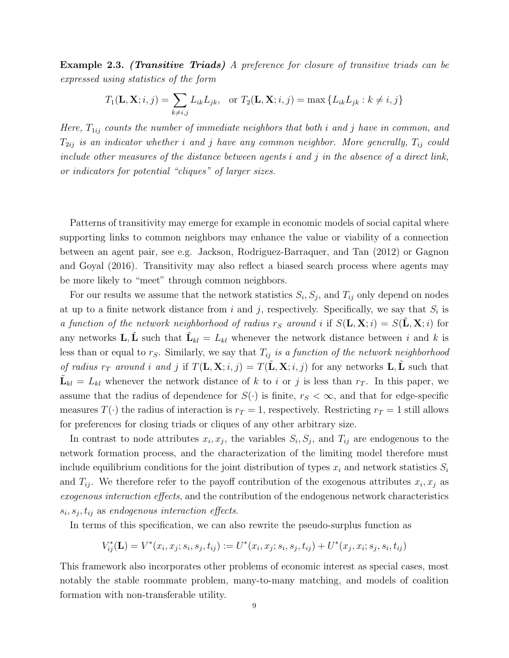Example 2.3. (Transitive Triads) A preference for closure of transitive triads can be expressed using statistics of the form

$$
T_1(\mathbf{L}, \mathbf{X}; i, j) = \sum_{k \neq i, j} L_{ik} L_{jk}, \quad \text{or } T_2(\mathbf{L}, \mathbf{X}; i, j) = \max \{ L_{ik} L_{jk} : k \neq i, j \}
$$

Here,  $T_{1ij}$  counts the number of immediate neighbors that both i and j have in common, and  $T_{2ij}$  is an indicator whether i and j have any common neighbor. More generally,  $T_{ij}$  could include other measures of the distance between agents  $i$  and  $j$  in the absence of a direct link, or indicators for potential "cliques" of larger sizes.

Patterns of transitivity may emerge for example in economic models of social capital where supporting links to common neighbors may enhance the value or viability of a connection between an agent pair, see e.g. Jackson, Rodriguez-Barraquer, and Tan (2012) or Gagnon and Goyal (2016). Transitivity may also reflect a biased search process where agents may be more likely to "meet" through common neighbors.

For our results we assume that the network statistics  $S_i$ ,  $S_j$ , and  $T_{ij}$  only depend on nodes at up to a finite network distance from i and j, respectively. Specifically, we say that  $S_i$  is a function of the network neighborhood of radius  $r_S$  around i if  $S(\mathbf{L}, \mathbf{X}; i) = S(\tilde{\mathbf{L}}, \mathbf{X}; i)$  for any networks  $\mathbf{L}, \tilde{\mathbf{L}}$  such that  $\tilde{\mathbf{L}}_{kl} = L_{kl}$  whenever the network distance between i and k is less than or equal to  $r<sub>S</sub>$ . Similarly, we say that  $T<sub>ij</sub>$  is a function of the network neighborhood of radius  $r_T$  around i and j if  $T(L, X; i, j) = T(L, X; i, j)$  for any networks L, L such that  $\tilde{\mathbf{L}}_{kl} = L_{kl}$  whenever the network distance of k to i or j is less than  $r_T$ . In this paper, we assume that the radius of dependence for  $S(\cdot)$  is finite,  $r_S < \infty$ , and that for edge-specific measures  $T(\cdot)$  the radius of interaction is  $r_T = 1$ , respectively. Restricting  $r_T = 1$  still allows for preferences for closing triads or cliques of any other arbitrary size.

In contrast to node attributes  $x_i, x_j$ , the variables  $S_i, S_j$ , and  $T_{ij}$  are endogenous to the network formation process, and the characterization of the limiting model therefore must include equilibrium conditions for the joint distribution of types  $x_i$  and network statistics  $S_i$ and  $T_{ij}$ . We therefore refer to the payoff contribution of the exogenous attributes  $x_i, x_j$  as exogenous interaction effects, and the contribution of the endogenous network characteristics  $s_i, s_j, t_{ij}$  as endogenous interaction effects.

In terms of this specification, we can also rewrite the pseudo-surplus function as

$$
V_{ij}^*(\mathbf{L})=V^*(x_i,x_j;s_i,s_j,t_{ij}):=U^*(x_i,x_j;s_i,s_j,t_{ij})+U^*(x_j,x_i;s_j,s_i,t_{ij})
$$

This framework also incorporates other problems of economic interest as special cases, most notably the stable roommate problem, many-to-many matching, and models of coalition formation with non-transferable utility.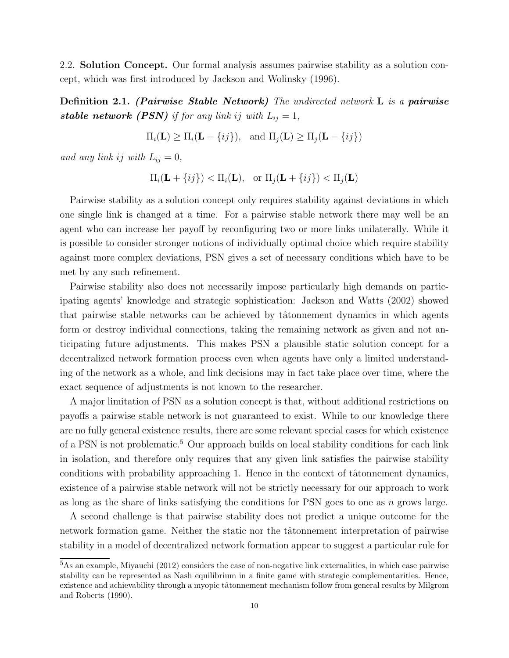2.2. Solution Concept. Our formal analysis assumes pairwise stability as a solution concept, which was first introduced by Jackson and Wolinsky (1996).

**Definition 2.1.** (Pairwise Stable Network) The undirected network  $\bf{L}$  is a pairwise stable network (PSN) if for any link ij with  $L_{ij} = 1$ ,

 $\Pi_i(\mathbf{L}) \ge \Pi_i(\mathbf{L} - \{ij\}), \text{ and } \Pi_j(\mathbf{L}) \ge \Pi_j(\mathbf{L} - \{ij\})$ 

and any link ij with  $L_{ij} = 0$ ,

$$
\Pi_i(\mathbf{L} + \{ij\}) < \Pi_i(\mathbf{L}), \quad \text{or } \Pi_j(\mathbf{L} + \{ij\}) < \Pi_j(\mathbf{L})
$$

Pairwise stability as a solution concept only requires stability against deviations in which one single link is changed at a time. For a pairwise stable network there may well be an agent who can increase her payoff by reconfiguring two or more links unilaterally. While it is possible to consider stronger notions of individually optimal choice which require stability against more complex deviations, PSN gives a set of necessary conditions which have to be met by any such refinement.

Pairwise stability also does not necessarily impose particularly high demands on participating agents' knowledge and strategic sophistication: Jackson and Watts (2002) showed that pairwise stable networks can be achieved by tâtonnement dynamics in which agents form or destroy individual connections, taking the remaining network as given and not anticipating future adjustments. This makes PSN a plausible static solution concept for a decentralized network formation process even when agents have only a limited understanding of the network as a whole, and link decisions may in fact take place over time, where the exact sequence of adjustments is not known to the researcher.

A major limitation of PSN as a solution concept is that, without additional restrictions on payoffs a pairwise stable network is not guaranteed to exist. While to our knowledge there are no fully general existence results, there are some relevant special cases for which existence of a PSN is not problematic.<sup>5</sup> Our approach builds on local stability conditions for each link in isolation, and therefore only requires that any given link satisfies the pairwise stability conditions with probability approaching 1. Hence in the context of tâtonnement dynamics, existence of a pairwise stable network will not be strictly necessary for our approach to work as long as the share of links satisfying the conditions for PSN goes to one as  $n$  grows large.

A second challenge is that pairwise stability does not predict a unique outcome for the network formation game. Neither the static nor the tâtonnement interpretation of pairwise stability in a model of decentralized network formation appear to suggest a particular rule for

<sup>5</sup>As an example, Miyauchi (2012) considers the case of non-negative link externalities, in which case pairwise stability can be represented as Nash equilibrium in a finite game with strategic complementarities. Hence, existence and achievability through a myopic tâtonnement mechanism follow from general results by Milgrom and Roberts (1990).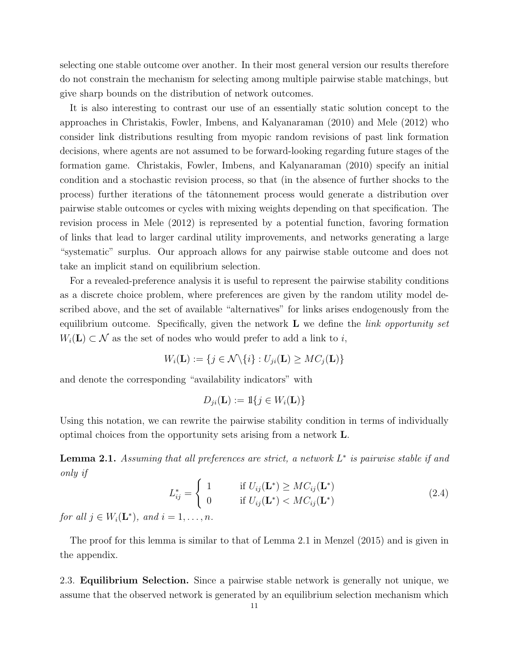selecting one stable outcome over another. In their most general version our results therefore do not constrain the mechanism for selecting among multiple pairwise stable matchings, but give sharp bounds on the distribution of network outcomes.

It is also interesting to contrast our use of an essentially static solution concept to the approaches in Christakis, Fowler, Imbens, and Kalyanaraman (2010) and Mele (2012) who consider link distributions resulting from myopic random revisions of past link formation decisions, where agents are not assumed to be forward-looking regarding future stages of the formation game. Christakis, Fowler, Imbens, and Kalyanaraman (2010) specify an initial condition and a stochastic revision process, so that (in the absence of further shocks to the process) further iterations of the tâtonnement process would generate a distribution over pairwise stable outcomes or cycles with mixing weights depending on that specification. The revision process in Mele (2012) is represented by a potential function, favoring formation of links that lead to larger cardinal utility improvements, and networks generating a large "systematic" surplus. Our approach allows for any pairwise stable outcome and does not take an implicit stand on equilibrium selection.

For a revealed-preference analysis it is useful to represent the pairwise stability conditions as a discrete choice problem, where preferences are given by the random utility model described above, and the set of available "alternatives" for links arises endogenously from the equilibrium outcome. Specifically, given the network  $L$  we define the *link opportunity set*  $W_i(\mathbf{L}) \subset \mathcal{N}$  as the set of nodes who would prefer to add a link to i,

$$
W_i(\mathbf{L}) := \{ j \in \mathcal{N} \setminus \{i\} : U_{ji}(\mathbf{L}) \geq MC_j(\mathbf{L}) \}
$$

and denote the corresponding "availability indicators" with

$$
D_{ji}(\mathbf{L}) := \mathbb{1}\{j \in W_i(\mathbf{L})\}
$$

Using this notation, we can rewrite the pairwise stability condition in terms of individually optimal choices from the opportunity sets arising from a network L.

**Lemma 2.1.** Assuming that all preferences are strict, a network  $L^*$  is pairwise stable if and only if

$$
L_{ij}^* = \begin{cases} 1 & \text{if } U_{ij}(\mathbf{L}^*) \geq MC_{ij}(\mathbf{L}^*)\\ 0 & \text{if } U_{ij}(\mathbf{L}^*) < MC_{ij}(\mathbf{L}^*) \end{cases} \tag{2.4}
$$

for all  $j \in W_i(\mathbf{L}^*)$ , and  $i = 1, \ldots, n$ .

The proof for this lemma is similar to that of Lemma 2.1 in Menzel (2015) and is given in the appendix.

2.3. Equilibrium Selection. Since a pairwise stable network is generally not unique, we assume that the observed network is generated by an equilibrium selection mechanism which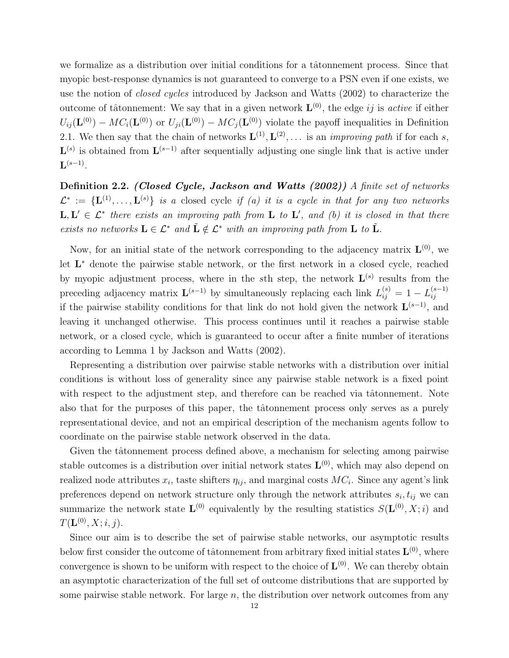we formalize as a distribution over initial conditions for a tâtonnement process. Since that myopic best-response dynamics is not guaranteed to converge to a PSN even if one exists, we use the notion of closed cycles introduced by Jackson and Watts (2002) to characterize the outcome of tâtonnement: We say that in a given network  $\mathbf{L}^{(0)}$ , the edge *ij* is *active* if either  $U_{ij}(\mathbf{L}^{(0)}) - MC_i(\mathbf{L}^{(0)})$  or  $U_{ji}(\mathbf{L}^{(0)}) - MC_j(\mathbf{L}^{(0)})$  violate the payoff inequalities in Definition 2.1. We then say that the chain of networks  $\mathbf{L}^{(1)}, \mathbf{L}^{(2)}, \ldots$  is an *improving path* if for each s,  $\mathbf{L}^{(s)}$  is obtained from  $\mathbf{L}^{(s-1)}$  after sequentially adjusting one single link that is active under  $\mathbf{L}^{(s-1)}$ .

Definition 2.2. (Closed Cycle, Jackson and Watts (2002)) A finite set of networks  $\mathcal{L}^* := \{\mathbf{L}^{(1)}, \ldots, \mathbf{L}^{(s)}\}$  is a closed cycle if (a) it is a cycle in that for any two networks  $\mathbf{L}, \mathbf{L}' \in \mathcal{L}^*$  there exists an improving path from  $\mathbf{L}$  to  $\mathbf{L}'$ , and (b) it is closed in that there exists no networks  $\mathbf{L} \in \mathcal{L}^*$  and  $\tilde{\mathbf{L}} \notin \mathcal{L}^*$  with an improving path from  $\mathbf{L}$  to  $\tilde{\mathbf{L}}$ .

Now, for an initial state of the network corresponding to the adjacency matrix  $\mathbf{L}^{(0)}$ , we let L <sup>∗</sup> denote the pairwise stable network, or the first network in a closed cycle, reached by myopic adjustment process, where in the sth step, the network  $\mathbf{L}^{(s)}$  results from the preceding adjacency matrix  $\mathbf{L}^{(s-1)}$  by simultaneously replacing each link  $L_{ij}^{(s)} = 1 - L_{ij}^{(s-1)}$ if the pairwise stability conditions for that link do not hold given the network  $\mathbf{L}^{(s-1)}$ , and leaving it unchanged otherwise. This process continues until it reaches a pairwise stable network, or a closed cycle, which is guaranteed to occur after a finite number of iterations according to Lemma 1 by Jackson and Watts (2002).

Representing a distribution over pairwise stable networks with a distribution over initial conditions is without loss of generality since any pairwise stable network is a fixed point with respect to the adjustment step, and therefore can be reached via tâtonnement. Note also that for the purposes of this paper, the tâtonnement process only serves as a purely representational device, and not an empirical description of the mechanism agents follow to coordinate on the pairwise stable network observed in the data.

Given the tâtonnement process defined above, a mechanism for selecting among pairwise stable outcomes is a distribution over initial network states  $\mathbf{L}^{(0)}$ , which may also depend on realized node attributes  $x_i$ , taste shifters  $\eta_{ij}$ , and marginal costs  $MC_i$ . Since any agent's link preferences depend on network structure only through the network attributes  $s_i, t_{ij}$  we can summarize the network state  $\mathbf{L}^{(0)}$  equivalently by the resulting statistics  $S(\mathbf{L}^{(0)}, X; i)$  and  $T({\bf L}^{(0)},X;i,j).$ 

Since our aim is to describe the set of pairwise stable networks, our asymptotic results below first consider the outcome of tâtonnement from arbitrary fixed initial states  $\mathbf{L}^{(0)}$ , where convergence is shown to be uniform with respect to the choice of  $\mathbf{L}^{(0)}$ . We can thereby obtain an asymptotic characterization of the full set of outcome distributions that are supported by some pairwise stable network. For large  $n$ , the distribution over network outcomes from any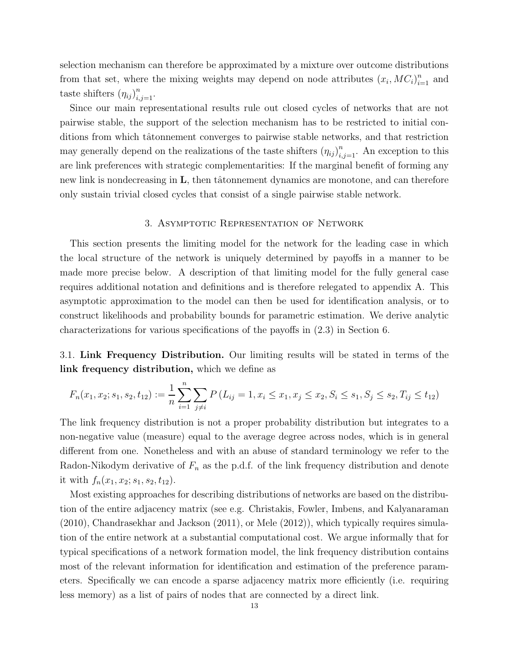selection mechanism can therefore be approximated by a mixture over outcome distributions from that set, where the mixing weights may depend on node attributes  $(x_i, MC_i)_{i=1}^n$  and taste shifters  $(\eta_{ij})_{i,j=1}^n$ .

Since our main representational results rule out closed cycles of networks that are not pairwise stable, the support of the selection mechanism has to be restricted to initial conditions from which tâtonnement converges to pairwise stable networks, and that restriction may generally depend on the realizations of the taste shifters  $(\eta_{ij})_{i,j=1}^n$ . An exception to this are link preferences with strategic complementarities: If the marginal benefit of forming any new link is nondecreasing in  $\bf{L}$ , then tâtonnement dynamics are monotone, and can therefore only sustain trivial closed cycles that consist of a single pairwise stable network.

#### 3. Asymptotic Representation of Network

This section presents the limiting model for the network for the leading case in which the local structure of the network is uniquely determined by payoffs in a manner to be made more precise below. A description of that limiting model for the fully general case requires additional notation and definitions and is therefore relegated to appendix A. This asymptotic approximation to the model can then be used for identification analysis, or to construct likelihoods and probability bounds for parametric estimation. We derive analytic characterizations for various specifications of the payoffs in (2.3) in Section 6.

3.1. Link Frequency Distribution. Our limiting results will be stated in terms of the link frequency distribution, which we define as

$$
F_n(x_1, x_2; s_1, s_2, t_{12}) := \frac{1}{n} \sum_{i=1}^n \sum_{j \neq i} P(L_{ij} = 1, x_i \leq x_1, x_j \leq x_2, S_i \leq s_1, S_j \leq s_2, T_{ij} \leq t_{12})
$$

The link frequency distribution is not a proper probability distribution but integrates to a non-negative value (measure) equal to the average degree across nodes, which is in general different from one. Nonetheless and with an abuse of standard terminology we refer to the Radon-Nikodym derivative of  $F_n$  as the p.d.f. of the link frequency distribution and denote it with  $f_n(x_1, x_2; s_1, s_2, t_{12})$ .

Most existing approaches for describing distributions of networks are based on the distribution of the entire adjacency matrix (see e.g. Christakis, Fowler, Imbens, and Kalyanaraman (2010), Chandrasekhar and Jackson (2011), or Mele (2012)), which typically requires simulation of the entire network at a substantial computational cost. We argue informally that for typical specifications of a network formation model, the link frequency distribution contains most of the relevant information for identification and estimation of the preference parameters. Specifically we can encode a sparse adjacency matrix more efficiently (i.e. requiring less memory) as a list of pairs of nodes that are connected by a direct link.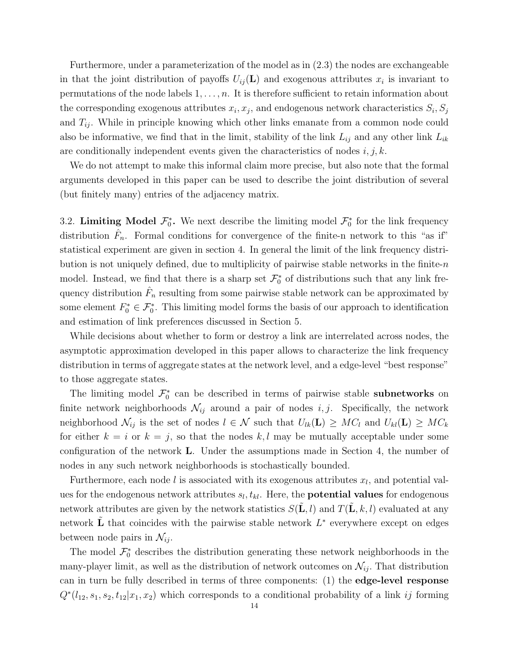Furthermore, under a parameterization of the model as in (2.3) the nodes are exchangeable in that the joint distribution of payoffs  $U_{ij}(\mathbf{L})$  and exogenous attributes  $x_i$  is invariant to permutations of the node labels  $1, \ldots, n$ . It is therefore sufficient to retain information about the corresponding exogenous attributes  $x_i, x_j$ , and endogenous network characteristics  $S_i, S_j$ and  $T_{ij}$ . While in principle knowing which other links emanate from a common node could also be informative, we find that in the limit, stability of the link  $L_{ij}$  and any other link  $L_{ik}$ are conditionally independent events given the characteristics of nodes  $i, j, k$ .

We do not attempt to make this informal claim more precise, but also note that the formal arguments developed in this paper can be used to describe the joint distribution of several (but finitely many) entries of the adjacency matrix.

3.2. Limiting Model  $\mathcal{F}_0^*$ . We next describe the limiting model  $\mathcal{F}_0^*$  for the link frequency distribution  $\hat{F}_n$ . Formal conditions for convergence of the finite-n network to this "as if" statistical experiment are given in section 4. In general the limit of the link frequency distribution is not uniquely defined, due to multiplicity of pairwise stable networks in the finite- $n$ model. Instead, we find that there is a sharp set  $\mathcal{F}_0^*$  of distributions such that any link frequency distribution  $\hat{F}_n$  resulting from some pairwise stable network can be approximated by some element  $F_0^* \in \mathcal{F}_0^*$ . This limiting model forms the basis of our approach to identification and estimation of link preferences discussed in Section 5.

While decisions about whether to form or destroy a link are interrelated across nodes, the asymptotic approximation developed in this paper allows to characterize the link frequency distribution in terms of aggregate states at the network level, and a edge-level "best response" to those aggregate states.

The limiting model  $\mathcal{F}_0^*$  can be described in terms of pairwise stable **subnetworks** on finite network neighborhoods  $\mathcal{N}_{ij}$  around a pair of nodes i, j. Specifically, the network neighborhood  $\mathcal{N}_{ij}$  is the set of nodes  $l \in \mathcal{N}$  such that  $U_{lk}(\mathbf{L}) \geq MC_l$  and  $U_{kl}(\mathbf{L}) \geq MC_k$ for either  $k = i$  or  $k = j$ , so that the nodes k, l may be mutually acceptable under some configuration of the network L. Under the assumptions made in Section 4, the number of nodes in any such network neighborhoods is stochastically bounded.

Furthermore, each node  $l$  is associated with its exogenous attributes  $x_l$ , and potential values for the endogenous network attributes  $s_l, t_{kl}$ . Here, the **potential values** for endogenous network attributes are given by the network statistics  $S(\mathbf{L}, l)$  and  $T(\mathbf{L}, k, l)$  evaluated at any network  $\tilde{\mathbf{L}}$  that coincides with the pairwise stable network  $L^*$  everywhere except on edges between node pairs in  $\mathcal{N}_{ij}$ .

The model  $\mathcal{F}_0^*$  describes the distribution generating these network neighborhoods in the many-player limit, as well as the distribution of network outcomes on  $\mathcal{N}_{ij}$ . That distribution can in turn be fully described in terms of three components: (1) the edge-level response  $Q^*(l_{12}, s_1, s_2, t_{12} | x_1, x_2)$  which corresponds to a conditional probability of a link ij forming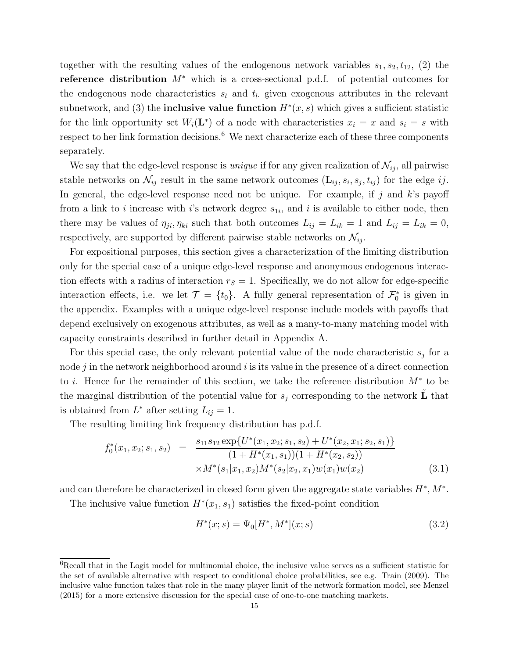together with the resulting values of the endogenous network variables  $s_1, s_2, t_{12}$ , (2) the reference distribution  $M^*$  which is a cross-sectional p.d.f. of potential outcomes for the endogenous node characteristics  $s_l$  and  $t_l$  given exogenous attributes in the relevant subnetwork, and (3) the **inclusive value function**  $H^*(x, s)$  which gives a sufficient statistic for the link opportunity set  $W_i(\mathbf{L}^*)$  of a node with characteristics  $x_i = x$  and  $s_i = s$  with respect to her link formation decisions.<sup>6</sup> We next characterize each of these three components separately.

We say that the edge-level response is *unique* if for any given realization of  $\mathcal{N}_{ij}$ , all pairwise stable networks on  $\mathcal{N}_{ij}$  result in the same network outcomes  $(\mathbf{L}_{ij}, s_i, s_j, t_{ij})$  for the edge  $ij$ . In general, the edge-level response need not be unique. For example, if j and  $k$ 's payoff from a link to *i* increase with *i*'s network degree  $s_{1i}$ , and *i* is available to either node, then there may be values of  $\eta_{ji}, \eta_{ki}$  such that both outcomes  $L_{ij} = L_{ik} = 1$  and  $L_{ij} = L_{ik} = 0$ , respectively, are supported by different pairwise stable networks on  $\mathcal{N}_{ij}$ .

For expositional purposes, this section gives a characterization of the limiting distribution only for the special case of a unique edge-level response and anonymous endogenous interaction effects with a radius of interaction  $r<sub>S</sub> = 1$ . Specifically, we do not allow for edge-specific interaction effects, i.e. we let  $\mathcal{T} = \{t_0\}$ . A fully general representation of  $\mathcal{F}_0^*$  is given in the appendix. Examples with a unique edge-level response include models with payoffs that depend exclusively on exogenous attributes, as well as a many-to-many matching model with capacity constraints described in further detail in Appendix A.

For this special case, the only relevant potential value of the node characteristic  $s_j$  for a node  $j$  in the network neighborhood around  $i$  is its value in the presence of a direct connection to i. Hence for the remainder of this section, we take the reference distribution M<sup>∗</sup> to be the marginal distribution of the potential value for  $s_j$  corresponding to the network  $\tilde{\bf{L}}$  that is obtained from  $L^*$  after setting  $L_{ij} = 1$ .

The resulting limiting link frequency distribution has p.d.f.

$$
f_0^*(x_1, x_2; s_1, s_2) = \frac{s_{11}s_{12} \exp\{U^*(x_1, x_2; s_1, s_2) + U^*(x_2, x_1; s_2, s_1)\}}{(1 + H^*(x_1, s_1))(1 + H^*(x_2, s_2))}
$$
  
×
$$
M^*(s_1|x_1, x_2)M^*(s_2|x_2, x_1)w(x_1)w(x_2)
$$
(3.1)

and can therefore be characterized in closed form given the aggregate state variables  $H^*, M^*$ .

The inclusive value function  $H^*(x_1, s_1)$  satisfies the fixed-point condition

$$
H^*(x; s) = \Psi_0[H^*, M^*](x; s)
$$
\n(3.2)

<sup>&</sup>lt;sup>6</sup>Recall that in the Logit model for multinomial choice, the inclusive value serves as a sufficient statistic for the set of available alternative with respect to conditional choice probabilities, see e.g. Train (2009). The inclusive value function takes that role in the many player limit of the network formation model, see Menzel (2015) for a more extensive discussion for the special case of one-to-one matching markets.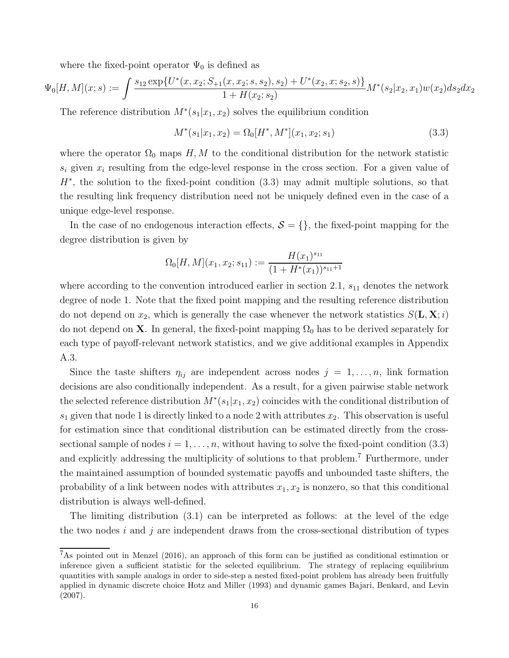where the fixed-point operator  $\Psi_0$  is defined as

$$
\Psi_0[H,M](x;s) := \int \frac{s_{12} \exp\{U^*(x,x_2;S_{+1}(x,x_2;s,s_2),s_2) + U^*(x_2,x;s_2,s)\}}{1 + H(x_2;s_2)} M^*(s_2|x_2,x_1) w(x_2) ds_2 dx_2
$$

The reference distribution  $M^*(s_1|x_1, x_2)$  solves the equilibrium condition

$$
M^*(s_1|x_1, x_2) = \Omega_0[H^*, M^*](x_1, x_2; s_1)
$$
\n(3.3)

where the operator  $\Omega_0$  maps H, M to the conditional distribution for the network statistic  $s_i$  given  $x_i$  resulting from the edge-level response in the cross section. For a given value of  $H^*$ , the solution to the fixed-point condition  $(3.3)$  may admit multiple solutions, so that the resulting link frequency distribution need not be uniquely defined even in the case of a unique edge-level response.

In the case of no endogenous interaction effects,  $S = \{\}$ , the fixed-point mapping for the degree distribution is given by

$$
\Omega_0[H, M](x_1, x_2; s_{11}) := \frac{H(x_1)^{s_{11}}}{(1 + H^*(x_1))^{s_{11}+1}}
$$

where according to the convention introduced earlier in section 2.1,  $s_{11}$  denotes the network degree of node 1. Note that the fixed point mapping and the resulting reference distribution do not depend on  $x_2$ , which is generally the case whenever the network statistics  $S(\mathbf{L}, \mathbf{X}; i)$ do not depend on **X**. In general, the fixed-point mapping  $\Omega_0$  has to be derived separately for each type of payoff-relevant network statistics, and we give additional examples in Appendix A.3.

Since the taste shifters  $\eta_{ij}$  are independent across nodes  $j = 1, \ldots, n$ , link formation decisions are also conditionally independent. As a result, for a given pairwise stable network the selected reference distribution  $M^*(s_1|x_1, x_2)$  coincides with the conditional distribution of  $s_1$  given that node 1 is directly linked to a node 2 with attributes  $x_2$ . This observation is useful for estimation since that conditional distribution can be estimated directly from the crosssectional sample of nodes  $i = 1, \ldots, n$ , without having to solve the fixed-point condition (3.3) and explicitly addressing the multiplicity of solutions to that problem.<sup>7</sup> Furthermore, under the maintained assumption of bounded systematic payoffs and unbounded taste shifters, the probability of a link between nodes with attributes  $x_1, x_2$  is nonzero, so that this conditional distribution is always well-defined.

The limiting distribution (3.1) can be interpreted as follows: at the level of the edge the two nodes i and j are independent draws from the cross-sectional distribution of types

<sup>7</sup>As pointed out in Menzel (2016), an approach of this form can be justified as conditional estimation or inference given a sufficient statistic for the selected equilibrium. The strategy of replacing equilibrium quantities with sample analogs in order to side-step a nested fixed-point problem has already been fruitfully applied in dynamic discrete choice Hotz and Miller (1993) and dynamic games Bajari, Benkard, and Levin (2007).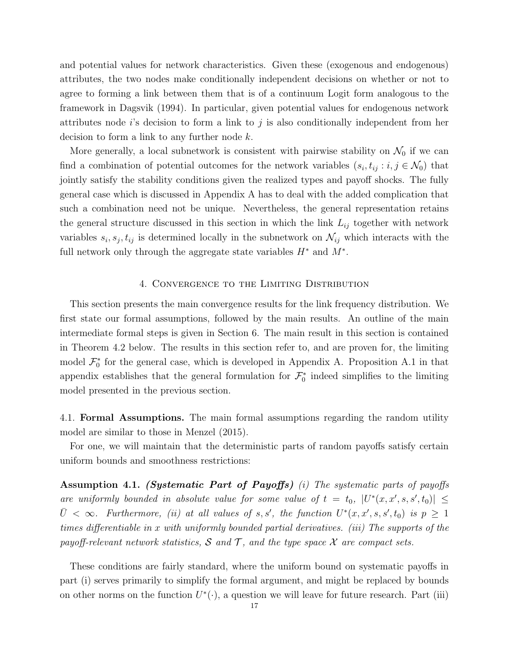and potential values for network characteristics. Given these (exogenous and endogenous) attributes, the two nodes make conditionally independent decisions on whether or not to agree to forming a link between them that is of a continuum Logit form analogous to the framework in Dagsvik (1994). In particular, given potential values for endogenous network attributes node i's decision to form a link to  $j$  is also conditionally independent from her decision to form a link to any further node  $k$ .

More generally, a local subnetwork is consistent with pairwise stability on  $\mathcal{N}_0$  if we can find a combination of potential outcomes for the network variables  $(s_i, t_{ij} : i, j \in \mathcal{N}_0)$  that jointly satisfy the stability conditions given the realized types and payoff shocks. The fully general case which is discussed in Appendix A has to deal with the added complication that such a combination need not be unique. Nevertheless, the general representation retains the general structure discussed in this section in which the link  $L_{ij}$  together with network variables  $s_i, s_j, t_{ij}$  is determined locally in the subnetwork on  $\mathcal{N}_{ij}$  which interacts with the full network only through the aggregate state variables  $H^*$  and  $M^*$ .

### 4. Convergence to the Limiting Distribution

This section presents the main convergence results for the link frequency distribution. We first state our formal assumptions, followed by the main results. An outline of the main intermediate formal steps is given in Section 6. The main result in this section is contained in Theorem 4.2 below. The results in this section refer to, and are proven for, the limiting model  $\mathcal{F}_0^*$  for the general case, which is developed in Appendix A. Proposition A.1 in that appendix establishes that the general formulation for  $\mathcal{F}_0^*$  indeed simplifies to the limiting model presented in the previous section.

4.1. Formal Assumptions. The main formal assumptions regarding the random utility model are similar to those in Menzel (2015).

For one, we will maintain that the deterministic parts of random payoffs satisfy certain uniform bounds and smoothness restrictions:

Assumption 4.1. (Systematic Part of Payoffs) (i) The systematic parts of payoffs are uniformly bounded in absolute value for some value of  $t = t_0$ ,  $|U^*(x, x', s, s', t_0)| \le$  $\overline{U} < \infty$ . Furthermore, (ii) at all values of s, s', the function  $U^*(x, x', s, s', t_0)$  is  $p \geq 1$ times differentiable in x with uniformly bounded partial derivatives. (iii) The supports of the payoff-relevant network statistics, S and T, and the type space X are compact sets.

These conditions are fairly standard, where the uniform bound on systematic payoffs in part (i) serves primarily to simplify the formal argument, and might be replaced by bounds on other norms on the function  $U^*(\cdot)$ , a question we will leave for future research. Part (iii)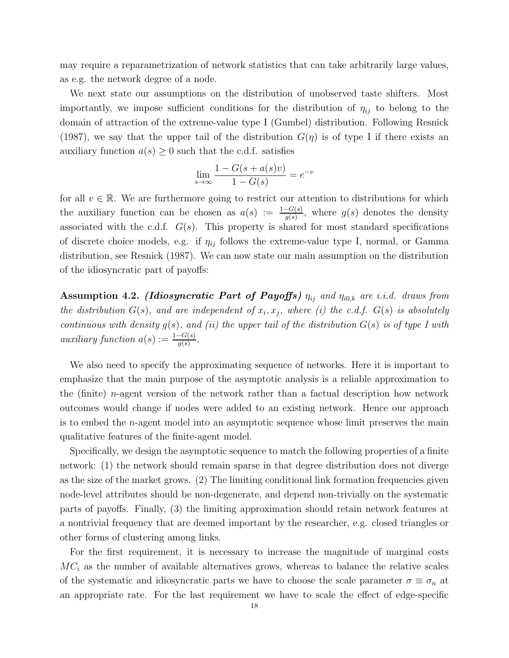may require a reparametrization of network statistics that can take arbitrarily large values, as e.g. the network degree of a node.

We next state our assumptions on the distribution of unobserved taste shifters. Most importantly, we impose sufficient conditions for the distribution of  $\eta_{ij}$  to belong to the domain of attraction of the extreme-value type I (Gumbel) distribution. Following Resnick (1987), we say that the upper tail of the distribution  $G(\eta)$  is of type I if there exists an auxiliary function  $a(s) \geq 0$  such that the c.d.f. satisfies

$$
\lim_{s \to \infty} \frac{1 - G(s + a(s)v)}{1 - G(s)} = e^{-v}
$$

for all  $v \in \mathbb{R}$ . We are furthermore going to restrict our attention to distributions for which the auxiliary function can be chosen as  $a(s) := \frac{1-G(s)}{g(s)}$ , where  $g(s)$  denotes the density associated with the c.d.f.  $G(s)$ . This property is shared for most standard specifications of discrete choice models, e.g. if  $\eta_{ij}$  follows the extreme-value type I, normal, or Gamma distribution, see Resnick (1987). We can now state our main assumption on the distribution of the idiosyncratic part of payoffs:

Assumption 4.2. (Idiosyncratic Part of Payoffs)  $\eta_{ij}$  and  $\eta_{i0,k}$  are i.i.d. draws from the distribution  $G(s)$ , and are independent of  $x_i, x_j$ , where (i) the c.d.f.  $G(s)$  is absolutely continuous with density  $g(s)$ , and (ii) the upper tail of the distribution  $G(s)$  is of type I with auxiliary function  $a(s) := \frac{1 - G(s)}{g(s)}$ .

We also need to specify the approximating sequence of networks. Here it is important to emphasize that the main purpose of the asymptotic analysis is a reliable approximation to the (finite) *n*-agent version of the network rather than a factual description how network outcomes would change if nodes were added to an existing network. Hence our approach is to embed the  $n$ -agent model into an asymptotic sequence whose limit preserves the main qualitative features of the finite-agent model.

Specifically, we design the asymptotic sequence to match the following properties of a finite network: (1) the network should remain sparse in that degree distribution does not diverge as the size of the market grows. (2) The limiting conditional link formation frequencies given node-level attributes should be non-degenerate, and depend non-trivially on the systematic parts of payoffs. Finally, (3) the limiting approximation should retain network features at a nontrivial frequency that are deemed important by the researcher, e.g. closed triangles or other forms of clustering among links.

For the first requirement, it is necessary to increase the magnitude of marginal costs  $MC<sub>i</sub>$  as the number of available alternatives grows, whereas to balance the relative scales of the systematic and idiosyncratic parts we have to choose the scale parameter  $\sigma \equiv \sigma_n$  at an appropriate rate. For the last requirement we have to scale the effect of edge-specific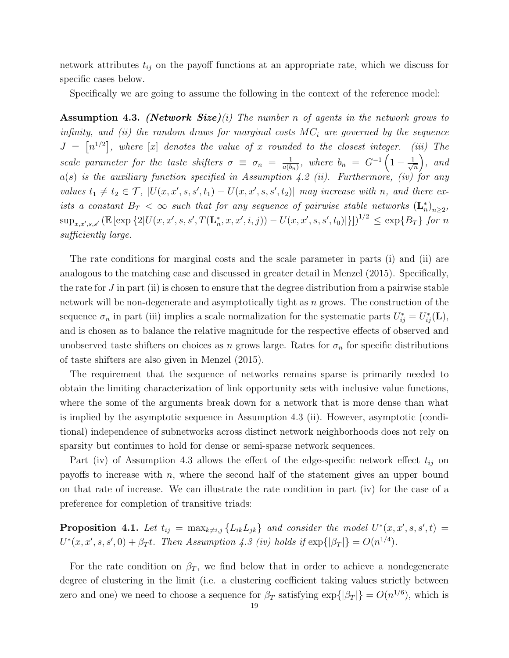network attributes  $t_{ij}$  on the payoff functions at an appropriate rate, which we discuss for specific cases below.

Specifically we are going to assume the following in the context of the reference model:

**Assumption 4.3.** (Network Size)(i) The number n of agents in the network grows to infinity, and (ii) the random draws for marginal costs  $MC_i$  are governed by the sequence  $J = \lfloor n^{1/2} \rfloor$ , where  $\lfloor x \rfloor$  denotes the value of x rounded to the closest integer. (iii) The scale parameter for the taste shifters  $\sigma \equiv \sigma_n = \frac{1}{a(b)}$  $\frac{1}{a(b_n)}$ , where  $b_n = G^{-1} \left( 1 - \frac{1}{\sqrt{n}} \right)$ n  $\Big)$ , and  $a(s)$  is the auxiliary function specified in Assumption 4.2 (ii). Furthermore, (iv) for any values  $t_1 \neq t_2 \in \mathcal{T}$ ,  $|U(x, x', s, s', t_1) - U(x, x', s, s', t_2)|$  may increase with n, and there exists a constant  $B_T < \infty$  such that for any sequence of pairwise stable networks  $(\mathbf{L}_n^*)_{n \geq 2}$ ,  $\sup_{x,x',s,s'} \left( \mathbb{E} \left[ \exp \left\{ 2 | U(x, x', s, s', T(\mathbf{L}_n^*, x, x', i, j)) - U(x, x', s, s', t_0) | \right\} \right] \right)^{1/2} \leq \exp \{ B_T \}$  for n sufficiently large.

The rate conditions for marginal costs and the scale parameter in parts (i) and (ii) are analogous to the matching case and discussed in greater detail in Menzel (2015). Specifically, the rate for  $J$  in part (ii) is chosen to ensure that the degree distribution from a pairwise stable network will be non-degenerate and asymptotically tight as  $n$  grows. The construction of the sequence  $\sigma_n$  in part (iii) implies a scale normalization for the systematic parts  $U_{ij}^* = U_{ij}^*(\mathbf{L}),$ and is chosen as to balance the relative magnitude for the respective effects of observed and unobserved taste shifters on choices as n grows large. Rates for  $\sigma_n$  for specific distributions of taste shifters are also given in Menzel (2015).

The requirement that the sequence of networks remains sparse is primarily needed to obtain the limiting characterization of link opportunity sets with inclusive value functions, where the some of the arguments break down for a network that is more dense than what is implied by the asymptotic sequence in Assumption 4.3 (ii). However, asymptotic (conditional) independence of subnetworks across distinct network neighborhoods does not rely on sparsity but continues to hold for dense or semi-sparse network sequences.

Part (iv) of Assumption 4.3 allows the effect of the edge-specific network effect  $t_{ij}$  on payoffs to increase with  $n$ , where the second half of the statement gives an upper bound on that rate of increase. We can illustrate the rate condition in part (iv) for the case of a preference for completion of transitive triads:

**Proposition 4.1.** Let  $t_{ij} = \max_{k \neq i,j} \{L_{ik}L_{jk}\}\$  and consider the model  $U^*(x, x', s, s', t) =$  $U^*(x, x', s, s', 0) + \beta_T t$ . Then Assumption 4.3 (iv) holds if  $\exp{\{|\beta_T|\}} = O(n^{1/4})$ .

For the rate condition on  $\beta_T$ , we find below that in order to achieve a nondegenerate degree of clustering in the limit (i.e. a clustering coefficient taking values strictly between zero and one) we need to choose a sequence for  $\beta_T$  satisfying  $\exp\{|\beta_T|\} = O(n^{1/6})$ , which is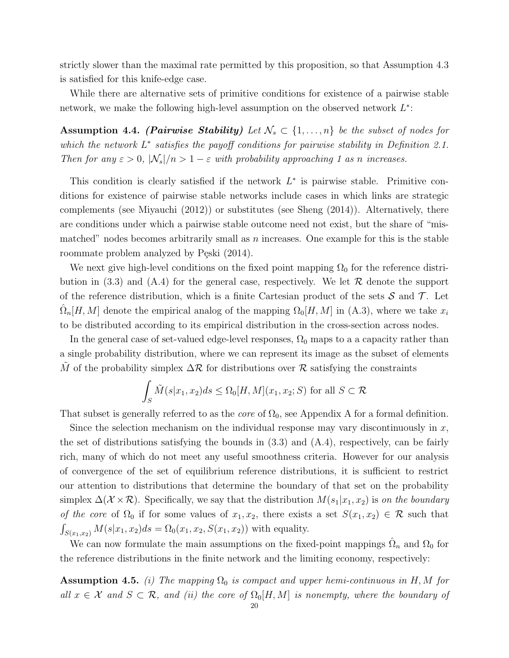strictly slower than the maximal rate permitted by this proposition, so that Assumption 4.3 is satisfied for this knife-edge case.

While there are alternative sets of primitive conditions for existence of a pairwise stable network, we make the following high-level assumption on the observed network  $L^*$ :

Assumption 4.4. (Pairwise Stability) Let  $\mathcal{N}_s \subset \{1, \ldots, n\}$  be the subset of nodes for which the network  $L^*$  satisfies the payoff conditions for pairwise stability in Definition 2.1. Then for any  $\varepsilon > 0$ ,  $|\mathcal{N}_s|/n > 1 - \varepsilon$  with probability approaching 1 as n increases.

This condition is clearly satisfied if the network  $L^*$  is pairwise stable. Primitive conditions for existence of pairwise stable networks include cases in which links are strategic complements (see Miyauchi (2012)) or substitutes (see Sheng (2014)). Alternatively, there are conditions under which a pairwise stable outcome need not exist, but the share of "mismatched" nodes becomes arbitrarily small as  $n$  increases. One example for this is the stable roommate problem analyzed by Pęski (2014).

We next give high-level conditions on the fixed point mapping  $\Omega_0$  for the reference distribution in (3.3) and (A.4) for the general case, respectively. We let  $\mathcal R$  denote the support of the reference distribution, which is a finite Cartesian product of the sets  $S$  and  $T$ . Let  $\hat{\Omega}_n[H,M]$  denote the empirical analog of the mapping  $\Omega_0[H,M]$  in (A.3), where we take  $x_i$ to be distributed according to its empirical distribution in the cross-section across nodes.

In the general case of set-valued edge-level responses,  $\Omega_0$  maps to a a capacity rather than a single probability distribution, where we can represent its image as the subset of elements  $\tilde{M}$  of the probability simplex  $\Delta \mathcal{R}$  for distributions over  $\mathcal{R}$  satisfying the constraints

$$
\int_{S} \tilde{M}(s|x_1, x_2)ds \le \Omega_0[H, M](x_1, x_2; S) \text{ for all } S \subset \mathcal{R}
$$

That subset is generally referred to as the *core* of  $\Omega_0$ , see Appendix A for a formal definition.

Since the selection mechanism on the individual response may vary discontinuously in  $x$ , the set of distributions satisfying the bounds in  $(3.3)$  and  $(A.4)$ , respectively, can be fairly rich, many of which do not meet any useful smoothness criteria. However for our analysis of convergence of the set of equilibrium reference distributions, it is sufficient to restrict our attention to distributions that determine the boundary of that set on the probability simplex  $\Delta(\mathcal{X}\times\mathcal{R})$ . Specifically, we say that the distribution  $M(s_1|x_1, x_2)$  is on the boundary of the core of  $\Omega_0$  if for some values of  $x_1, x_2$ , there exists a set  $S(x_1, x_2) \in \mathcal{R}$  such that  $\int_{S(x_1,x_2)} M(s|x_1,x_2)ds = \Omega_0(x_1,x_2,S(x_1,x_2))$  with equality.

We can now formulate the main assumptions on the fixed-point mappings  $\hat{\Omega}_n$  and  $\Omega_0$  for the reference distributions in the finite network and the limiting economy, respectively:

**Assumption 4.5.** (i) The mapping  $\Omega_0$  is compact and upper hemi-continuous in H, M for all  $x \in \mathcal{X}$  and  $S \subset \mathcal{R}$ , and (ii) the core of  $\Omega_0[H, M]$  is nonempty, where the boundary of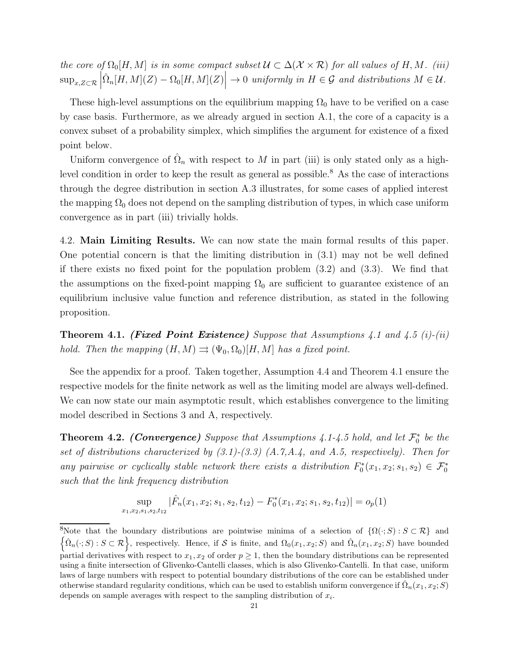the core of  $\Omega_0[H, M]$  is in some compact subset  $\mathcal{U} \subset \Delta(\mathcal{X} \times \mathcal{R})$  for all values of H, M. (iii)  $\sup_{x,Z\subset\mathcal{R}}\left|\hat{\Omega}_n[H,M](Z)-\Omega_0[H,M](Z)\right|\to 0$  uniformly in  $H\in\mathcal{G}$  and distributions  $M\in\mathcal{U}$ .

These high-level assumptions on the equilibrium mapping  $\Omega_0$  have to be verified on a case by case basis. Furthermore, as we already argued in section A.1, the core of a capacity is a convex subset of a probability simplex, which simplifies the argument for existence of a fixed point below.

Uniform convergence of  $\hat{\Omega}_n$  with respect to M in part (iii) is only stated only as a highlevel condition in order to keep the result as general as possible.<sup>8</sup> As the case of interactions through the degree distribution in section A.3 illustrates, for some cases of applied interest the mapping  $\Omega_0$  does not depend on the sampling distribution of types, in which case uniform convergence as in part (iii) trivially holds.

4.2. Main Limiting Results. We can now state the main formal results of this paper. One potential concern is that the limiting distribution in (3.1) may not be well defined if there exists no fixed point for the population problem (3.2) and (3.3). We find that the assumptions on the fixed-point mapping  $\Omega_0$  are sufficient to guarantee existence of an equilibrium inclusive value function and reference distribution, as stated in the following proposition.

**Theorem 4.1. (Fixed Point Existence)** Suppose that Assumptions 4.1 and 4.5 (i)-(ii) hold. Then the mapping  $(H, M) \rightrightarrows (\Psi_0, \Omega_0)[H, M]$  has a fixed point.

See the appendix for a proof. Taken together, Assumption 4.4 and Theorem 4.1 ensure the respective models for the finite network as well as the limiting model are always well-defined. We can now state our main asymptotic result, which establishes convergence to the limiting model described in Sections 3 and A, respectively.

**Theorem 4.2. (Convergence)** Suppose that Assumptions 4.1-4.5 hold, and let  $\mathcal{F}_0^*$  be the set of distributions characterized by  $(3.1)$ - $(3.3)$   $(A.7,A.4, and A.5, respectively)$ . Then for any pairwise or cyclically stable network there exists a distribution  $F_0^*(x_1, x_2; s_1, s_2) \in \mathcal{F}_0^*$ such that the link frequency distribution

$$
\sup_{x_1, x_2, s_1, s_2, t_{12}} |\hat{F}_n(x_1, x_2; s_1, s_2, t_{12}) - F_0^*(x_1, x_2; s_1, s_2, t_{12})| = o_p(1)
$$

<sup>&</sup>lt;sup>8</sup>Note that the boundary distributions are pointwise minima of a selection of  $\{\Omega(\cdot; S) : S \subset \mathcal{R}\}\$  and  $\{\hat{\Omega}_n(\cdot;S): S \subset \mathcal{R}\}\,$ , respectively. Hence, if S is finite, and  $\Omega_0(x_1,x_2;S)$  and  $\hat{\Omega}_n(x_1,x_2;S)$  have bounded partial derivatives with respect to  $x_1, x_2$  of order  $p \ge 1$ , then the boundary distributions can be represented using a finite intersection of Glivenko-Cantelli classes, which is also Glivenko-Cantelli. In that case, uniform laws of large numbers with respect to potential boundary distributions of the core can be established under otherwise standard regularity conditions, which can be used to establish uniform convergence if  $\hat{\Omega}_n(x_1, x_2; S)$ depends on sample averages with respect to the sampling distribution of  $x_i$ .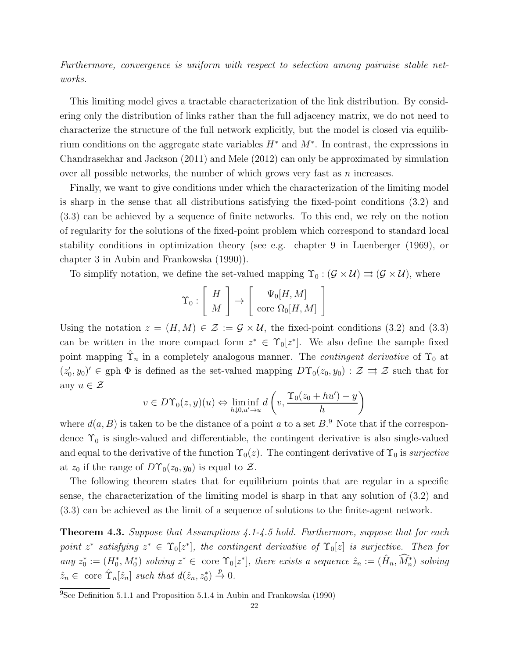Furthermore, convergence is uniform with respect to selection among pairwise stable networks.

This limiting model gives a tractable characterization of the link distribution. By considering only the distribution of links rather than the full adjacency matrix, we do not need to characterize the structure of the full network explicitly, but the model is closed via equilibrium conditions on the aggregate state variables  $H^*$  and  $M^*$ . In contrast, the expressions in Chandrasekhar and Jackson (2011) and Mele (2012) can only be approximated by simulation over all possible networks, the number of which grows very fast as  $n$  increases.

Finally, we want to give conditions under which the characterization of the limiting model is sharp in the sense that all distributions satisfying the fixed-point conditions (3.2) and (3.3) can be achieved by a sequence of finite networks. To this end, we rely on the notion of regularity for the solutions of the fixed-point problem which correspond to standard local stability conditions in optimization theory (see e.g. chapter 9 in Luenberger (1969), or chapter 3 in Aubin and Frankowska (1990)).

To simplify notation, we define the set-valued mapping  $\Upsilon_0 : (\mathcal{G} \times \mathcal{U}) \Rightarrow (\mathcal{G} \times \mathcal{U})$ , where

1

$$
\Upsilon_0: \left[ \begin{array}{c} H \\ M \end{array} \right] \rightarrow \left[ \begin{array}{c} \Psi_0[H,M] \\ \text{core } \Omega_0[H,M] \end{array} \right]
$$

Using the notation  $z = (H, M) \in \mathcal{Z} := \mathcal{G} \times \mathcal{U}$ , the fixed-point conditions (3.2) and (3.3) can be written in the more compact form  $z^* \in \Upsilon_0[z^*]$ . We also define the sample fixed point mapping  $\hat{\Upsilon}_n$  in a completely analogous manner. The *contingent derivative* of  $\Upsilon_0$  at  $(z'_0, y_0)' \in \text{gph } \Phi$  is defined as the set-valued mapping  $D\Upsilon_0(z_0, y_0) : \mathcal{Z} \implies \mathcal{Z}$  such that for any  $u \in \mathcal{Z}$ 

$$
v \in D\Upsilon_0(z, y)(u) \Leftrightarrow \liminf_{h \downarrow 0, u' \to u} d\left(v, \frac{\Upsilon_0(z_0 + hu') - y}{h}\right)
$$

where  $d(a, B)$  is taken to be the distance of a point a to a set  $B$ .<sup>9</sup> Note that if the correspondence  $\Upsilon_0$  is single-valued and differentiable, the contingent derivative is also single-valued and equal to the derivative of the function  $\Upsilon_0(z)$ . The contingent derivative of  $\Upsilon_0$  is surjective at  $z_0$  if the range of  $D\Upsilon_0(z_0, y_0)$  is equal to  $\mathcal{Z}$ .

The following theorem states that for equilibrium points that are regular in a specific sense, the characterization of the limiting model is sharp in that any solution of (3.2) and (3.3) can be achieved as the limit of a sequence of solutions to the finite-agent network.

**Theorem 4.3.** Suppose that Assumptions  $4.1-4.5$  hold. Furthermore, suppose that for each point  $z^*$  satisfying  $z^* \in \Upsilon_0[z^*]$ , the contingent derivative of  $\Upsilon_0[z]$  is surjective. Then for any  $z_0^* := (H_0^*, M_0^*)$  solving  $z^* \in \text{ core } \Upsilon_0[z^*]$ , there exists a sequence  $\hat{z}_n := (\hat{H}_n, \widehat{M}_n^*)$  solving  $\hat{z}_n \in \text{ core } \hat{\Upsilon}_n[\hat{z}_n] \text{ such that } d(\hat{z}_n, z_0^*) \stackrel{p}{\to} 0.$ 

<sup>&</sup>lt;sup>9</sup>See Definition 5.1.1 and Proposition 5.1.4 in Aubin and Frankowska (1990)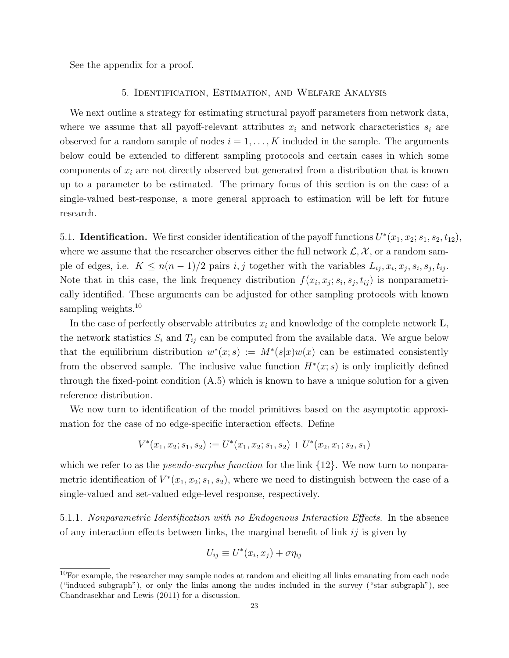See the appendix for a proof.

#### 5. Identification, Estimation, and Welfare Analysis

We next outline a strategy for estimating structural payoff parameters from network data, where we assume that all payoff-relevant attributes  $x_i$  and network characteristics  $s_i$  are observed for a random sample of nodes  $i = 1, \ldots, K$  included in the sample. The arguments below could be extended to different sampling protocols and certain cases in which some components of  $x_i$  are not directly observed but generated from a distribution that is known up to a parameter to be estimated. The primary focus of this section is on the case of a single-valued best-response, a more general approach to estimation will be left for future research.

5.1. **Identification.** We first consider identification of the payoff functions  $U^*(x_1, x_2; s_1, s_2, t_{12}),$ where we assume that the researcher observes either the full network  $\mathcal{L}, \mathcal{X}$ , or a random sample of edges, i.e.  $K \leq n(n-1)/2$  pairs  $i, j$  together with the variables  $L_{ij}, x_i, x_j, s_i, s_j, t_{ij}$ . Note that in this case, the link frequency distribution  $f(x_i, x_j; s_i, s_j, t_{ij})$  is nonparametrically identified. These arguments can be adjusted for other sampling protocols with known sampling weights.<sup>10</sup>

In the case of perfectly observable attributes  $x_i$  and knowledge of the complete network  $\mathbf{L}$ , the network statistics  $S_i$  and  $T_{ij}$  can be computed from the available data. We argue below that the equilibrium distribution  $w^*(x; s) := M^*(s|x)w(x)$  can be estimated consistently from the observed sample. The inclusive value function  $H^*(x; s)$  is only implicitly defined through the fixed-point condition  $(A.5)$  which is known to have a unique solution for a given reference distribution.

We now turn to identification of the model primitives based on the asymptotic approximation for the case of no edge-specific interaction effects. Define

$$
V^*(x_1, x_2; s_1, s_2) := U^*(x_1, x_2; s_1, s_2) + U^*(x_2, x_1; s_2, s_1)
$$

which we refer to as the *pseudo-surplus function* for the link  $\{12\}$ . We now turn to nonparametric identification of  $V^*(x_1, x_2; s_1, s_2)$ , where we need to distinguish between the case of a single-valued and set-valued edge-level response, respectively.

5.1.1. Nonparametric Identification with no Endogenous Interaction Effects. In the absence of any interaction effects between links, the marginal benefit of link  $ij$  is given by

$$
U_{ij} \equiv U^*(x_i, x_j) + \sigma \eta_{ij}
$$

 $10$ For example, the researcher may sample nodes at random and eliciting all links emanating from each node ("induced subgraph"), or only the links among the nodes included in the survey ("star subgraph"), see Chandrasekhar and Lewis (2011) for a discussion.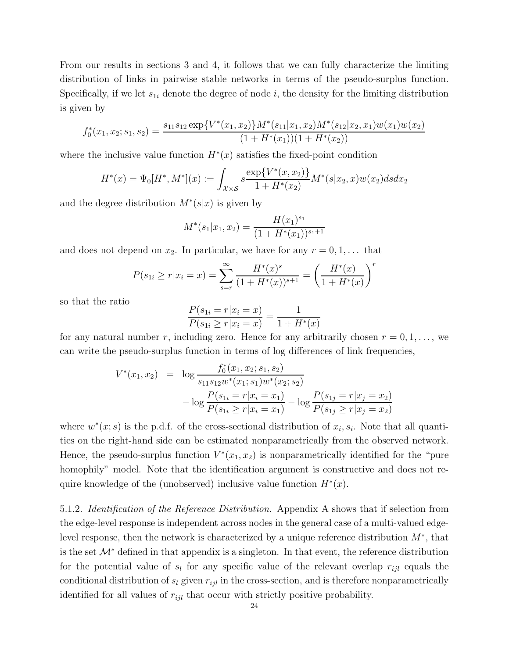From our results in sections 3 and 4, it follows that we can fully characterize the limiting distribution of links in pairwise stable networks in terms of the pseudo-surplus function. Specifically, if we let  $s_{1i}$  denote the degree of node i, the density for the limiting distribution is given by

$$
f_0^*(x_1, x_2; s_1, s_2) = \frac{s_{11}s_{12} \exp\{V^*(x_1, x_2)\} M^*(s_{11}|x_1, x_2) M^*(s_{12}|x_2, x_1) w(x_1) w(x_2)}{(1 + H^*(x_1))(1 + H^*(x_2))}
$$

where the inclusive value function  $H^*(x)$  satisfies the fixed-point condition

$$
H^*(x) = \Psi_0[H^*, M^*](x) := \int_{\mathcal{X} \times \mathcal{S}} s \frac{\exp\{V^*(x, x_2)\}}{1 + H^*(x_2)} M^*(s | x_2, x) w(x_2) ds dx_2
$$

and the degree distribution  $M^*(s|x)$  is given by

$$
M^*(s_1|x_1, x_2) = \frac{H(x_1)^{s_1}}{(1 + H^*(x_1))^{s_1+1}}
$$

and does not depend on  $x_2$ . In particular, we have for any  $r = 0, 1, \ldots$  that

$$
P(s_{1i} \ge r | x_i = x) = \sum_{s=r}^{\infty} \frac{H^*(x)^s}{(1 + H^*(x))^{s+1}} = \left(\frac{H^*(x)}{1 + H^*(x)}\right)^r
$$

so that the ratio

$$
\frac{P(s_{1i} = r | x_i = x)}{P(s_{1i} \ge r | x_i = x)} = \frac{1}{1 + H^*(x)}
$$

for any natural number r, including zero. Hence for any arbitrarily chosen  $r = 0, 1, \ldots$ , we can write the pseudo-surplus function in terms of log differences of link frequencies,

$$
V^*(x_1, x_2) = \log \frac{f_0^*(x_1, x_2; s_1, s_2)}{s_{11}s_{12}w^*(x_1; s_1)w^*(x_2; s_2)}
$$

$$
- \log \frac{P(s_{1i} = r | x_i = x_1)}{P(s_{1i} \ge r | x_i = x_1)} - \log \frac{P(s_{1j} = r | x_j = x_2)}{P(s_{1j} \ge r | x_j = x_2)}
$$

where  $w^*(x; s)$  is the p.d.f. of the cross-sectional distribution of  $x_i, s_i$ . Note that all quantities on the right-hand side can be estimated nonparametrically from the observed network. Hence, the pseudo-surplus function  $V^*(x_1, x_2)$  is nonparametrically identified for the "pure homophily" model. Note that the identification argument is constructive and does not require knowledge of the (unobserved) inclusive value function  $H^*(x)$ .

5.1.2. Identification of the Reference Distribution. Appendix A shows that if selection from the edge-level response is independent across nodes in the general case of a multi-valued edgelevel response, then the network is characterized by a unique reference distribution  $M^*$ , that is the set  $\mathcal{M}^*$  defined in that appendix is a singleton. In that event, the reference distribution for the potential value of  $s_l$  for any specific value of the relevant overlap  $r_{ijl}$  equals the conditional distribution of  $s_l$  given  $r_{ijl}$  in the cross-section, and is therefore nonparametrically identified for all values of  $r_{ijl}$  that occur with strictly positive probability.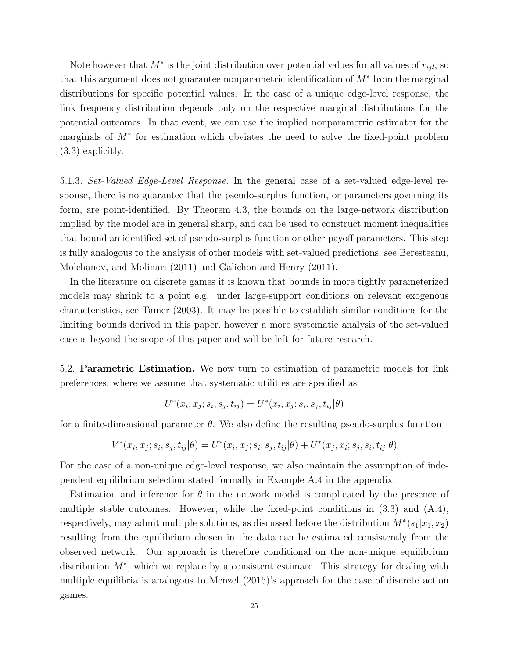Note however that  $M^*$  is the joint distribution over potential values for all values of  $r_{ijl}$ , so that this argument does not guarantee nonparametric identification of M<sup>∗</sup> from the marginal distributions for specific potential values. In the case of a unique edge-level response, the link frequency distribution depends only on the respective marginal distributions for the potential outcomes. In that event, we can use the implied nonparametric estimator for the marginals of M<sup>∗</sup> for estimation which obviates the need to solve the fixed-point problem (3.3) explicitly.

5.1.3. Set-Valued Edge-Level Response. In the general case of a set-valued edge-level response, there is no guarantee that the pseudo-surplus function, or parameters governing its form, are point-identified. By Theorem 4.3, the bounds on the large-network distribution implied by the model are in general sharp, and can be used to construct moment inequalities that bound an identified set of pseudo-surplus function or other payoff parameters. This step is fully analogous to the analysis of other models with set-valued predictions, see Beresteanu, Molchanov, and Molinari (2011) and Galichon and Henry (2011).

In the literature on discrete games it is known that bounds in more tightly parameterized models may shrink to a point e.g. under large-support conditions on relevant exogenous characteristics, see Tamer (2003). It may be possible to establish similar conditions for the limiting bounds derived in this paper, however a more systematic analysis of the set-valued case is beyond the scope of this paper and will be left for future research.

5.2. Parametric Estimation. We now turn to estimation of parametric models for link preferences, where we assume that systematic utilities are specified as

$$
U^*(x_i, x_j; s_i, s_j, t_{ij}) = U^*(x_i, x_j; s_i, s_j, t_{ij} | \theta)
$$

for a finite-dimensional parameter  $\theta$ . We also define the resulting pseudo-surplus function

$$
V^*(x_i, x_j; s_i, s_j, t_{ij} | \theta) = U^*(x_i, x_j; s_i, s_j, t_{ij} | \theta) + U^*(x_j, x_i; s_j, s_i, t_{ij} | \theta)
$$

For the case of a non-unique edge-level response, we also maintain the assumption of independent equilibrium selection stated formally in Example A.4 in the appendix.

Estimation and inference for  $\theta$  in the network model is complicated by the presence of multiple stable outcomes. However, while the fixed-point conditions in  $(3.3)$  and  $(A.4)$ , respectively, may admit multiple solutions, as discussed before the distribution  $M^*(s_1|x_1, x_2)$ resulting from the equilibrium chosen in the data can be estimated consistently from the observed network. Our approach is therefore conditional on the non-unique equilibrium distribution M<sup>∗</sup> , which we replace by a consistent estimate. This strategy for dealing with multiple equilibria is analogous to Menzel (2016)'s approach for the case of discrete action games.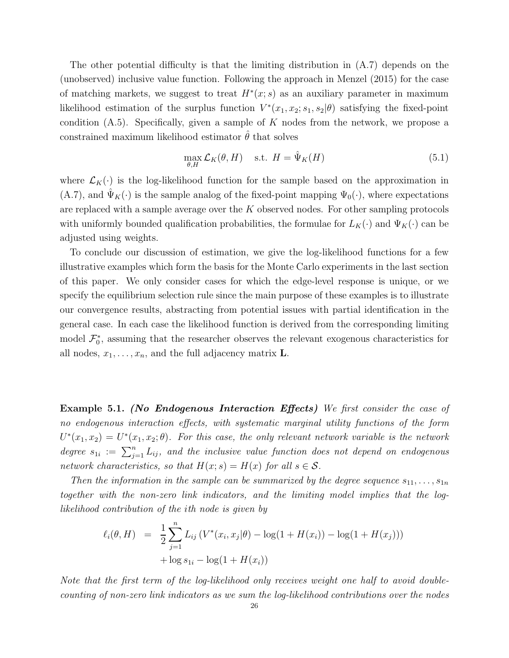The other potential difficulty is that the limiting distribution in (A.7) depends on the (unobserved) inclusive value function. Following the approach in Menzel (2015) for the case of matching markets, we suggest to treat  $H^*(x; s)$  as an auxiliary parameter in maximum likelihood estimation of the surplus function  $V^*(x_1, x_2; s_1, s_2 | \theta)$  satisfying the fixed-point condition  $(A.5)$ . Specifically, given a sample of K nodes from the network, we propose a constrained maximum likelihood estimator  $\theta$  that solves

$$
\max_{\theta,H} \mathcal{L}_K(\theta, H) \quad \text{s.t. } H = \hat{\Psi}_K(H) \tag{5.1}
$$

where  $\mathcal{L}_K(\cdot)$  is the log-likelihood function for the sample based on the approximation in  $(A.7)$ , and  $\Psi_K(\cdot)$  is the sample analog of the fixed-point mapping  $\Psi_0(\cdot)$ , where expectations are replaced with a sample average over the K observed nodes. For other sampling protocols with uniformly bounded qualification probabilities, the formulae for  $L_K(\cdot)$  and  $\Psi_K(\cdot)$  can be adjusted using weights.

To conclude our discussion of estimation, we give the log-likelihood functions for a few illustrative examples which form the basis for the Monte Carlo experiments in the last section of this paper. We only consider cases for which the edge-level response is unique, or we specify the equilibrium selection rule since the main purpose of these examples is to illustrate our convergence results, abstracting from potential issues with partial identification in the general case. In each case the likelihood function is derived from the corresponding limiting model  $\mathcal{F}_0^*$ , assuming that the researcher observes the relevant exogenous characteristics for all nodes,  $x_1, \ldots, x_n$ , and the full adjacency matrix **L**.

Example 5.1. (No Endogenous Interaction Effects) We first consider the case of no endogenous interaction effects, with systematic marginal utility functions of the form  $U^*(x_1, x_2) = U^*(x_1, x_2; \theta)$ . For this case, the only relevant network variable is the network degree  $s_{1i} := \sum_{j=1}^n L_{ij}$ , and the inclusive value function does not depend on endogenous network characteristics, so that  $H(x; s) = H(x)$  for all  $s \in S$ .

Then the information in the sample can be summarized by the degree sequence  $s_{11}, \ldots, s_{1n}$ together with the non-zero link indicators, and the limiting model implies that the loglikelihood contribution of the ith node is given by

$$
\ell_i(\theta, H) = \frac{1}{2} \sum_{j=1}^n L_{ij} \left( V^*(x_i, x_j | \theta) - \log(1 + H(x_i)) - \log(1 + H(x_j)) \right) + \log s_{1i} - \log(1 + H(x_i))
$$

Note that the first term of the log-likelihood only receives weight one half to avoid doublecounting of non-zero link indicators as we sum the log-likelihood contributions over the nodes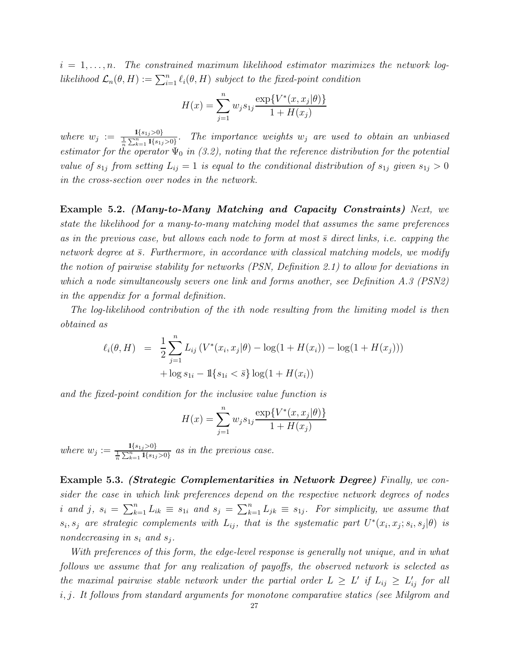$i = 1, \ldots, n$ . The constrained maximum likelihood estimator maximizes the network loglikelihood  $\mathcal{L}_n(\theta, H) := \sum_{i=1}^n \ell_i(\theta, H)$  subject to the fixed-point condition

$$
H(x) = \sum_{j=1}^{n} w_j s_{1j} \frac{\exp\{V^*(x, x_j|\theta)\}}{1 + H(x_j)}
$$

where  $w_j := \frac{1\{s_{1j} > 0\}}{\frac{1}{n} \sum_{k=1}^n 1\{s_{1j} > 0\}}$ . The importance weights  $w_j$  are used to obtain an unbiased estimator for the operator  $\Psi_0$  in (3.2), noting that the reference distribution for the potential value of  $s_{1j}$  from setting  $L_{ij} = 1$  is equal to the conditional distribution of  $s_{1j}$  given  $s_{1j} > 0$ in the cross-section over nodes in the network.

Example 5.2. (Many-to-Many Matching and Capacity Constraints) Next, we state the likelihood for a many-to-many matching model that assumes the same preferences as in the previous case, but allows each node to form at most  $\bar{s}$  direct links, i.e. capping the network degree at  $\bar{s}$ . Furthermore, in accordance with classical matching models, we modify the notion of pairwise stability for networks (PSN, Definition 2.1) to allow for deviations in which a node simultaneously severs one link and forms another, see Definition A.3 (PSN2) in the appendix for a formal definition.

The log-likelihood contribution of the ith node resulting from the limiting model is then obtained as

$$
\ell_i(\theta, H) = \frac{1}{2} \sum_{j=1}^n L_{ij} \left( V^*(x_i, x_j | \theta) - \log(1 + H(x_i)) - \log(1 + H(x_j)) \right) + \log s_{1i} - \mathbb{1}\{s_{1i} < \bar{s}\} \log(1 + H(x_i))
$$

and the fixed-point condition for the inclusive value function is

$$
H(x) = \sum_{j=1}^{n} w_j s_{1j} \frac{\exp\{V^*(x, x_j|\theta)\}}{1 + H(x_j)}
$$

where  $w_j := \frac{1\{s_{1j} > 0\}}{\frac{1}{n}\sum_{k=1}^n 1\{s_{1j} > 0\}}$  as in the previous case.

Example 5.3. (Strategic Complementarities in Network Degree) Finally, we consider the case in which link preferences depend on the respective network degrees of nodes i and j,  $s_i = \sum_{k=1}^n L_{ik} \equiv s_{1i}$  and  $s_j = \sum_{k=1}^n L_{jk} \equiv s_{1j}$ . For simplicity, we assume that  $s_i, s_j$  are strategic complements with  $L_{ij}$ , that is the systematic part  $U^*(x_i, x_j; s_i, s_j | \theta)$  is nondecreasing in  $s_i$  and  $s_j$ .

With preferences of this form, the edge-level response is generally not unique, and in what follows we assume that for any realization of payoffs, the observed network is selected as the maximal pairwise stable network under the partial order  $L \, \geq \, L' \,$  if  $L_{ij} \, \geq \, L'_{ij}$  for all i, j. It follows from standard arguments for monotone comparative statics (see Milgrom and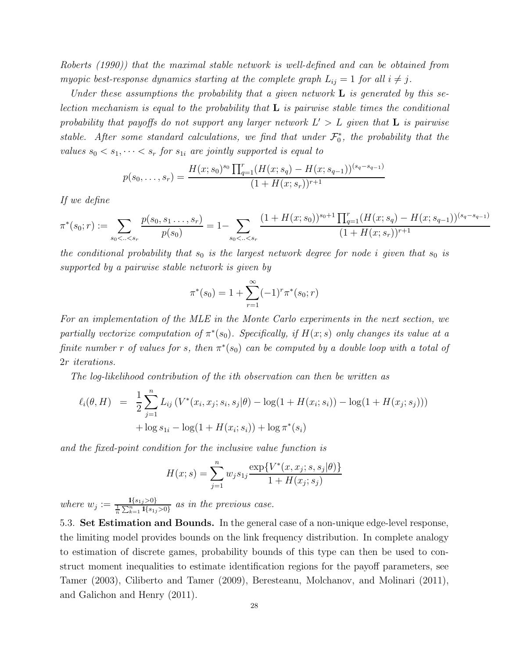Roberts (1990)) that the maximal stable network is well-defined and can be obtained from myopic best-response dynamics starting at the complete graph  $L_{ij} = 1$  for all  $i \neq j$ .

Under these assumptions the probability that a given network  $L$  is generated by this selection mechanism is equal to the probability that  $\bf{L}$  is pairwise stable times the conditional probability that payoffs do not support any larger network  $L' > L$  given that  $L$  is pairwise stable. After some standard calculations, we find that under  $\mathcal{F}_0^*$ , the probability that the values  $s_0 < s_1, \dots < s_r$  for  $s_{1i}$  are jointly supported is equal to

$$
p(s_0, \ldots, s_r) = \frac{H(x; s_0)^{s_0} \prod_{q=1}^r (H(x; s_q) - H(x; s_{q-1}))^{(s_q - s_{q-1})}}{(1 + H(x; s_r))^{r+1}}
$$

If we define

$$
\pi^*(s_0; r) := \sum_{s_0 < \ldots < s_r} \frac{p(s_0, s_1, \ldots, s_r)}{p(s_0)} = 1 - \sum_{s_0 < \ldots < s_r} \frac{(1 + H(x; s_0))^{s_0 + 1} \prod_{q=1}^r (H(x; s_q) - H(x; s_{q-1}))^{(s_q - s_{q-1})}}{(1 + H(x; s_r))^{r+1}}
$$

the conditional probability that  $s_0$  is the largest network degree for node i given that  $s_0$  is supported by a pairwise stable network is given by

$$
\pi^*(s_0) = 1 + \sum_{r=1}^{\infty} (-1)^r \pi^*(s_0; r)
$$

For an implementation of the MLE in the Monte Carlo experiments in the next section, we partially vectorize computation of  $\pi^*(s_0)$ . Specifically, if  $H(x; s)$  only changes its value at a finite number r of values for s, then  $\pi^*(s_0)$  can be computed by a double loop with a total of 2r iterations.

The log-likelihood contribution of the ith observation can then be written as

$$
\ell_i(\theta, H) = \frac{1}{2} \sum_{j=1}^n L_{ij} \left( V^*(x_i, x_j; s_i, s_j | \theta) - \log(1 + H(x_i; s_i)) - \log(1 + H(x_j; s_j)) \right) + \log s_{1i} - \log(1 + H(x_i; s_i)) + \log \pi^*(s_i)
$$

and the fixed-point condition for the inclusive value function is

$$
H(x; s) = \sum_{j=1}^{n} w_j s_{1j} \frac{\exp\{V^*(x, x_j; s, s_j | \theta)\}}{1 + H(x_j; s_j)}
$$

where  $w_j := \frac{1\{s_{1j} > 0\}}{\frac{1}{n} \sum_{k=1}^n 1\{s_{1j} > 0\}}$  as in the previous case.

5.3. Set Estimation and Bounds. In the general case of a non-unique edge-level response, the limiting model provides bounds on the link frequency distribution. In complete analogy to estimation of discrete games, probability bounds of this type can then be used to construct moment inequalities to estimate identification regions for the payoff parameters, see Tamer (2003), Ciliberto and Tamer (2009), Beresteanu, Molchanov, and Molinari (2011), and Galichon and Henry (2011).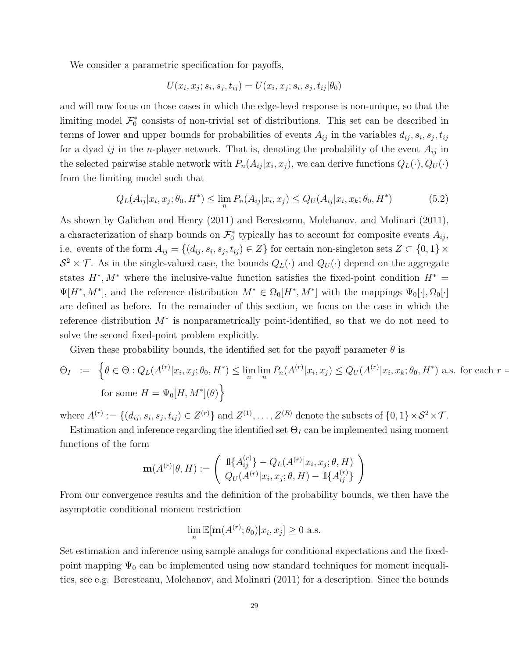We consider a parametric specification for payoffs,

$$
U(x_i, x_j; s_i, s_j, t_{ij}) = U(x_i, x_j; s_i, s_j, t_{ij} | \theta_0)
$$

and will now focus on those cases in which the edge-level response is non-unique, so that the limiting model  $\mathcal{F}_0^*$  consists of non-trivial set of distributions. This set can be described in terms of lower and upper bounds for probabilities of events  $A_{ij}$  in the variables  $d_{ij}, s_i, s_j, t_{ij}$ for a dyad ij in the *n*-player network. That is, denoting the probability of the event  $A_{ij}$  in the selected pairwise stable network with  $P_n(A_{ij} | x_i, x_j)$ , we can derive functions  $Q_L(\cdot), Q_U(\cdot)$ from the limiting model such that

$$
Q_L(A_{ij}|x_i, x_j; \theta_0, H^*) \le \lim_n P_n(A_{ij}|x_i, x_j) \le Q_U(A_{ij}|x_i, x_k; \theta_0, H^*)
$$
\n(5.2)

As shown by Galichon and Henry (2011) and Beresteanu, Molchanov, and Molinari (2011), a characterization of sharp bounds on  $\mathcal{F}_0^*$  typically has to account for composite events  $A_{ij}$ , i.e. events of the form  $A_{ij} = \{(d_{ij}, s_i, s_j, t_{ij}) \in Z\}$  for certain non-singleton sets  $Z \subset \{0, 1\} \times$  $S^2 \times \mathcal{T}$ . As in the single-valued case, the bounds  $Q_L(\cdot)$  and  $Q_U(\cdot)$  depend on the aggregate states  $H^*, M^*$  where the inclusive-value function satisfies the fixed-point condition  $H^* =$  $\Psi[H^*, M^*],$  and the reference distribution  $M^* \in \Omega_0[H^*, M^*]$  with the mappings  $\Psi_0[\cdot], \Omega_0[\cdot]$ are defined as before. In the remainder of this section, we focus on the case in which the reference distribution M<sup>∗</sup> is nonparametrically point-identified, so that we do not need to solve the second fixed-point problem explicitly.

Given these probability bounds, the identified set for the payoff parameter  $\theta$  is

$$
\Theta_I := \left\{ \theta \in \Theta : Q_L(A^{(r)} | x_i, x_j; \theta_0, H^*) \le \lim_n \lim_n P_n(A^{(r)} | x_i, x_j) \le Q_U(A^{(r)} | x_i, x_k; \theta_0, H^*) \text{ a.s. for each } r = \text{for some } H = \Psi_0[H, M^*](\theta) \right\}
$$

where  $A^{(r)} := \{(d_{ij}, s_i, s_j, t_{ij}) \in Z^{(r)}\}$  and  $Z^{(1)}, \ldots, Z^{(R)}$  denote the subsets of  $\{0, 1\} \times S^2 \times T$ .

Estimation and inference regarding the identified set  $\Theta_I$  can be implemented using moment functions of the form

$$
\mathbf{m}(A^{(r)}|\theta,H) := \left(\begin{array}{c} \mathbb{1}\{A_{ij}^{(r)}\} - Q_L(A^{(r)}|x_i, x_j; \theta, H) \\ Q_U(A^{(r)}|x_i, x_j; \theta, H) - \mathbb{1}\{A_{ij}^{(r)}\}\end{array}\right)
$$

From our convergence results and the definition of the probability bounds, we then have the asymptotic conditional moment restriction

$$
\lim_{n} \mathbb{E}[\mathbf{m}(A^{(r)};\theta_0)|x_i, x_j] \ge 0 \text{ a.s.}
$$

Set estimation and inference using sample analogs for conditional expectations and the fixedpoint mapping  $\Psi_0$  can be implemented using now standard techniques for moment inequalities, see e.g. Beresteanu, Molchanov, and Molinari (2011) for a description. Since the bounds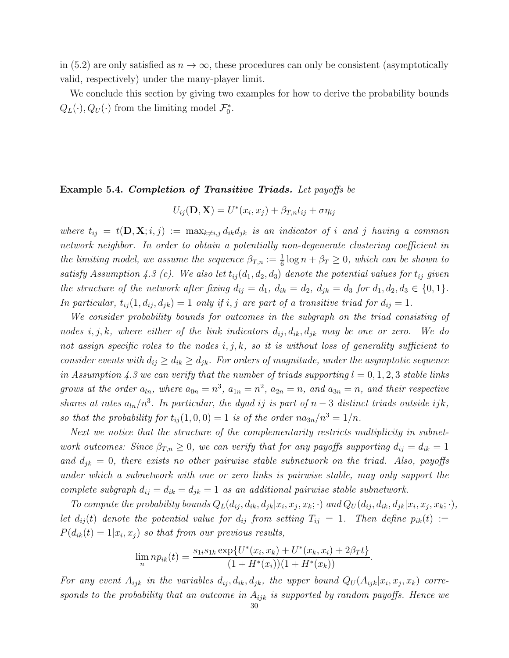in (5.2) are only satisfied as  $n \to \infty$ , these procedures can only be consistent (asymptotically valid, respectively) under the many-player limit.

We conclude this section by giving two examples for how to derive the probability bounds  $Q_L(\cdot), Q_U(\cdot)$  from the limiting model  $\mathcal{F}_0^*$ .

#### Example 5.4. Completion of Transitive Triads. Let payoffs be

$$
U_{ij}(\mathbf{D}, \mathbf{X}) = U^*(x_i, x_j) + \beta_{T,n} t_{ij} + \sigma \eta_{ij}
$$

where  $t_{ij} = t(\mathbf{D}, \mathbf{X}; i, j) := \max_{k \neq i,j} d_{ik} d_{jk}$  is an indicator of i and j having a common network neighbor. In order to obtain a potentially non-degenerate clustering coefficient in the limiting model, we assume the sequence  $\beta_{T,n} := \frac{1}{6} \log n + \beta_T \geq 0$ , which can be shown to satisfy Assumption 4.3 (c). We also let  $t_{ij}(d_1, d_2, d_3)$  denote the potential values for  $t_{ij}$  given the structure of the network after fixing  $d_{ij} = d_1$ ,  $d_{ik} = d_2$ ,  $d_{jk} = d_3$  for  $d_1, d_2, d_3 \in \{0, 1\}$ . In particular,  $t_{ij}(1, d_{ij}, d_{jk}) = 1$  only if i, j are part of a transitive triad for  $d_{ij} = 1$ .

We consider probability bounds for outcomes in the subgraph on the triad consisting of nodes i, j, k, where either of the link indicators  $d_{ij}$ ,  $d_{ik}$ ,  $d_{jk}$  may be one or zero. We do not assign specific roles to the nodes  $i, j, k$ , so it is without loss of generality sufficient to consider events with  $d_{ij} \geq d_{ik} \geq d_{jk}$ . For orders of magnitude, under the asymptotic sequence in Assumption 4.3 we can verify that the number of triads supporting  $l = 0, 1, 2, 3$  stable links grows at the order  $a_{ln}$ , where  $a_{0n} = n^3$ ,  $a_{1n} = n^2$ ,  $a_{2n} = n$ , and  $a_{3n} = n$ , and their respective shares at rates  $a_{ln}/n^3$ . In particular, the dyad ij is part of  $n-3$  distinct triads outside ijk, so that the probability for  $t_{ij}(1, 0, 0) = 1$  is of the order  $na_{3n}/n^3 = 1/n$ .

Next we notice that the structure of the complementarity restricts multiplicity in subnetwork outcomes: Since  $\beta_{T,n} \geq 0$ , we can verify that for any payoffs supporting  $d_{ij} = d_{ik} = 1$ and  $d_{jk} = 0$ , there exists no other pairwise stable subnetwork on the triad. Also, payoffs under which a subnetwork with one or zero links is pairwise stable, may only support the complete subgraph  $d_{ij} = d_{ik} = d_{jk} = 1$  as an additional pairwise stable subnetwork.

To compute the probability bounds  $Q_L(d_{ij}, d_{ik}, d_{jk}|x_i, x_j, x_k; \cdot)$  and  $Q_U(d_{ij}, d_{ik}, d_{jk}|x_i, x_j, x_k; \cdot)$ , let  $d_{ij}(t)$  denote the potential value for  $d_{ij}$  from setting  $T_{ij} = 1$ . Then define  $p_{ik}(t) :=$  $P(d_{ik}(t) = 1 | x_i, x_j)$  so that from our previous results,

$$
\lim_{n} np_{ik}(t) = \frac{s_{1i}s_{1k} \exp\{U^*(x_i, x_k) + U^*(x_k, x_i) + 2\beta_T t\}}{(1 + H^*(x_i))(1 + H^*(x_k))}.
$$

For any event  $A_{ijk}$  in the variables  $d_{ij}, d_{ik}, d_{jk}$ , the upper bound  $Q_U(A_{ijk}|x_i, x_j, x_k)$  corresponds to the probability that an outcome in  $A_{ijk}$  is supported by random payoffs. Hence we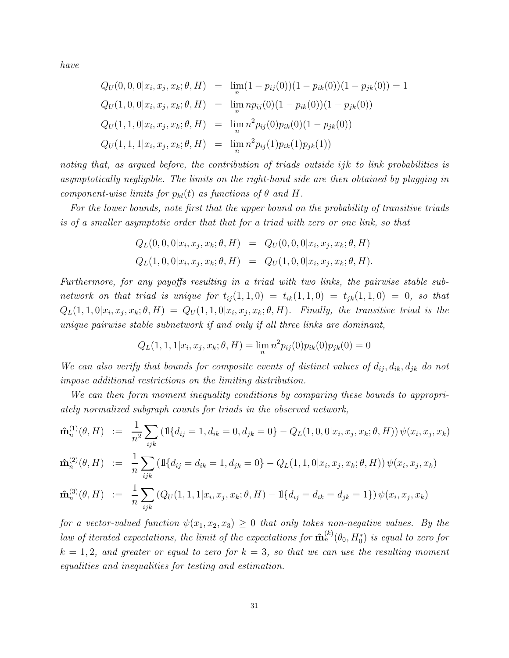have

$$
Q_U(0,0,0|x_i, x_j, x_k; \theta, H) = \lim_{n} (1 - p_{ij}(0))(1 - p_{ik}(0))(1 - p_{jk}(0)) = 1
$$
  
\n
$$
Q_U(1,0,0|x_i, x_j, x_k; \theta, H) = \lim_{n} np_{ij}(0)(1 - p_{ik}(0))(1 - p_{jk}(0))
$$
  
\n
$$
Q_U(1,1,0|x_i, x_j, x_k; \theta, H) = \lim_{n} n^2 p_{ij}(0)p_{ik}(0)(1 - p_{jk}(0))
$$
  
\n
$$
Q_U(1,1,1|x_i, x_j, x_k; \theta, H) = \lim_{n} n^2 p_{ij}(1)p_{ik}(1)p_{jk}(1))
$$

noting that, as argued before, the contribution of triads outside ijk to link probabilities is asymptotically negligible. The limits on the right-hand side are then obtained by plugging in component-wise limits for  $p_{kl}(t)$  as functions of  $\theta$  and H.

For the lower bounds, note first that the upper bound on the probability of transitive triads is of a smaller asymptotic order that that for a triad with zero or one link, so that

$$
Q_L(0,0,0|x_i, x_j, x_k; \theta, H) = Q_U(0,0,0|x_i, x_j, x_k; \theta, H)
$$
  

$$
Q_L(1,0,0|x_i, x_j, x_k; \theta, H) = Q_U(1,0,0|x_i, x_j, x_k; \theta, H).
$$

Furthermore, for any payoffs resulting in a triad with two links, the pairwise stable subnetwork on that triad is unique for  $t_{ij}(1,1,0) = t_{ik}(1,1,0) = t_{jk}(1,1,0) = 0$ , so that  $Q_L(1, 1, 0|x_i, x_j, x_k; \theta, H) = Q_U(1, 1, 0|x_i, x_j, x_k; \theta, H)$ . Finally, the transitive triad is the unique pairwise stable subnetwork if and only if all three links are dominant,

$$
Q_L(1, 1, 1 | x_i, x_j, x_k; \theta, H) = \lim_n n^2 p_{ij}(0) p_{ik}(0) p_{jk}(0) = 0
$$

We can also verify that bounds for composite events of distinct values of  $d_{ij}$ ,  $d_{ik}$ ,  $d_{jk}$  do not impose additional restrictions on the limiting distribution.

We can then form moment inequality conditions by comparing these bounds to appropriately normalized subgraph counts for triads in the observed network,

$$
\hat{\mathbf{m}}_n^{(1)}(\theta, H) \ := \ \frac{1}{n^2} \sum_{ijk} \left( \mathbb{1}\{d_{ij} = 1, d_{ik} = 0, d_{jk} = 0\} - Q_L(1, 0, 0 | x_i, x_j, x_k; \theta, H) \right) \psi(x_i, x_j, x_k)
$$

$$
\hat{\mathbf{m}}_n^{(2)}(\theta, H) := \frac{1}{n} \sum_{ijk} \left( \mathbb{1}\{d_{ij} = d_{ik} = 1, d_{jk} = 0\} - Q_L(1, 1, 0 | x_i, x_j, x_k; \theta, H) \right) \psi(x_i, x_j, x_k)
$$

$$
\hat{\mathbf{m}}_n^{(3)}(\theta, H) \ := \ \frac{1}{n} \sum_{ijk} \left( Q_U(1, 1, 1 | x_i, x_j, x_k; \theta, H) - \mathbb{1} \{ d_{ij} = d_{ik} = d_{jk} = 1 \} \right) \psi(x_i, x_j, x_k)
$$

for a vector-valued function  $\psi(x_1, x_2, x_3) \geq 0$  that only takes non-negative values. By the law of iterated expectations, the limit of the expectations for  $\mathbf{\hat{m}}_n^{(k)}(\theta_0, H_0^*)$  is equal to zero for  $k = 1, 2$ , and greater or equal to zero for  $k = 3$ , so that we can use the resulting moment equalities and inequalities for testing and estimation.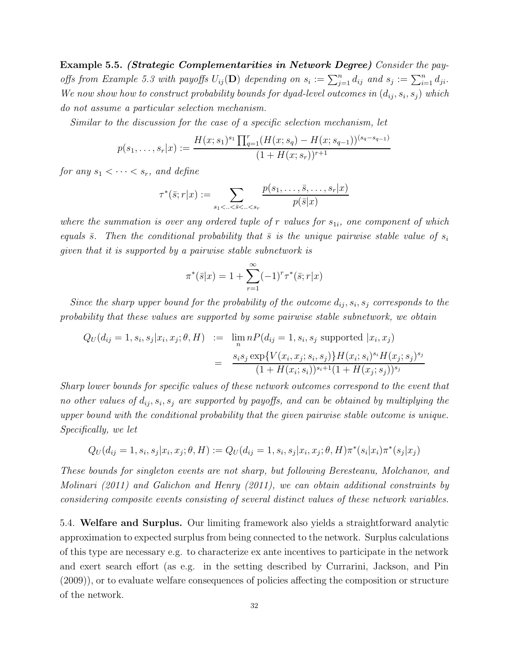Example 5.5. (Strategic Complementarities in Network Degree) Consider the payoffs from Example 5.3 with payoffs  $U_{ij}(\mathbf{D})$  depending on  $s_i := \sum_{j=1}^n d_{ij}$  and  $s_j := \sum_{i=1}^n d_{ji}$ . We now show how to construct probability bounds for dyad-level outcomes in  $(d_{ij}, s_i, s_j)$  which do not assume a particular selection mechanism.

Similar to the discussion for the case of a specific selection mechanism, let

$$
p(s_1, \ldots, s_r | x) := \frac{H(x; s_1)^{s_1} \prod_{q=1}^r (H(x; s_q) - H(x; s_{q-1}))^{(s_q - s_{q-1})}}{(1 + H(x; s_r))^{r+1}}
$$

for any  $s_1 < \cdots < s_r$ , and define

$$
\tau^*(\bar{s};r|x) := \sum_{s_1 < \ldots < \bar{s} < \ldots < s_r} \frac{p(s_1, \ldots, \bar{s}, \ldots, s_r|x)}{p(\bar{s}|x)}
$$

where the summation is over any ordered tuple of r values for  $s_{1i}$ , one component of which equals  $\bar{s}$ . Then the conditional probability that  $\bar{s}$  is the unique pairwise stable value of  $s_i$ given that it is supported by a pairwise stable subnetwork is

$$
\pi^*(\bar{s}|x) = 1 + \sum_{r=1}^{\infty} (-1)^r \tau^*(\bar{s}; r|x)
$$

Since the sharp upper bound for the probability of the outcome  $d_{ij}, s_i, s_j$  corresponds to the probability that these values are supported by some pairwise stable subnetwork, we obtain

$$
Q_U(d_{ij} = 1, s_i, s_j | x_i, x_j; \theta, H) := \lim_{n} n P(d_{ij} = 1, s_i, s_j \text{ supported } | x_i, x_j)
$$
  
= 
$$
\frac{s_i s_j \exp{V(x_i, x_j; s_i, s_j)} H(x_i; s_i)^{s_i} H(x_j; s_j)^{s_j}}{(1 + H(x_i; s_i))^{s_i+1} (1 + H(x_j; s_j))^{s_j}}
$$

Sharp lower bounds for specific values of these network outcomes correspond to the event that no other values of  $d_{ij}, s_i, s_j$  are supported by payoffs, and can be obtained by multiplying the upper bound with the conditional probability that the given pairwise stable outcome is unique. Specifically, we let

$$
Q_U(d_{ij} = 1, s_i, s_j | x_i, x_j; \theta, H) := Q_U(d_{ij} = 1, s_i, s_j | x_i, x_j; \theta, H) \pi^*(s_i | x_i) \pi^*(s_j | x_j)
$$

These bounds for singleton events are not sharp, but following Beresteanu, Molchanov, and Molinari (2011) and Galichon and Henry (2011), we can obtain additional constraints by considering composite events consisting of several distinct values of these network variables.

5.4. Welfare and Surplus. Our limiting framework also yields a straightforward analytic approximation to expected surplus from being connected to the network. Surplus calculations of this type are necessary e.g. to characterize ex ante incentives to participate in the network and exert search effort (as e.g. in the setting described by Currarini, Jackson, and Pin (2009)), or to evaluate welfare consequences of policies affecting the composition or structure of the network.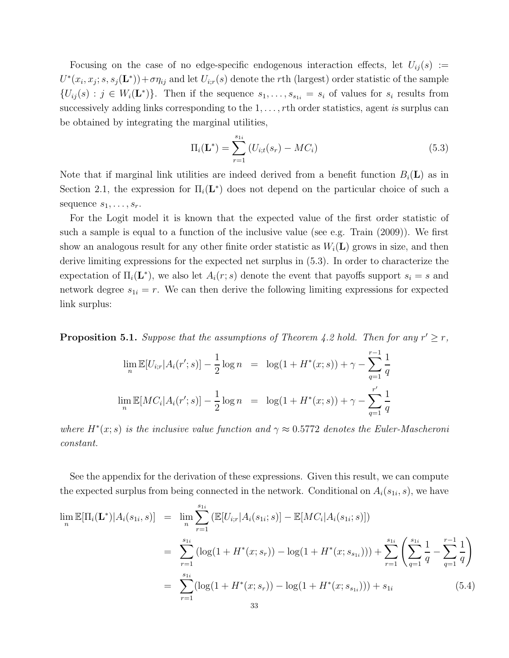Focusing on the case of no edge-specific endogenous interaction effects, let  $U_{ij}(s) :=$  $U^*(x_i, x_j; s, s_j(\mathbf{L}^*)) + \sigma \eta_{ij}$  and let  $U_{i,r}(s)$  denote the rth (largest) order statistic of the sample  ${U_{ij}(s) : j \in W_i(\mathbf{L}^*)\}.$  Then if the sequence  $s_1, \ldots, s_{s_{1i}} = s_i$  of values for  $s_i$  results from successively adding links corresponding to the  $1, \ldots, r$ th order statistics, agent is surplus can be obtained by integrating the marginal utilities,

$$
\Pi_i(\mathbf{L}^*) = \sum_{r=1}^{s_{1i}} \left( U_{i;t}(s_r) - MC_i \right) \tag{5.3}
$$

Note that if marginal link utilities are indeed derived from a benefit function  $B_i(\mathbf{L})$  as in Section 2.1, the expression for  $\Pi_i(\mathbf{L}^*)$  does not depend on the particular choice of such a sequence  $s_1, \ldots, s_r$ .

For the Logit model it is known that the expected value of the first order statistic of such a sample is equal to a function of the inclusive value (see e.g. Train (2009)). We first show an analogous result for any other finite order statistic as  $W_i(\mathbf{L})$  grows in size, and then derive limiting expressions for the expected net surplus in (5.3). In order to characterize the expectation of  $\Pi_i(\mathbf{L}^*)$ , we also let  $A_i(r;s)$  denote the event that payoffs support  $s_i = s$  and network degree  $s_{1i} = r$ . We can then derive the following limiting expressions for expected link surplus:

**Proposition 5.1.** Suppose that the assumptions of Theorem 4.2 hold. Then for any  $r' \geq r$ ,

$$
\lim_{n} \mathbb{E}[U_{i;r}|A_i(r';s)] - \frac{1}{2}\log n = \log(1 + H^*(x;s)) + \gamma - \sum_{q=1}^{r-1} \frac{1}{q}
$$
  

$$
\lim_{n} \mathbb{E}[MC_i|A_i(r';s)] - \frac{1}{2}\log n = \log(1 + H^*(x;s)) + \gamma - \sum_{q=1}^{r'} \frac{1}{q}
$$

where  $H^*(x; s)$  is the inclusive value function and  $\gamma \approx 0.5772$  denotes the Euler-Mascheroni constant.

See the appendix for the derivation of these expressions. Given this result, we can compute the expected surplus from being connected in the network. Conditional on  $A_i(s_{1i}, s)$ , we have

$$
\lim_{n} \mathbb{E}[\Pi_{i}(\mathbf{L}^{*})|A_{i}(s_{1i}, s)] = \lim_{n} \sum_{r=1}^{s_{1i}} (\mathbb{E}[U_{i;r}|A_{i}(s_{1i}; s)] - \mathbb{E}[MC_{i}|A_{i}(s_{1i}; s)])
$$
\n
$$
= \sum_{r=1}^{s_{1i}} (\log(1 + H^{*}(x; s_{r})) - \log(1 + H^{*}(x; s_{s_{1i}}))) + \sum_{r=1}^{s_{1i}} \left(\sum_{q=1}^{s_{1i}} \frac{1}{q} - \sum_{q=1}^{r-1} \frac{1}{q}\right)
$$
\n
$$
= \sum_{r=1}^{s_{1i}} (\log(1 + H^{*}(x; s_{r})) - \log(1 + H^{*}(x; s_{s_{1i}}))) + s_{1i} \tag{5.4}
$$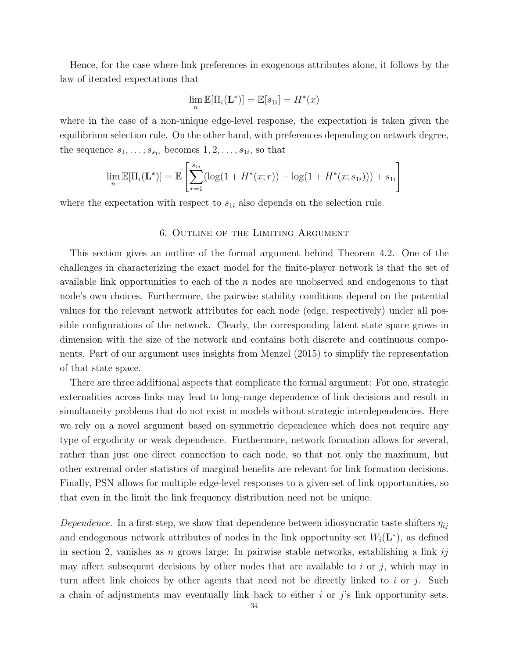Hence, for the case where link preferences in exogenous attributes alone, it follows by the law of iterated expectations that

$$
\lim_n \mathbb{E}[\Pi_i(\mathbf{L}^*)] = \mathbb{E}[s_{1i}] = H^*(x)
$$

where in the case of a non-unique edge-level response, the expectation is taken given the equilibrium selection rule. On the other hand, with preferences depending on network degree, the sequence  $s_1, \ldots, s_{s_{1i}}$  becomes  $1, 2, \ldots, s_{1i}$ , so that

$$
\lim_{n} \mathbb{E}[\Pi_i(\mathbf{L}^*)] = \mathbb{E}\left[\sum_{r=1}^{s_{1i}} (\log(1 + H^*(x; r)) - \log(1 + H^*(x; s_{1i}))) + s_{1i}\right]
$$

where the expectation with respect to  $s_{1i}$  also depends on the selection rule.

### 6. Outline of the Limiting Argument

This section gives an outline of the formal argument behind Theorem 4.2. One of the challenges in characterizing the exact model for the finite-player network is that the set of available link opportunities to each of the  $n$  nodes are unobserved and endogenous to that node's own choices. Furthermore, the pairwise stability conditions depend on the potential values for the relevant network attributes for each node (edge, respectively) under all possible configurations of the network. Clearly, the corresponding latent state space grows in dimension with the size of the network and contains both discrete and continuous components. Part of our argument uses insights from Menzel (2015) to simplify the representation of that state space.

There are three additional aspects that complicate the formal argument: For one, strategic externalities across links may lead to long-range dependence of link decisions and result in simultaneity problems that do not exist in models without strategic interdependencies. Here we rely on a novel argument based on symmetric dependence which does not require any type of ergodicity or weak dependence. Furthermore, network formation allows for several, rather than just one direct connection to each node, so that not only the maximum, but other extremal order statistics of marginal benefits are relevant for link formation decisions. Finally, PSN allows for multiple edge-level responses to a given set of link opportunities, so that even in the limit the link frequency distribution need not be unique.

Dependence. In a first step, we show that dependence between idiosyncratic taste shifters  $\eta_{ij}$ and endogenous network attributes of nodes in the link opportunity set  $W_i(\mathbf{L}^*)$ , as defined in section 2, vanishes as n grows large: In pairwise stable networks, establishing a link ij may affect subsequent decisions by other nodes that are available to i or j, which may in turn affect link choices by other agents that need not be directly linked to i or j. Such a chain of adjustments may eventually link back to either  $i$  or  $j$ 's link opportunity sets.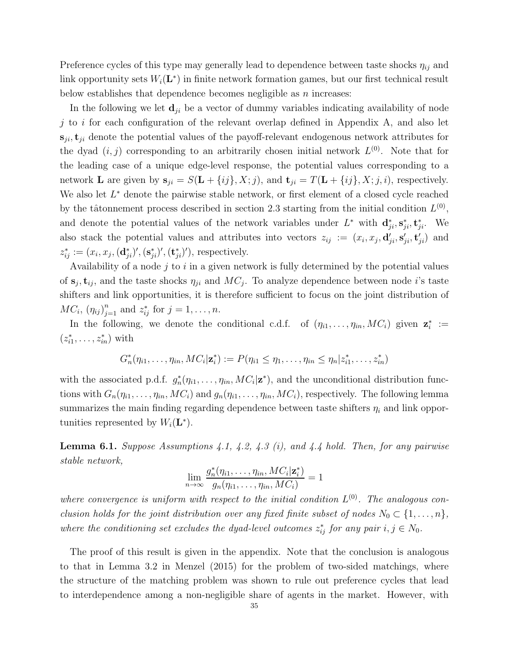Preference cycles of this type may generally lead to dependence between taste shocks  $\eta_{ij}$  and link opportunity sets  $W_i(\mathbf{L}^*)$  in finite network formation games, but our first technical result below establishes that dependence becomes negligible as  $n$  increases:

In the following we let  $\mathbf{d}_{ji}$  be a vector of dummy variables indicating availability of node j to i for each configuration of the relevant overlap defined in Appendix A, and also let  $s_{ji}$ ,  $t_{ji}$  denote the potential values of the payoff-relevant endogenous network attributes for the dyad  $(i, j)$  corresponding to an arbitrarily chosen initial network  $L^{(0)}$ . Note that for the leading case of a unique edge-level response, the potential values corresponding to a network **L** are given by  $\mathbf{s}_{ji} = S(\mathbf{L} + \{ij\}, X; j)$ , and  $\mathbf{t}_{ji} = T(\mathbf{L} + \{ij\}, X; j, i)$ , respectively. We also let  $L^*$  denote the pairwise stable network, or first element of a closed cycle reached by the tâtonnement process described in section 2.3 starting from the initial condition  $L^{(0)}$ , and denote the potential values of the network variables under  $L^*$  with  $\mathbf{d}_{ji}^*, \mathbf{s}_{ji}^*, \mathbf{t}_{ji}^*$ . We also stack the potential values and attributes into vectors  $z_{ij} := (x_i, x_j, \mathbf{d}'_{ji}, \mathbf{s}'_{ji}, \mathbf{t}'_{ji})$  and  $z_{ij}^* := (x_i, x_j, (\mathbf{d}_{ji}^*)', (\mathbf{s}_{ji}^*)', (\mathbf{t}_{ji}^*)')$ , respectively.

Availability of a node  $j$  to  $i$  in a given network is fully determined by the potential values of  $s_j, t_{ij}$ , and the taste shocks  $\eta_{ji}$  and  $MC_j$ . To analyze dependence between node *i*'s taste shifters and link opportunities, it is therefore sufficient to focus on the joint distribution of  $MC_i, (\eta_{ij})_{j=1}^n$  and  $z_{ij}^*$  for  $j = 1, ..., n$ .

In the following, we denote the conditional c.d.f. of  $(\eta_{i1}, \ldots, \eta_{in}, MC_i)$  given  $\mathbf{z}_i^* :=$  $(z_{i1}^*,\ldots,z_{in}^*)$  with

$$
G_n^{\ast}(\eta_{i1},\ldots,\eta_{in},MC_i|\mathbf{z}_i^{\ast}) := P(\eta_{i1} \leq \eta_1,\ldots,\eta_{in} \leq \eta_n|z_{i1}^{\ast},\ldots,z_{in}^{\ast})
$$

with the associated p.d.f.  $g_n^*(\eta_{i1}, \ldots, \eta_{in}, MC_i | \mathbf{z}^*)$ , and the unconditional distribution functions with  $G_n(\eta_{i1}, \ldots, \eta_{in}, MC_i)$  and  $g_n(\eta_{i1}, \ldots, \eta_{in}, MC_i)$ , respectively. The following lemma summarizes the main finding regarding dependence between taste shifters  $\eta_i$  and link opportunities represented by  $W_i(\mathbf{L}^*)$ .

**Lemma 6.1.** Suppose Assumptions 4.1, 4.2, 4.3 (i), and 4.4 hold. Then, for any pairwise stable network,

$$
\lim_{n\to\infty}\frac{g_n^*(\eta_{i1},\ldots,\eta_{in},MC_i|\mathbf{z}_i^*)}{g_n(\eta_{i1},\ldots,\eta_{in},MC_i)}=1
$$

where convergence is uniform with respect to the initial condition  $L^{(0)}$ . The analogous conclusion holds for the joint distribution over any fixed finite subset of nodes  $N_0 \subset \{1, \ldots, n\}$ , where the conditioning set excludes the dyad-level outcomes  $z_{ij}^*$  for any pair  $i, j \in N_0$ .

The proof of this result is given in the appendix. Note that the conclusion is analogous to that in Lemma 3.2 in Menzel (2015) for the problem of two-sided matchings, where the structure of the matching problem was shown to rule out preference cycles that lead to interdependence among a non-negligible share of agents in the market. However, with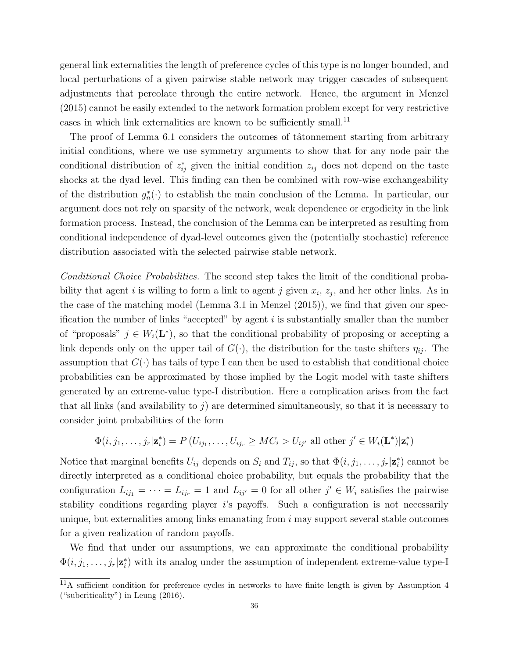general link externalities the length of preference cycles of this type is no longer bounded, and local perturbations of a given pairwise stable network may trigger cascades of subsequent adjustments that percolate through the entire network. Hence, the argument in Menzel (2015) cannot be easily extended to the network formation problem except for very restrictive cases in which link externalities are known to be sufficiently small.<sup>11</sup>

The proof of Lemma 6.1 considers the outcomes of tâtonnement starting from arbitrary initial conditions, where we use symmetry arguments to show that for any node pair the conditional distribution of  $z_{ij}^*$  given the initial condition  $z_{ij}$  does not depend on the taste shocks at the dyad level. This finding can then be combined with row-wise exchangeability of the distribution  $g_n^*(\cdot)$  to establish the main conclusion of the Lemma. In particular, our argument does not rely on sparsity of the network, weak dependence or ergodicity in the link formation process. Instead, the conclusion of the Lemma can be interpreted as resulting from conditional independence of dyad-level outcomes given the (potentially stochastic) reference distribution associated with the selected pairwise stable network.

Conditional Choice Probabilities. The second step takes the limit of the conditional probability that agent *i* is willing to form a link to agent *j* given  $x_i$ ,  $z_j$ , and her other links. As in the case of the matching model (Lemma 3.1 in Menzel (2015)), we find that given our specification the number of links "accepted" by agent  $i$  is substantially smaller than the number of "proposals"  $j \in W_i(\mathbf{L}^*)$ , so that the conditional probability of proposing or accepting a link depends only on the upper tail of  $G(\cdot)$ , the distribution for the taste shifters  $\eta_{ij}$ . The assumption that  $G(\cdot)$  has tails of type I can then be used to establish that conditional choice probabilities can be approximated by those implied by the Logit model with taste shifters generated by an extreme-value type-I distribution. Here a complication arises from the fact that all links (and availability to  $j$ ) are determined simultaneously, so that it is necessary to consider joint probabilities of the form

$$
\Phi(i, j_1, \dots, j_r | \mathbf{z}_i^*) = P(U_{ij_1}, \dots, U_{ij_r} \geq MC_i > U_{ij'}
$$
all other  $j' \in W_i(\mathbf{L}^*) | \mathbf{z}_i^*$ 

Notice that marginal benefits  $U_{ij}$  depends on  $S_i$  and  $T_{ij}$ , so that  $\Phi(i, j_1, \ldots, j_r | \mathbf{z}_i^*)$  cannot be directly interpreted as a conditional choice probability, but equals the probability that the configuration  $L_{ij_1} = \cdots = L_{ij_r} = 1$  and  $L_{ij'} = 0$  for all other  $j' \in W_i$  satisfies the pairwise stability conditions regarding player i's payoffs. Such a configuration is not necessarily unique, but externalities among links emanating from i may support several stable outcomes for a given realization of random payoffs.

We find that under our assumptions, we can approximate the conditional probability  $\Phi(i, j_1, \ldots, j_r | \mathbf{z}_i^*)$  with its analog under the assumption of independent extreme-value type-I

<sup>&</sup>lt;sup>11</sup>A sufficient condition for preference cycles in networks to have finite length is given by Assumption 4 ("subcriticality") in Leung (2016).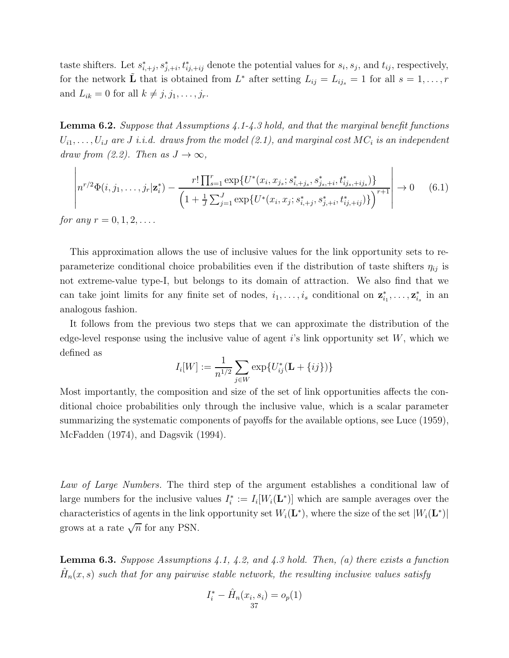taste shifters. Let  $s_{i,+j}^*, s_{j,+i}^*, t_{ij,+ij}^*$  denote the potential values for  $s_i, s_j$ , and  $t_{ij}$ , respectively, for the network  $\tilde{\mathbf{L}}$  that is obtained from  $L^*$  after setting  $L_{ij} = L_{ij_s} = 1$  for all  $s = 1, \ldots, r$ and  $L_{ik} = 0$  for all  $k \neq j, j_1, \ldots, j_r$ .

**Lemma 6.2.** Suppose that Assumptions  $\angle 4.1-\angle 3$  hold, and that the marginal benefit functions  $U_{i1},\ldots,U_{iJ}$  are  $J$  i.i.d. draws from the model (2.1), and marginal cost  $MC_i$  is an independent draw from (2.2). Then as  $J \to \infty$ ,

$$
\left| n^{r/2} \Phi(i, j_1, \dots, j_r | \mathbf{z}_i^*) - \frac{r! \prod_{s=1}^r \exp\{U^*(x_i, x_{j_s}; s_{i, +j_s}^*, s_{j_s, +i}^*, t_{i j_s, +i j_s}^*)\}}{\left(1 + \frac{1}{J} \sum_{j=1}^J \exp\{U^*(x_i, x_j; s_{i, +j}^*, s_{j, +i}^*, t_{i j, +i j}^*)\}\right)^{r+1}} \right| \to 0 \quad (6.1)
$$

*for any*  $r = 0, 1, 2, \ldots$ .

This approximation allows the use of inclusive values for the link opportunity sets to reparameterize conditional choice probabilities even if the distribution of taste shifters  $\eta_{ij}$  is not extreme-value type-I, but belongs to its domain of attraction. We also find that we can take joint limits for any finite set of nodes,  $i_1, \ldots, i_s$  conditional on  $\mathbf{z}_{i_1}^*, \ldots, \mathbf{z}_{i_s}^*$  in an analogous fashion.

It follows from the previous two steps that we can approximate the distribution of the edge-level response using the inclusive value of agent i's link opportunity set  $W$ , which we defined as

$$
I_i[W] := \frac{1}{n^{1/2}} \sum_{j \in W} \exp\{U_{ij}^*(\mathbf{L} + \{ij\})\}
$$

Most importantly, the composition and size of the set of link opportunities affects the conditional choice probabilities only through the inclusive value, which is a scalar parameter summarizing the systematic components of payoffs for the available options, see Luce (1959), McFadden (1974), and Dagsvik (1994).

Law of Large Numbers. The third step of the argument establishes a conditional law of large numbers for the inclusive values  $I_i^* := I_i[W_i(\mathbf{L}^*)]$  which are sample averages over the characteristics of agents in the link opportunity set  $W_i(\mathbf{L}^*)$ , where the size of the set  $|W_i(\mathbf{L}^*)|$ grows at a rate  $\sqrt{n}$  for any PSN.

**Lemma 6.3.** Suppose Assumptions 4.1, 4.2, and 4.3 hold. Then, (a) there exists a function  $\hat{H}_n(x,s)$  such that for any pairwise stable network, the resulting inclusive values satisfy

$$
I_i^* - \hat{H}_n(x_i, s_i) = o_p(1)
$$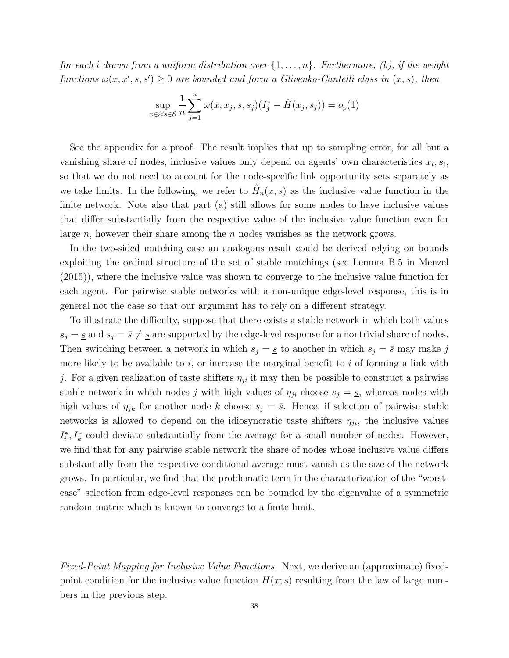for each i drawn from a uniform distribution over  $\{1,\ldots,n\}$ . Furthermore, (b), if the weight functions  $\omega(x, x', s, s') \geq 0$  are bounded and form a Glivenko-Cantelli class in  $(x, s)$ , then

$$
\sup_{x \in \mathcal{X}} \frac{1}{n} \sum_{j=1}^{n} \omega(x, x_j, s, s_j)(I_j^* - \hat{H}(x_j, s_j)) = o_p(1)
$$

See the appendix for a proof. The result implies that up to sampling error, for all but a vanishing share of nodes, inclusive values only depend on agents' own characteristics  $x_i, s_i$ , so that we do not need to account for the node-specific link opportunity sets separately as we take limits. In the following, we refer to  $\hat{H}_n(x,s)$  as the inclusive value function in the finite network. Note also that part (a) still allows for some nodes to have inclusive values that differ substantially from the respective value of the inclusive value function even for large  $n$ , however their share among the  $n$  nodes vanishes as the network grows.

In the two-sided matching case an analogous result could be derived relying on bounds exploiting the ordinal structure of the set of stable matchings (see Lemma B.5 in Menzel (2015)), where the inclusive value was shown to converge to the inclusive value function for each agent. For pairwise stable networks with a non-unique edge-level response, this is in general not the case so that our argument has to rely on a different strategy.

To illustrate the difficulty, suppose that there exists a stable network in which both values  $s_j = s$  and  $s_j = \bar{s} \neq s$  are supported by the edge-level response for a nontrivial share of nodes. Then switching between a network in which  $s_j = s$  to another in which  $s_j = \overline{s}$  may make j more likely to be available to i, or increase the marginal benefit to i of forming a link with j. For a given realization of taste shifters  $\eta_{ji}$  it may then be possible to construct a pairwise stable network in which nodes j with high values of  $\eta_{ji}$  choose  $s_j = s$ , whereas nodes with high values of  $\eta_{jk}$  for another node k choose  $s_j = \bar{s}$ . Hence, if selection of pairwise stable networks is allowed to depend on the idiosyncratic taste shifters  $\eta_{ji}$ , the inclusive values  $I_i^*, I_k^*$  could deviate substantially from the average for a small number of nodes. However, we find that for any pairwise stable network the share of nodes whose inclusive value differs substantially from the respective conditional average must vanish as the size of the network grows. In particular, we find that the problematic term in the characterization of the "worstcase" selection from edge-level responses can be bounded by the eigenvalue of a symmetric random matrix which is known to converge to a finite limit.

Fixed-Point Mapping for Inclusive Value Functions. Next, we derive an (approximate) fixedpoint condition for the inclusive value function  $H(x; s)$  resulting from the law of large numbers in the previous step.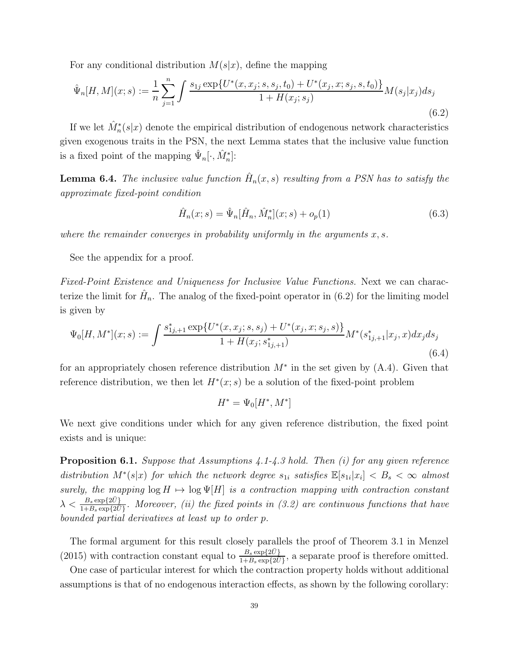For any conditional distribution  $M(s|x)$ , define the mapping

$$
\hat{\Psi}_n[H, M](x; s) := \frac{1}{n} \sum_{j=1}^n \int \frac{s_{1j} \exp\{U^*(x, x_j; s, s_j, t_0) + U^*(x_j, x; s_j, s, t_0)\}}{1 + H(x_j; s_j)} M(s_j | x_j) ds_j
$$
\n(6.2)

If we let  $\hat{M}_n^*(s|x)$  denote the empirical distribution of endogenous network characteristics given exogenous traits in the PSN, the next Lemma states that the inclusive value function is a fixed point of the mapping  $\hat{\Psi}_n[\cdot, \hat{M}_n^*]$ :

**Lemma 6.4.** The inclusive value function  $\hat{H}_n(x,s)$  resulting from a PSN has to satisfy the approximate fixed-point condition

$$
\hat{H}_n(x;s) = \hat{\Psi}_n[\hat{H}_n, \hat{M}_n^*](x;s) + o_p(1)
$$
\n(6.3)

where the remainder converges in probability uniformly in the arguments  $x, s$ .

See the appendix for a proof.

Fixed-Point Existence and Uniqueness for Inclusive Value Functions. Next we can characterize the limit for  $\hat{H}_n$ . The analog of the fixed-point operator in (6.2) for the limiting model is given by

$$
\Psi_0[H, M^*](x; s) := \int \frac{s_{1j, +1}^* \exp\{U^*(x, x_j; s, s_j) + U^*(x_j, x; s_j, s)\}}{1 + H(x_j; s_{1j, +1}^*)} M^*(s_{1j, +1}^* | x_j, x) dx_j ds_j
$$
\n(6.4)

for an appropriately chosen reference distribution  $M^*$  in the set given by  $(A.4)$ . Given that reference distribution, we then let  $H^*(x; s)$  be a solution of the fixed-point problem

$$
H^* = \Psi_0[H^*, M^*]
$$

We next give conditions under which for any given reference distribution, the fixed point exists and is unique:

**Proposition 6.1.** Suppose that Assumptions 4.1-4.3 hold. Then  $(i)$  for any given reference distribution  $M^*(s|x)$  for which the network degree  $s_{1i}$  satisfies  $\mathbb{E}[s_{1i}|x_i] < B_s < \infty$  almost surely, the mapping  $\log H \mapsto \log \Psi[H]$  is a contraction mapping with contraction constant  $\lambda < \frac{B_s \exp\{2\bar{U}\}}{1+B_s \exp\{2\bar{U}\}}$ . Moreover, (ii) the fixed points in (3.2) are continuous functions that have bounded partial derivatives at least up to order p.

The formal argument for this result closely parallels the proof of Theorem 3.1 in Menzel (2015) with contraction constant equal to  $\frac{B_s \exp\{2\bar{U}\}}{1+B_s \exp\{2\bar{U}\}}$ , a separate proof is therefore omitted.

One case of particular interest for which the contraction property holds without additional assumptions is that of no endogenous interaction effects, as shown by the following corollary: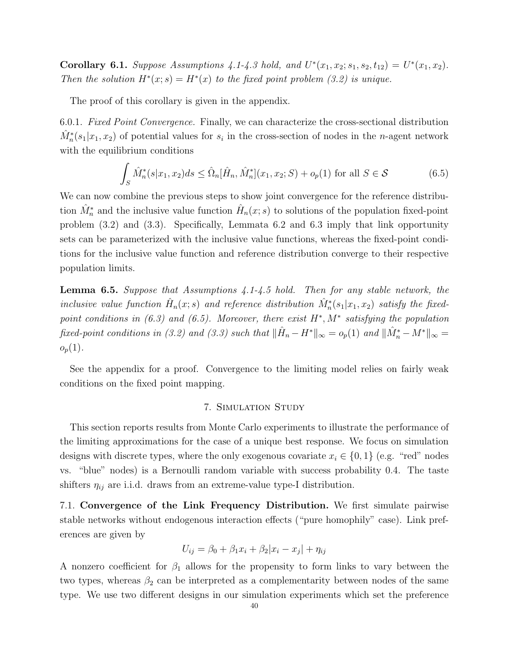**Corollary 6.1.** Suppose Assumptions 4.1-4.3 hold, and  $U^*(x_1, x_2; s_1, s_2, t_{12}) = U^*(x_1, x_2)$ . Then the solution  $H^*(x; s) = H^*(x)$  to the fixed point problem (3.2) is unique.

The proof of this corollary is given in the appendix.

6.0.1. Fixed Point Convergence. Finally, we can characterize the cross-sectional distribution  $\hat{M}_n^*(s_1|x_1, x_2)$  of potential values for  $s_i$  in the cross-section of nodes in the *n*-agent network with the equilibrium conditions

$$
\int_{S} \hat{M}_{n}^{*}(s|x_{1}, x_{2})ds \leq \hat{\Omega}_{n}[\hat{H}_{n}, \hat{M}_{n}^{*}](x_{1}, x_{2}; S) + o_{p}(1) \text{ for all } S \in \mathcal{S}
$$
\n(6.5)

We can now combine the previous steps to show joint convergence for the reference distribution  $\hat{M}_n^*$  and the inclusive value function  $\hat{H}_n(x; s)$  to solutions of the population fixed-point problem (3.2) and (3.3). Specifically, Lemmata 6.2 and 6.3 imply that link opportunity sets can be parameterized with the inclusive value functions, whereas the fixed-point conditions for the inclusive value function and reference distribution converge to their respective population limits.

**Lemma 6.5.** Suppose that Assumptions  $\frac{1}{4}$ . 1- $\frac{1}{4}$ . 5 hold. Then for any stable network, the inclusive value function  $\hat{H}_n(x; s)$  and reference distribution  $\hat{M}_n^*(s_1|x_1, x_2)$  satisfy the fixedpoint conditions in  $(6.3)$  and  $(6.5)$ . Moreover, there exist  $H^*, M^*$  satisfying the population fixed-point conditions in (3.2) and (3.3) such that  $\|\hat{H}_n - H^*\|_{\infty} = o_p(1)$  and  $\|\hat{M}^*_n - M^*\|_{\infty} = o_p(1)$  $o_p(1)$ .

See the appendix for a proof. Convergence to the limiting model relies on fairly weak conditions on the fixed point mapping.

## 7. Simulation Study

This section reports results from Monte Carlo experiments to illustrate the performance of the limiting approximations for the case of a unique best response. We focus on simulation designs with discrete types, where the only exogenous covariate  $x_i \in \{0, 1\}$  (e.g. "red" nodes vs. "blue" nodes) is a Bernoulli random variable with success probability 0.4. The taste shifters  $\eta_{ij}$  are i.i.d. draws from an extreme-value type-I distribution.

7.1. Convergence of the Link Frequency Distribution. We first simulate pairwise stable networks without endogenous interaction effects ("pure homophily" case). Link preferences are given by

$$
U_{ij} = \beta_0 + \beta_1 x_i + \beta_2 |x_i - x_j| + \eta_{ij}
$$

A nonzero coefficient for  $\beta_1$  allows for the propensity to form links to vary between the two types, whereas  $\beta_2$  can be interpreted as a complementarity between nodes of the same type. We use two different designs in our simulation experiments which set the preference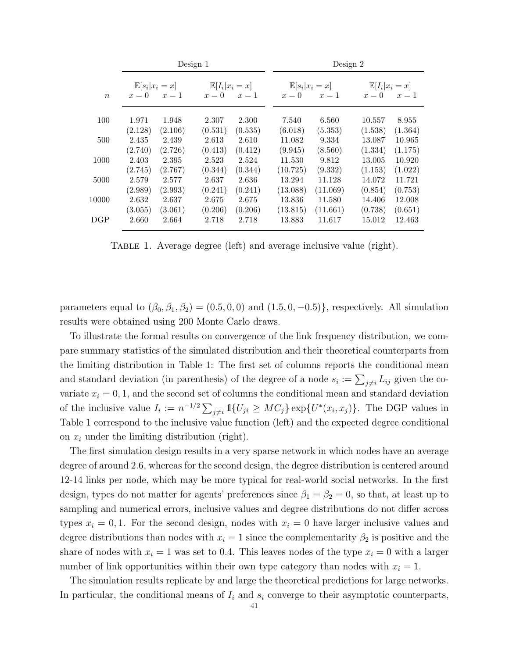|                  | Design 1                                  |                  |                  |                                  |  | Design 2                                  |                    |  |                                           |                   |
|------------------|-------------------------------------------|------------------|------------------|----------------------------------|--|-------------------------------------------|--------------------|--|-------------------------------------------|-------------------|
| $\boldsymbol{n}$ | $\mathbb{E}[s_i x_i=x]$<br>$x=1$<br>$x=0$ |                  | $x=0$            | $\mathbb{E}[I_i x_i=x]$<br>$x=1$ |  | $\mathbb{E}[s_i x_i=x]$<br>$x=0$<br>$x=1$ |                    |  | $\mathbb{E}[I_i x_i=x]$<br>$x=0$<br>$x=1$ |                   |
| 100              | 1.971                                     | 1.948            | 2.307            | 2.300                            |  | 7.540                                     | 6.560              |  | 10.557                                    | 8.955             |
| 500              | (2.128)<br>2.435                          | (2.106)<br>2.439 | (0.531)<br>2.613 | (0.535)<br>2.610                 |  | (6.018)<br>11.082                         | (5.353)<br>9.334   |  | (1.538)<br>13.087                         | (1.364)<br>10.965 |
| 1000             | (2.740)<br>2.403                          | (2.726)<br>2.395 | (0.413)<br>2.523 | (0.412)<br>2.524                 |  | (9.945)<br>11.530                         | (8.560)<br>9.812   |  | (1.334)<br>13.005                         | (1.175)<br>10.920 |
|                  | (2.745)                                   | (2.767)          | (0.344)          | (0.344)                          |  | (10.725)                                  | (9.332)            |  | (1.153)                                   | (1.022)           |
| 5000             | 2.579<br>(2.989)                          | 2.577<br>(2.993) | 2.637<br>(0.241) | 2.636<br>(0.241)                 |  | 13.294<br>(13.088)                        | 11.128<br>(11.069) |  | 14.072<br>(0.854)                         | 11.721<br>(0.753) |
| 10000            | 2.632<br>(3.055)                          | 2.637<br>(3.061) | 2.675<br>(0.206) | 2.675<br>(0.206)                 |  | 13.836<br>(13.815)                        | 11.580<br>(11.661) |  | 14.406<br>(0.738)                         | 12.008<br>(0.651) |
| DGP              | 2.660                                     | 2.664            | 2.718            | 2.718                            |  | 13.883                                    | 11.617             |  | 15.012                                    | 12.463            |
|                  |                                           |                  |                  |                                  |  |                                           |                    |  |                                           |                   |

TABLE 1. Average degree (left) and average inclusive value (right).

parameters equal to  $(\beta_0, \beta_1, \beta_2) = (0.5, 0, 0)$  and  $(1.5, 0, -0.5)$ , respectively. All simulation results were obtained using 200 Monte Carlo draws.

To illustrate the formal results on convergence of the link frequency distribution, we compare summary statistics of the simulated distribution and their theoretical counterparts from the limiting distribution in Table 1: The first set of columns reports the conditional mean and standard deviation (in parenthesis) of the degree of a node  $s_i := \sum_{j \neq i} L_{ij}$  given the covariate  $x_i = 0, 1$ , and the second set of columns the conditional mean and standard deviation of the inclusive value  $I_i := n^{-1/2} \sum_{j \neq i} \mathbb{1}{U_{ji} \geq MC_j} \exp\{U^*(x_i, x_j)\}.$  The DGP values in Table 1 correspond to the inclusive value function (left) and the expected degree conditional on  $x_i$  under the limiting distribution (right).

The first simulation design results in a very sparse network in which nodes have an average degree of around 2.6, whereas for the second design, the degree distribution is centered around 12-14 links per node, which may be more typical for real-world social networks. In the first design, types do not matter for agents' preferences since  $\beta_1 = \beta_2 = 0$ , so that, at least up to sampling and numerical errors, inclusive values and degree distributions do not differ across types  $x_i = 0, 1$ . For the second design, nodes with  $x_i = 0$  have larger inclusive values and degree distributions than nodes with  $x_i = 1$  since the complementarity  $\beta_2$  is positive and the share of nodes with  $x_i = 1$  was set to 0.4. This leaves nodes of the type  $x_i = 0$  with a larger number of link opportunities within their own type category than nodes with  $x_i = 1$ .

The simulation results replicate by and large the theoretical predictions for large networks. In particular, the conditional means of  $I_i$  and  $s_i$  converge to their asymptotic counterparts,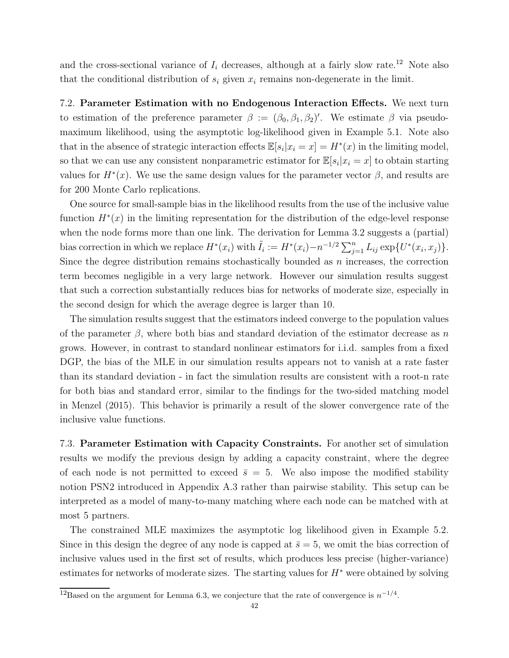and the cross-sectional variance of  $I_i$  decreases, although at a fairly slow rate.<sup>12</sup> Note also that the conditional distribution of  $s_i$  given  $x_i$  remains non-degenerate in the limit.

7.2. Parameter Estimation with no Endogenous Interaction Effects. We next turn to estimation of the preference parameter  $\beta := (\beta_0, \beta_1, \beta_2)'$ . We estimate  $\beta$  via pseudomaximum likelihood, using the asymptotic log-likelihood given in Example 5.1. Note also that in the absence of strategic interaction effects  $\mathbb{E}[s_i|x_i=x] = H^*(x)$  in the limiting model, so that we can use any consistent nonparametric estimator for  $\mathbb{E}[s_i | x_i = x]$  to obtain starting values for  $H^*(x)$ . We use the same design values for the parameter vector  $\beta$ , and results are for 200 Monte Carlo replications.

One source for small-sample bias in the likelihood results from the use of the inclusive value function  $H^*(x)$  in the limiting representation for the distribution of the edge-level response when the node forms more than one link. The derivation for Lemma 3.2 suggests a (partial) bias correction in which we replace  $H^*(x_i)$  with  $\tilde{I}_i := H^*(x_i) - n^{-1/2} \sum_{j=1}^n L_{ij} \exp\{U^*(x_i, x_j)\}.$ Since the degree distribution remains stochastically bounded as  $n$  increases, the correction term becomes negligible in a very large network. However our simulation results suggest that such a correction substantially reduces bias for networks of moderate size, especially in the second design for which the average degree is larger than 10.

The simulation results suggest that the estimators indeed converge to the population values of the parameter  $\beta$ , where both bias and standard deviation of the estimator decrease as n grows. However, in contrast to standard nonlinear estimators for i.i.d. samples from a fixed DGP, the bias of the MLE in our simulation results appears not to vanish at a rate faster than its standard deviation - in fact the simulation results are consistent with a root-n rate for both bias and standard error, similar to the findings for the two-sided matching model in Menzel (2015). This behavior is primarily a result of the slower convergence rate of the inclusive value functions.

7.3. Parameter Estimation with Capacity Constraints. For another set of simulation results we modify the previous design by adding a capacity constraint, where the degree of each node is not permitted to exceed  $\bar{s} = 5$ . We also impose the modified stability notion PSN2 introduced in Appendix A.3 rather than pairwise stability. This setup can be interpreted as a model of many-to-many matching where each node can be matched with at most 5 partners.

The constrained MLE maximizes the asymptotic log likelihood given in Example 5.2. Since in this design the degree of any node is capped at  $\bar{s} = 5$ , we omit the bias correction of inclusive values used in the first set of results, which produces less precise (higher-variance) estimates for networks of moderate sizes. The starting values for  $H^*$  were obtained by solving

<sup>&</sup>lt;sup>12</sup>Based on the argument for Lemma 6.3, we conjecture that the rate of convergence is  $n^{-1/4}$ .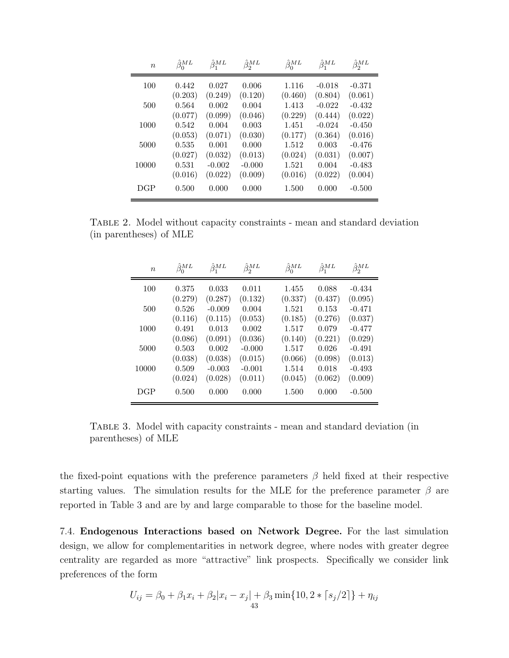| $\boldsymbol{n}$ | $\hat{\beta}_0^{ML}$ | $\hat{\beta}_1^{ML}$ | $\hat{\beta}_2^{ML}$ | $\hat{\beta}_0^{ML}$ | $\hat{\beta}_1^{ML}$ | $\hat{\beta}_2^{ML}$ |
|------------------|----------------------|----------------------|----------------------|----------------------|----------------------|----------------------|
| 100              | 0.442                | 0.027                | 0.006                | 1.116                | $-0.018$             | $-0.371$             |
|                  | (0.203)              | (0.249)              | (0.120)              | (0.460)              | (0.804)              | (0.061)              |
| 500              | 0.564<br>(0.077)     | 0.002<br>(0.099)     | 0.004<br>(0.046)     | 1.413<br>(0.229)     | $-0.022$<br>(0.444)  | $-0.432$<br>(0.022)  |
| 1000             | 0.542                | 0.004                | 0.003                | 1.451                | $-0.024$             | $-0.450$             |
| 5000             | (0.053)              | (0.071)<br>0.001     | (0.030)              | (0.177)<br>1.512     | (0.364)              | (0.016)              |
|                  | 0.535<br>(0.027)     | (0.032)              | 0.000<br>(0.013)     | (0.024)              | 0.003<br>(0.031)     | $-0.476$<br>(0.007)  |
| 10000            | 0.531                | $-0.002$             | $-0.000$             | 1.521                | 0.004                | $-0.483$             |
|                  | (0.016)              | (0.022)              | (0.009)              | (0.016)              | (0.022)              | (0.004)              |
| DGP              | 0.500                | 0.000                | 0.000                | 1.500                | 0.000                | $-0.500$             |

Table 2. Model without capacity constraints - mean and standard deviation (in parentheses) of MLE

| $\boldsymbol{n}$ | $\hat{\beta}_0^{ML}$ | $\hat{\beta}_1^{ML}$ | $\hat{\beta}_2^{ML}$ | $\hat{\beta}_0^{ML}$ | $\hat{\beta}_1^{ML}$ | $\hat{\beta}_2^{ML}$ |
|------------------|----------------------|----------------------|----------------------|----------------------|----------------------|----------------------|
| 100              | 0.375                | 0.033                | 0.011                | 1.455                | 0.088                | $-0.434$             |
| 500              | (0.279)<br>0.526     | (0.287)<br>$-0.009$  | (0.132)<br>0.004     | (0.337)<br>1.521     | (0.437)<br>0.153     | (0.095)<br>$-0.471$  |
|                  | (0.116)              | (0.115)              | (0.053)              | (0.185)              | (0.276)              | (0.037)              |
| 1000             | 0.491                | 0.013                | 0.002                | 1.517                | 0.079                | $-0.477$             |
| 5000             | (0.086)<br>0.503     | (0.091)<br>0.002     | (0.036)<br>$-0.000$  | (0.140)<br>1.517     | (0.221)<br>0.026     | (0.029)<br>$-0.491$  |
|                  | (0.038)              | (0.038)              | (0.015)              | (0.066)              | (0.098)              | (0.013)              |
| 10000            | 0.509<br>(0.024)     | $-0.003$<br>(0.028)  | $-0.001$<br>(0.011)  | 1.514<br>(0.045)     | 0.018<br>(0.062)     | $-0.493$<br>(0.009)  |
| DGP              | 0.500                | 0.000                | 0.000                | 1.500                | 0.000                | $-0.500$             |

Table 3. Model with capacity constraints - mean and standard deviation (in parentheses) of MLE

the fixed-point equations with the preference parameters  $\beta$  held fixed at their respective starting values. The simulation results for the MLE for the preference parameter  $\beta$  are reported in Table 3 and are by and large comparable to those for the baseline model.

7.4. Endogenous Interactions based on Network Degree. For the last simulation design, we allow for complementarities in network degree, where nodes with greater degree centrality are regarded as more "attractive" link prospects. Specifically we consider link preferences of the form

$$
U_{ij} = \beta_0 + \beta_1 x_i + \beta_2 |x_i - x_j| + \beta_3 \min\{10, 2 \cdot \lceil s_j/2 \rceil\} + \eta_{ij}
$$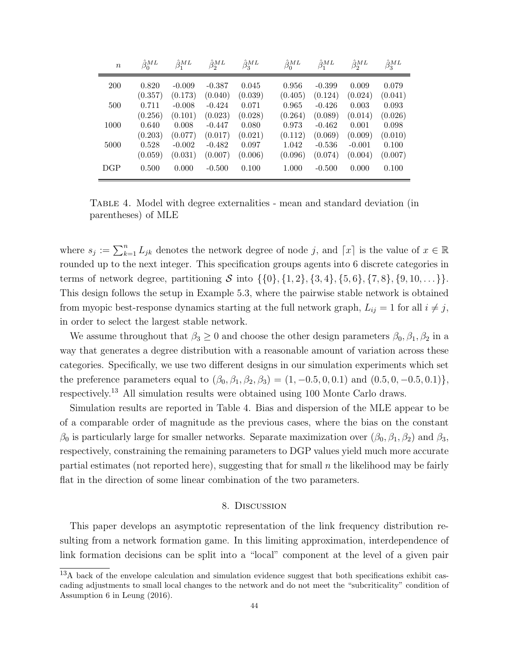| $\boldsymbol{n}$ | $\hat{\beta}_0^{ML}$ | $\hat{\beta}_1^{ML}$ | $\hat{\beta}_2^{ML}$ | $\hat{\beta}_3^{ML}$ | $\hat{\beta}_0^{ML}$ | $\hat{\beta}_1^{ML}$ | $\hat{\beta}_2^{ML}$ | $\hat{\beta}_3^{ML}$ |
|------------------|----------------------|----------------------|----------------------|----------------------|----------------------|----------------------|----------------------|----------------------|
| <b>200</b>       | 0.820                | $-0.009$             | $-0.387$             | 0.045                | 0.956                | $-0.399$             | 0.009                | 0.079                |
|                  | (0.357)              | (0.173)              | (0.040)              | (0.039)              | (0.405)              | (0.124)              | (0.024)              | (0.041)              |
| 500              | 0.711                | $-0.008$             | $-0.424$             | 0.071                | 0.965                | $-0.426$             | 0.003                | 0.093                |
|                  | (0.256)              | (0.101)              | (0.023)              | (0.028)              | (0.264)              | (0.089)              | (0.014)              | (0.026)              |
| 1000             | 0.640                | 0.008                | $-0.447$             | 0.080                | 0.973                | $-0.462$             | 0.001                | 0.098                |
|                  | (0.203)              | (0.077)              | (0.017)              | (0.021)              | (0.112)              | (0.069)              | (0.009)              | (0.010)              |
| 5000             | 0.528                | $-0.002$             | $-0.482$             | 0.097                | 1.042                | $-0.536$             | $-0.001$             | 0.100                |
|                  | (0.059)              | (0.031)              | (0.007)              | (0.006)              | (0.096)              | (0.074)              | (0.004)              | (0.007)              |
| DGP              | 0.500                | 0.000                | $-0.500$             | 0.100                | 1.000                | $-0.500$             | 0.000                | 0.100                |

Table 4. Model with degree externalities - mean and standard deviation (in parentheses) of MLE

where  $s_j := \sum_{k=1}^n L_{jk}$  denotes the network degree of node j, and  $\lceil x \rceil$  is the value of  $x \in \mathbb{R}$ rounded up to the next integer. This specification groups agents into 6 discrete categories in terms of network degree, partitioning S into  $\{\{0\},\{1,2\},\{3,4\},\{5,6\},\{7,8\},\{9,10,\ldots\}\}.$ This design follows the setup in Example 5.3, where the pairwise stable network is obtained from myopic best-response dynamics starting at the full network graph,  $L_{ij} = 1$  for all  $i \neq j$ , in order to select the largest stable network.

We assume throughout that  $\beta_3 \geq 0$  and choose the other design parameters  $\beta_0, \beta_1, \beta_2$  in a way that generates a degree distribution with a reasonable amount of variation across these categories. Specifically, we use two different designs in our simulation experiments which set the preference parameters equal to  $(\beta_0, \beta_1, \beta_2, \beta_3) = (1, -0.5, 0, 0.1)$  and  $(0.5, 0, -0.5, 0.1)$ , respectively.<sup>13</sup> All simulation results were obtained using 100 Monte Carlo draws.

Simulation results are reported in Table 4. Bias and dispersion of the MLE appear to be of a comparable order of magnitude as the previous cases, where the bias on the constant  $\beta_0$  is particularly large for smaller networks. Separate maximization over  $(\beta_0, \beta_1, \beta_2)$  and  $\beta_3$ , respectively, constraining the remaining parameters to DGP values yield much more accurate partial estimates (not reported here), suggesting that for small  $n$  the likelihood may be fairly flat in the direction of some linear combination of the two parameters.

#### 8. Discussion

This paper develops an asymptotic representation of the link frequency distribution resulting from a network formation game. In this limiting approximation, interdependence of link formation decisions can be split into a "local" component at the level of a given pair

<sup>&</sup>lt;sup>13</sup>A back of the envelope calculation and simulation evidence suggest that both specifications exhibit cascading adjustments to small local changes to the network and do not meet the "subcriticality" condition of Assumption 6 in Leung (2016).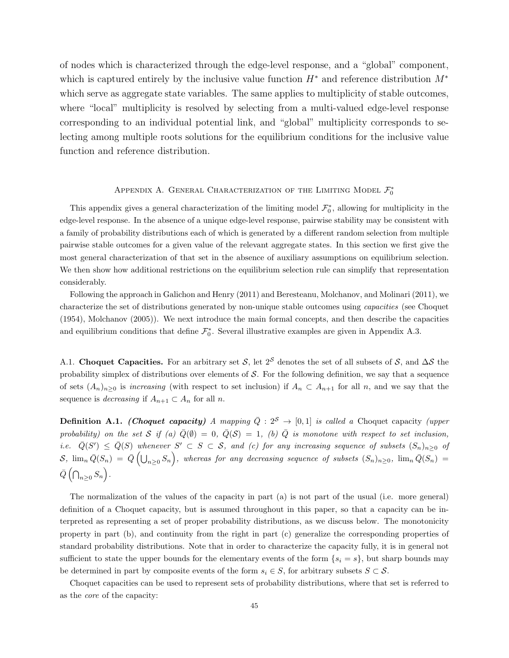of nodes which is characterized through the edge-level response, and a "global" component, which is captured entirely by the inclusive value function  $H^*$  and reference distribution  $M^*$ which serve as aggregate state variables. The same applies to multiplicity of stable outcomes, where "local" multiplicity is resolved by selecting from a multi-valued edge-level response corresponding to an individual potential link, and "global" multiplicity corresponds to selecting among multiple roots solutions for the equilibrium conditions for the inclusive value function and reference distribution.

# APPENDIX A. GENERAL CHARACTERIZATION OF THE LIMITING MODEL  $\mathcal{F}_0^*$

This appendix gives a general characterization of the limiting model  $\mathcal{F}_0^*$ , allowing for multiplicity in the edge-level response. In the absence of a unique edge-level response, pairwise stability may be consistent with a family of probability distributions each of which is generated by a different random selection from multiple pairwise stable outcomes for a given value of the relevant aggregate states. In this section we first give the most general characterization of that set in the absence of auxiliary assumptions on equilibrium selection. We then show how additional restrictions on the equilibrium selection rule can simplify that representation considerably.

Following the approach in Galichon and Henry (2011) and Beresteanu, Molchanov, and Molinari (2011), we characterize the set of distributions generated by non-unique stable outcomes using capacities (see Choquet (1954), Molchanov (2005)). We next introduce the main formal concepts, and then describe the capacities and equilibrium conditions that define  $\mathcal{F}_0^*$ . Several illustrative examples are given in Appendix A.3.

A.1. Choquet Capacities. For an arbitrary set S, let 2<sup>S</sup> denotes the set of all subsets of S, and  $\Delta S$  the probability simplex of distributions over elements of  $S$ . For the following definition, we say that a sequence of sets  $(A_n)_{n\geq 0}$  is *increasing* (with respect to set inclusion) if  $A_n \subset A_{n+1}$  for all n, and we say that the sequence is *decreasing* if  $A_{n+1} \subset A_n$  for all *n*.

**Definition A.1.** (Choquet capacity) A mapping  $\overline{Q}$  :  $2^S \rightarrow [0,1]$  is called a Choquet capacity (upper probability) on the set S if (a)  $\overline{Q}(\emptyset) = 0$ ,  $\overline{Q}(S) = 1$ , (b)  $\overline{Q}$  is monotone with respect to set inclusion, i.e.  $\overline{Q}(S') \leq \overline{Q}(S)$  whenever  $S' \subset S \subset S$ , and (c) for any increasing sequence of subsets  $(S_n)_{n\geq 0}$  of  $S$ ,  $\lim_n \bar{Q}(S_n) = \bar{Q}(\bigcup_{n\geq 0} S_n)$ , whereas for any decreasing sequence of subsets  $(S_n)_{n\geq 0}$ ,  $\lim_n \bar{Q}(S_n) =$  $\bar{Q}(\bigcap_{n\geq 0} S_n).$ 

The normalization of the values of the capacity in part (a) is not part of the usual (i.e. more general) definition of a Choquet capacity, but is assumed throughout in this paper, so that a capacity can be interpreted as representing a set of proper probability distributions, as we discuss below. The monotonicity property in part (b), and continuity from the right in part (c) generalize the corresponding properties of standard probability distributions. Note that in order to characterize the capacity fully, it is in general not sufficient to state the upper bounds for the elementary events of the form  $\{s_i = s\}$ , but sharp bounds may be determined in part by composite events of the form  $s_i \in S$ , for arbitrary subsets  $S \subset S$ .

Choquet capacities can be used to represent sets of probability distributions, where that set is referred to as the core of the capacity: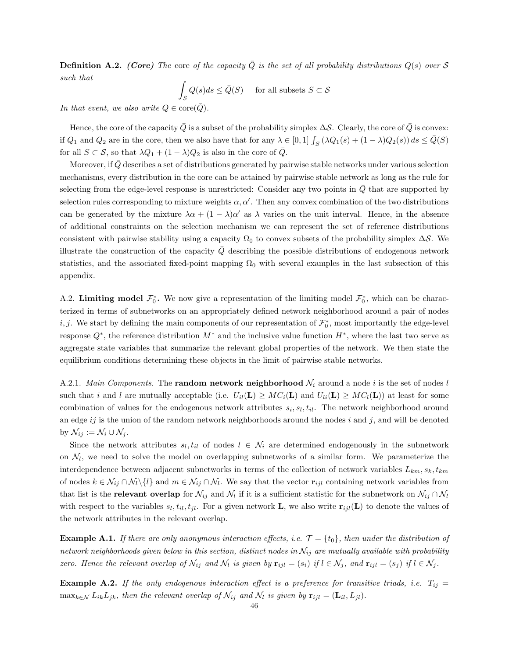**Definition A.2.** (Core) The core of the capacity  $\overline{Q}$  is the set of all probability distributions  $Q(s)$  over S such that

$$
\int_{S} Q(s)ds \le \bar{Q}(S) \quad \text{ for all subsets } S \subset \mathcal{S}
$$

In that event, we also write  $Q \in \text{core}(Q)$ .

Hence, the core of the capacity  $\overline{Q}$  is a subset of the probability simplex  $\Delta S$ . Clearly, the core of  $\overline{Q}$  is convex: if  $Q_1$  and  $Q_2$  are in the core, then we also have that for any  $\lambda \in [0,1]$   $\int_S (\lambda Q_1(s) + (1-\lambda)Q_2(s)) ds \le \overline{Q}(S)$ for all  $S \subset S$ , so that  $\lambda Q_1 + (1 - \lambda)Q_2$  is also in the core of  $\overline{Q}$ .

Moreover, if  $\overline{Q}$  describes a set of distributions generated by pairwise stable networks under various selection mechanisms, every distribution in the core can be attained by pairwise stable network as long as the rule for selecting from the edge-level response is unrestricted: Consider any two points in  $Q$  that are supported by selection rules corresponding to mixture weights  $\alpha, \alpha'$ . Then any convex combination of the two distributions can be generated by the mixture  $\lambda \alpha + (1 - \lambda) \alpha'$  as  $\lambda$  varies on the unit interval. Hence, in the absence of additional constraints on the selection mechanism we can represent the set of reference distributions consistent with pairwise stability using a capacity  $\Omega_0$  to convex subsets of the probability simplex  $\Delta S$ . We illustrate the construction of the capacity  $\overline{Q}$  describing the possible distributions of endogenous network statistics, and the associated fixed-point mapping  $\Omega_0$  with several examples in the last subsection of this appendix.

A.2. Limiting model  $\mathcal{F}_0^*$ . We now give a representation of the limiting model  $\mathcal{F}_0^*$ , which can be characterized in terms of subnetworks on an appropriately defined network neighborhood around a pair of nodes i, j. We start by defining the main components of our representation of  $\mathcal{F}_0^*$ , most importantly the edge-level response  $Q^*$ , the reference distribution  $M^*$  and the inclusive value function  $H^*$ , where the last two serve as aggregate state variables that summarize the relevant global properties of the network. We then state the equilibrium conditions determining these objects in the limit of pairwise stable networks.

A.2.1. Main Components. The **random network neighborhood**  $\mathcal{N}_i$  around a node i is the set of nodes l such that i and l are mutually acceptable (i.e.  $U_{il}(\mathbf{L}) \geq MC_i(\mathbf{L})$  and  $U_{li}(\mathbf{L}) \geq MC_i(\mathbf{L})$ ) at least for some combination of values for the endogenous network attributes  $s_i, s_l, t_{il}$ . The network neighborhood around an edge  $ij$  is the union of the random network neighborhoods around the nodes i and j, and will be denoted by  $\mathcal{N}_{ij} := \mathcal{N}_i \cup \mathcal{N}_j$ .

Since the network attributes  $s_l, t_{il}$  of nodes  $l \in \mathcal{N}_i$  are determined endogenously in the subnetwork on  $\mathcal{N}_l$ , we need to solve the model on overlapping subnetworks of a similar form. We parameterize the interdependence between adjacent subnetworks in terms of the collection of network variables  $L_{km}$ ,  $s_k$ ,  $t_{km}$ of nodes  $k \in \mathcal{N}_{ij} \cap \mathcal{N}_l \setminus \{l\}$  and  $m \in \mathcal{N}_{ij} \cap \mathcal{N}_l$ . We say that the vector  $\mathbf{r}_{ijl}$  containing network variables from that list is the **relevant overlap** for  $\mathcal{N}_{ij}$  and  $\mathcal{N}_l$  if it is a sufficient statistic for the subnetwork on  $\mathcal{N}_{ij} \cap \mathcal{N}_l$ with respect to the variables  $s_l, t_{il}, t_{jl}$ . For a given network **L**, we also write  $\mathbf{r}_{ijl}(\mathbf{L})$  to denote the values of the network attributes in the relevant overlap.

**Example A.1.** If there are only anonymous interaction effects, i.e.  $\mathcal{T} = \{t_0\}$ , then under the distribution of network neighborhoods given below in this section, distinct nodes in  $\mathcal{N}_{ij}$  are mutually available with probability zero. Hence the relevant overlap of  $\mathcal{N}_{ij}$  and  $\mathcal{N}_l$  is given by  $\mathbf{r}_{ijl} = (s_i)$  if  $l \in \mathcal{N}_j$ , and  $\mathbf{r}_{ijl} = (s_j)$  if  $l \in \mathcal{N}_j$ .

**Example A.2.** If the only endogenous interaction effect is a preference for transitive triads, i.e.  $T_{ij} =$  $\max_{k \in \mathcal{N}} L_{ik} L_{jk}$ , then the relevant overlap of  $\mathcal{N}_{ij}$  and  $\mathcal{N}_l$  is given by  $\mathbf{r}_{ijl} = (\mathbf{L}_{il}, L_{jl})$ .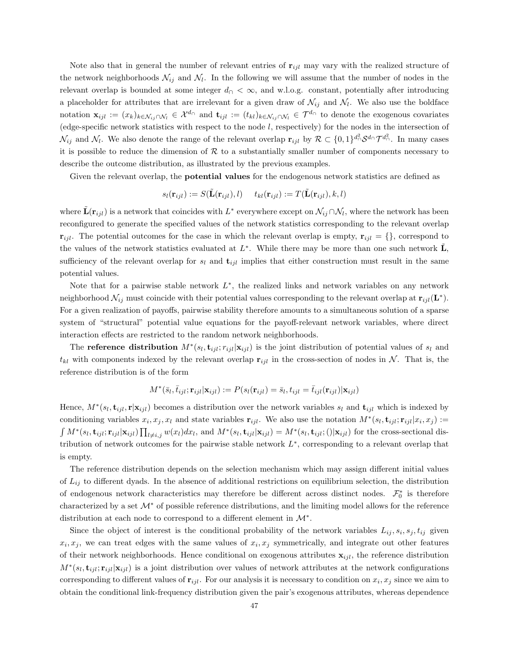Note also that in general the number of relevant entries of  $\mathbf{r}_{ijl}$  may vary with the realized structure of the network neighborhoods  $\mathcal{N}_{ij}$  and  $\mathcal{N}_l$ . In the following we will assume that the number of nodes in the relevant overlap is bounded at some integer  $d<\infty$ , and w.l.o.g. constant, potentially after introducing a placeholder for attributes that are irrelevant for a given draw of  $\mathcal{N}_{ij}$  and  $\mathcal{N}_l$ . We also use the boldface notation  $\mathbf{x}_{ijl} := (x_k)_{k \in \mathcal{N}_{ij} \cap \mathcal{N}_l} \in \mathcal{X}^{d_{\cap}}$  and  $\mathbf{t}_{ijl} := (t_{kl})_{k \in \mathcal{N}_{ij} \cap \mathcal{N}_l} \in \mathcal{T}^{d_{\cap}}$  to denote the exogenous covariates (edge-specific network statistics with respect to the node  $l$ , respectively) for the nodes in the intersection of  $\mathcal{N}_{ij}$  and  $\mathcal{N}_l$ . We also denote the range of the relevant overlap  $\mathbf{r}_{ijl}$  by  $\mathcal{R} \subset \{0,1\}^{d^2} \cap \mathcal{T}^{d^2} \cap \mathcal{T}^{d^2} \cap \mathcal{T}^{d^2}$ . In many cases it is possible to reduce the dimension of  $R$  to a substantially smaller number of components necessary to describe the outcome distribution, as illustrated by the previous examples.

Given the relevant overlap, the potential values for the endogenous network statistics are defined as

$$
s_l(\mathbf{r}_{ijl}) := S(\tilde{\mathbf{L}}(\mathbf{r}_{ijl}), l) \quad t_{kl}(\mathbf{r}_{ijl}) := T(\tilde{\mathbf{L}}(\mathbf{r}_{ijl}), k, l)
$$

where  $\tilde{\mathbf{L}}(\mathbf{r}_{ijl})$  is a network that coincides with  $L^*$  everywhere except on  $\mathcal{N}_{ij} \cap \mathcal{N}_l$ , where the network has been reconfigured to generate the specified values of the network statistics corresponding to the relevant overlap  $\mathbf{r}_{ijl}$ . The potential outcomes for the case in which the relevant overlap is empty,  $\mathbf{r}_{ijl} = \{\}$ , correspond to the values of the network statistics evaluated at  $L^*$ . While there may be more than one such network  $\tilde{\mathbf{L}}$ , sufficiency of the relevant overlap for  $s_l$  and  $t_{ijl}$  implies that either construction must result in the same potential values.

Note that for a pairwise stable network  $L^*$ , the realized links and network variables on any network neighborhood  $\mathcal{N}_{ij}$  must coincide with their potential values corresponding to the relevant overlap at  $\mathbf{r}_{ijl}(\mathbf{L}^*)$ . For a given realization of payoffs, pairwise stability therefore amounts to a simultaneous solution of a sparse system of "structural" potential value equations for the payoff-relevant network variables, where direct interaction effects are restricted to the random network neighborhoods.

The **reference distribution**  $M^*(s_l, \mathbf{t}_{ijl}; r_{ijl} | \mathbf{x}_{ijl})$  is the joint distribution of potential values of  $s_l$  and  $t_{kl}$  with components indexed by the relevant overlap  $\mathbf{r}_{ijl}$  in the cross-section of nodes in N. That is, the reference distribution is of the form

$$
M^*(\bar{s}_l, \bar{t}_{ijl}; \mathbf{r}_{ijl} | \mathbf{x}_{ijl}) := P(s_l(\mathbf{r}_{ijl}) = \bar{s}_l, t_{ijl} = \bar{t}_{ijl}(\mathbf{r}_{ijl}) | \mathbf{x}_{ijl})
$$

Hence,  $M^*(s_l, \mathbf{t}_{ijl}, \mathbf{r} | \mathbf{x}_{ijl})$  becomes a distribution over the network variables  $s_l$  and  $\mathbf{t}_{ijl}$  which is indexed by conditioning variables  $x_i, x_j, x_l$  and state variables  $\mathbf{r}_{ijl}$ . We also use the notation  $M^*(s_l, \mathbf{t}_{ijl}; \mathbf{r}_{ijl} | x_i, x_j) :=$  $\int M^*(s_l, \mathbf{t}_{ijl}; \mathbf{r}_{ijl} | \mathbf{x}_{ijl}) \prod_{l \neq i,j} w(x_l) dx_l$ , and  $M^*(s_l, \mathbf{t}_{ijl} | \mathbf{x}_{ijl}) = M^*(s_l, \mathbf{t}_{ijl}; () | \mathbf{x}_{ijl})$  for the cross-sectional distribution of network outcomes for the pairwise stable network  $L^*$ , corresponding to a relevant overlap that is empty.

The reference distribution depends on the selection mechanism which may assign different initial values of  $L_{ij}$  to different dyads. In the absence of additional restrictions on equilibrium selection, the distribution of endogenous network characteristics may therefore be different across distinct nodes.  $\mathcal{F}_0^*$  is therefore characterized by a set <sup>M</sup><sup>∗</sup> of possible reference distributions, and the limiting model allows for the reference distribution at each node to correspond to a different element in  $\mathcal{M}^*$ .

Since the object of interest is the conditional probability of the network variables  $L_{ij}$ ,  $s_i$ ,  $s_j$ ,  $t_{ij}$  given  $x_i, x_j$ , we can treat edges with the same values of  $x_i, x_j$  symmetrically, and integrate out other features of their network neighborhoods. Hence conditional on exogenous attributes  $\mathbf{x}_{iil}$ , the reference distribution  $M^*(s_l, \mathbf{t}_{ijl}; \mathbf{r}_{ijl} | \mathbf{x}_{ijl})$  is a joint distribution over values of network attributes at the network configurations corresponding to different values of  $\mathbf{r}_{ijl}$ . For our analysis it is necessary to condition on  $x_i, x_j$  since we aim to obtain the conditional link-frequency distribution given the pair's exogenous attributes, whereas dependence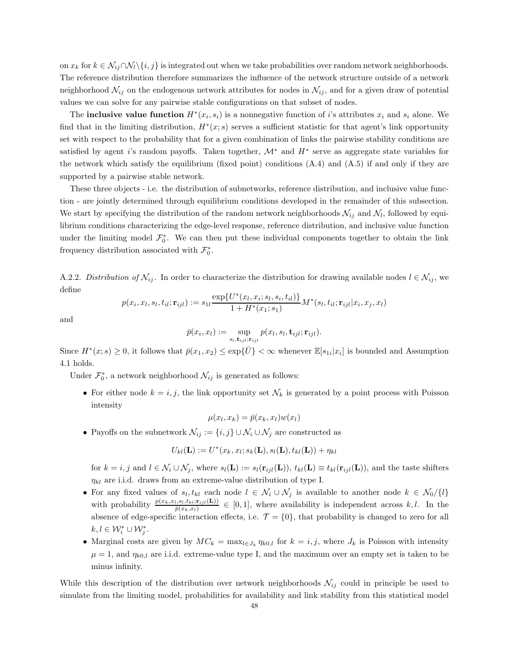on  $x_k$  for  $k \in \mathcal{N}_{ij} \cap \mathcal{N}_i \setminus \{i, j\}$  is integrated out when we take probabilities over random network neighborhoods. The reference distribution therefore summarizes the influence of the network structure outside of a network neighborhood  $\mathcal{N}_{ij}$  on the endogenous network attributes for nodes in  $\mathcal{N}_{ij}$ , and for a given draw of potential values we can solve for any pairwise stable configurations on that subset of nodes.

The **inclusive value function**  $H^*(x_i, s_i)$  is a nonnegative function of i's attributes  $x_i$  and  $s_i$  alone. We find that in the limiting distribution,  $H^*(x; s)$  serves a sufficient statistic for that agent's link opportunity set with respect to the probability that for a given combination of links the pairwise stability conditions are satisfied by agent i's random payoffs. Taken together,  $\mathcal{M}^*$  and  $H^*$  serve as aggregate state variables for the network which satisfy the equilibrium (fixed point) conditions  $(A.4)$  and  $(A.5)$  if and only if they are supported by a pairwise stable network.

These three objects - i.e. the distribution of subnetworks, reference distribution, and inclusive value function - are jointly determined through equilibrium conditions developed in the remainder of this subsection. We start by specifying the distribution of the random network neighborhoods  $\mathcal{N}_{ij}$  and  $\mathcal{N}_l$ , followed by equilibrium conditions characterizing the edge-level response, reference distribution, and inclusive value function under the limiting model  $\mathcal{F}_0^*$ . We can then put these individual components together to obtain the link frequency distribution associated with  $\mathcal{F}_0^*$ .

A.2.2. Distribution of  $\mathcal{N}_{ij}$ . In order to characterize the distribution for drawing available nodes  $l \in \mathcal{N}_{ij}$ , we define

$$
p(x_i, x_l, s_l, t_{il}; \mathbf{r}_{ijl}) := s_{1l} \frac{\exp\{U^*(x_l, x_i; s_l, s_i, t_{il})\}}{1 + H^*(x_1; s_1)} M^*(s_l, t_{il}; \mathbf{r}_{ijl} | x_i, x_j, x_l)
$$

and

$$
\bar{p}(x_i,x_l):=\sup_{s_l,\mathbf{t}_{ijl};\mathbf{r}_{ijl}}p(x_l,s_l,\mathbf{t}_{ijl};\mathbf{r}_{ijl}).
$$

Since  $H^*(x; s) \geq 0$ , it follows that  $\bar{p}(x_1, x_2) \leq \exp\{\bar{U}\} < \infty$  whenever  $\mathbb{E}[s_{1i}|x_i]$  is bounded and Assumption 4.1 holds.

Under  $\mathcal{F}_0^*$ , a network neighborhood  $\mathcal{N}_{ij}$  is generated as follows:

• For either node  $k = i, j$ , the link opportunity set  $\mathcal{N}_k$  is generated by a point process with Poisson intensity

$$
\mu(x_l, x_k) = \bar{p}(x_k, x_l) w(x_l)
$$

 $\bullet\,$  Payoffs on the subnetwork  $\mathcal{N}_{ij}:=\{i,j\}\cup\mathcal{N}_i\cup\mathcal{N}_j$  are constructed as

$$
U_{kl}(\mathbf{L}) := U^*(x_k, x_l; s_k(\mathbf{L}), s_l(\mathbf{L}), t_{kl}(\mathbf{L})) + \eta_{kl}
$$

for  $k = i, j$  and  $l \in \mathcal{N}_i \cup \mathcal{N}_j$ , where  $s_l(\mathbf{L}) := s_l(\mathbf{r}_{ijl}(\mathbf{L}))$ ,  $t_{kl}(\mathbf{L}) \equiv t_{kl}(\mathbf{r}_{ijl}(\mathbf{L}))$ , and the taste shifters  $\eta_{kl}$  are i.i.d. draws from an extreme-value distribution of type I.

- For any fixed values of  $s_l, t_{kl}$  each node  $l \in \mathcal{N}_i \cup \mathcal{N}_j$  is available to another node  $k \in \mathcal{N}_0/\{l\}$ with probability  $\frac{p(x_k,x_l,s_l,t_{kl};\mathbf{r}_{ijl}(\mathbf{L}))}{\bar{p}(x_k,x_l)} \in [0,1]$ , where availability is independent across k, l. In the absence of edge-specific interaction effects, i.e.  $\mathcal{T} = \{0\}$ , that probability is changed to zero for all  $k, l \in \mathcal{W}_i^* \cup \mathcal{W}_j^*.$
- Marginal costs are given by  $MC_k = \max_{l \in J_k} \eta_{k0,l}$  for  $k = i, j$ , where  $J_k$  is Poisson with intensity  $\mu = 1$ , and  $\eta_{k0,l}$  are i.i.d. extreme-value type I, and the maximum over an empty set is taken to be minus infinity.

While this description of the distribution over network neighborhoods  $\mathcal{N}_{ij}$  could in principle be used to simulate from the limiting model, probabilities for availability and link stability from this statistical model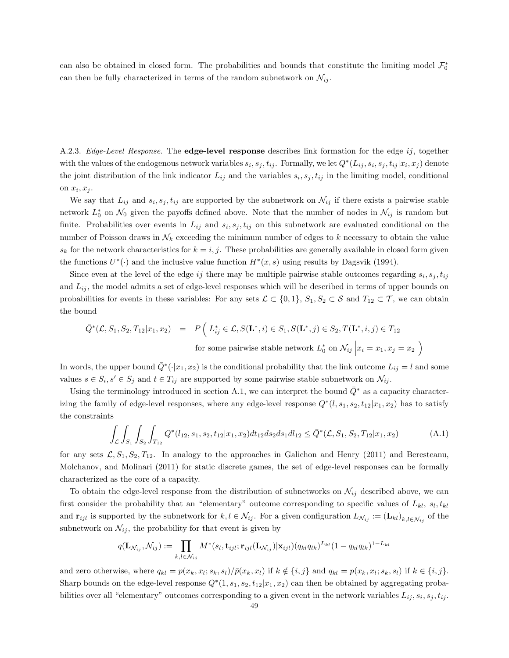can also be obtained in closed form. The probabilities and bounds that constitute the limiting model  $\mathcal{F}_0^*$ can then be fully characterized in terms of the random subnetwork on  $\mathcal{N}_{ij}$ .

A.2.3. Edge-Level Response. The **edge-level response** describes link formation for the edge  $ij$ , together with the values of the endogenous network variables  $s_i, s_j, t_{ij}$ . Formally, we let  $Q^*(L_{ij}, s_i, s_j, t_{ij} | x_i, x_j)$  denote the joint distribution of the link indicator  $L_{ij}$  and the variables  $s_i, s_j, t_{ij}$  in the limiting model, conditional on  $x_i, x_j$ .

We say that  $L_{ij}$  and  $s_i, s_j, t_{ij}$  are supported by the subnetwork on  $\mathcal{N}_{ij}$  if there exists a pairwise stable network  $L_0^*$  on  $\mathcal{N}_0$  given the payoffs defined above. Note that the number of nodes in  $\mathcal{N}_{ij}$  is random but finite. Probabilities over events in  $L_{ij}$  and  $s_i, s_j, t_{ij}$  on this subnetwork are evaluated conditional on the number of Poisson draws in  $\mathcal{N}_k$  exceeding the minimum number of edges to k necessary to obtain the value  $s_k$  for the network characteristics for  $k = i, j$ . These probabilities are generally available in closed form given the functions  $U^*(\cdot)$  and the inclusive value function  $H^*(x, s)$  using results by Dagsvik (1994).

Since even at the level of the edge ij there may be multiple pairwise stable outcomes regarding  $s_i, s_j, t_{ij}$ and  $L_{ij}$ , the model admits a set of edge-level responses which will be described in terms of upper bounds on probabilities for events in these variables: For any sets  $\mathcal{L} \subset \{0,1\}$ ,  $S_1, S_2 \subset \mathcal{S}$  and  $T_{12} \subset \mathcal{T}$ , we can obtain the bound

$$
\begin{array}{rcl}\n\bar{Q}^*(\mathcal{L}, S_1, S_2, T_{12}|x_1, x_2) & = & P\left(\ L_{ij}^* \in \mathcal{L}, S(\mathbf{L}^*, i) \in S_1, S(\mathbf{L}^*, j) \in S_2, T(\mathbf{L}^*, i, j) \in T_{12}\right. \\
& \text{for some pairwise stable network } L_0^* \text{ on } \mathcal{N}_{ij} \left|x_i = x_1, x_j = x_2\right.\n\end{array}
$$

In words, the upper bound  $\overline{Q}^*(\cdot|x_1, x_2)$  is the conditional probability that the link outcome  $L_{ij} = l$  and some values  $s \in S_i$ ,  $s' \in S_j$  and  $t \in T_{ij}$  are supported by some pairwise stable subnetwork on  $\mathcal{N}_{ij}$ .

Using the terminology introduced in section A.1, we can interpret the bound  $\overline{Q}$ <sup>∗</sup> as a capacity characterizing the family of edge-level responses, where any edge-level response  $Q^*(l, s_1, s_2, t_{12}|x_1, x_2)$  has to satisfy the constraints

$$
\int_{\mathcal{L}} \int_{S_1} \int_{S_2} \int_{T_{12}} Q^*(l_{12}, s_1, s_2, t_{12} | x_1, x_2) dt_{12} ds_2 ds_1 dl_{12} \le \bar{Q}^*(\mathcal{L}, S_1, S_2, T_{12} | x_1, x_2)
$$
\n(A.1)

 $\overline{ }$ 

for any sets  $\mathcal{L}, S_1, S_2, T_{12}$ . In analogy to the approaches in Galichon and Henry (2011) and Beresteanu, Molchanov, and Molinari (2011) for static discrete games, the set of edge-level responses can be formally characterized as the core of a capacity.

To obtain the edge-level response from the distribution of subnetworks on  $\mathcal{N}_{ij}$  described above, we can first consider the probability that an "elementary" outcome corresponding to specific values of  $L_{kl}$ ,  $s_l, t_{kl}$ and  $\mathbf{r}_{ijl}$  is supported by the subnetwork for  $k, l \in \mathcal{N}_{ij}$ . For a given configuration  $L_{\mathcal{N}_{ij}} := (\mathbf{L}_{kl})_{k,l \in \mathcal{N}_{ij}}$  of the subnetwork on  $\mathcal{N}_{ij}$ , the probability for that event is given by

$$
q(\mathbf{L}_{\mathcal{N}_{ij}},\mathcal{N}_{ij}) := \prod_{k,l \in \mathcal{N}_{ij}} M^*(s_l,\mathbf{t}_{ijl};\mathbf{r}_{ijl}(\mathbf{L}_{\mathcal{N}_{ij}})|\mathbf{x}_{ijl})(q_{kl}q_{lk})^{L_{kl}}(1-q_{kl}q_{lk})^{1-L_{kl}}
$$

and zero otherwise, where  $q_{kl} = p(x_k, x_l; s_k, s_l) / \bar{p}(x_k, x_l)$  if  $k \notin \{i, j\}$  and  $q_{kl} = p(x_k, x_l; s_k, s_l)$  if  $k \in \{i, j\}$ . Sharp bounds on the edge-level response  $Q^*(1, s_1, s_2, t_{12}|x_1, x_2)$  can then be obtained by aggregating probabilities over all "elementary" outcomes corresponding to a given event in the network variables  $L_{ij}, s_i, s_j, t_{ij}$ .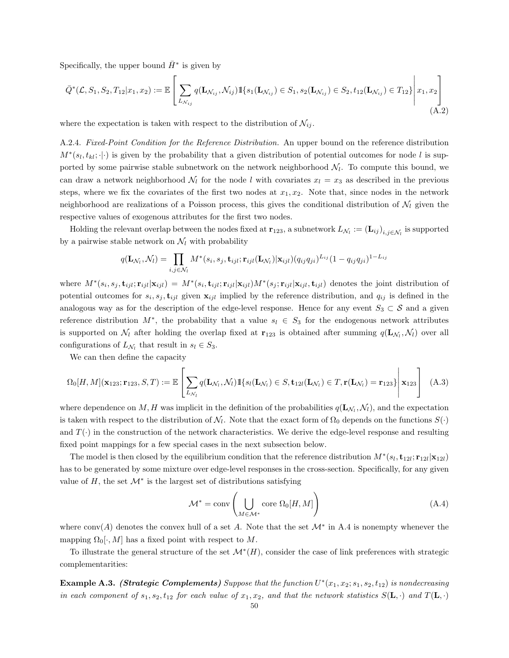Specifically, the upper bound  $\bar{H}^*$  is given by

$$
\bar{Q}^*(\mathcal{L}, S_1, S_2, T_{12} | x_1, x_2) := \mathbb{E}\left[\sum_{L_{\mathcal{N}_{ij}}} q(\mathbf{L}_{\mathcal{N}_{ij}}, \mathcal{N}_{ij}) \mathbb{1}\{s_1(\mathbf{L}_{\mathcal{N}_{ij}}) \in S_1, s_2(\mathbf{L}_{\mathcal{N}_{ij}}) \in S_2, t_{12}(\mathbf{L}_{\mathcal{N}_{ij}}) \in T_{12}\}\middle|\ x_1, x_2\right]
$$
\n(A.2)

where the expectation is taken with respect to the distribution of  $\mathcal{N}_{ij}$ .

A.2.4. Fixed-Point Condition for the Reference Distribution. An upper bound on the reference distribution  $M^*(s_l, t_{kl}; \cdot | \cdot)$  is given by the probability that a given distribution of potential outcomes for node l is supported by some pairwise stable subnetwork on the network neighborhood  $\mathcal{N}_l$ . To compute this bound, we can draw a network neighborhood  $\mathcal{N}_l$  for the node l with covariates  $x_l = x_3$  as described in the previous steps, where we fix the covariates of the first two nodes at  $x_1, x_2$ . Note that, since nodes in the network neighborhood are realizations of a Poisson process, this gives the conditional distribution of  $\mathcal{N}_l$  given the respective values of exogenous attributes for the first two nodes.

Holding the relevant overlap between the nodes fixed at  $\mathbf{r}_{123}$ , a subnetwork  $L_{\mathcal{N}_l}:=(\mathbf{L}_{ij})_{i,j\in\mathcal{N}_l}$  is supported by a pairwise stable network on  $\mathcal{N}_l$  with probability

$$
q(\mathbf{L}_{\mathcal{N}_l},\mathcal{N}_l) = \prod_{i,j \in \mathcal{N}_l} M^*(s_i,s_j,\mathbf{t}_{ijl};\mathbf{r}_{ijl}(\mathbf{L}_{\mathcal{N}_l})|\mathbf{x}_{ijl}) (q_{ij}q_{ji})^{L_{ij}} (1-q_{ij}q_{ji})^{1-L_{ij}}
$$

where  $M^*(s_i, s_j, \mathbf{t}_{ijl}; \mathbf{r}_{ijl} | \mathbf{x}_{ijl}) = M^*(s_i, \mathbf{t}_{ijl}; \mathbf{r}_{ijl} | \mathbf{x}_{ijl})M^*(s_j; \mathbf{r}_{ijl} | \mathbf{x}_{ijl}, \mathbf{t}_{ijl})$  denotes the joint distribution of potential outcomes for  $s_i, s_j, \mathbf{t}_{ijl}$  given  $\mathbf{x}_{ijl}$  implied by the reference distribution, and  $q_{ij}$  is defined in the analogous way as for the description of the edge-level response. Hence for any event  $S_3 \subset \mathcal{S}$  and a given reference distribution  $M^*$ , the probability that a value  $s_l \in S_3$  for the endogenous network attributes is supported on  $\mathcal{N}_l$  after holding the overlap fixed at  $\mathbf{r}_{123}$  is obtained after summing  $q(\mathbf{L}_{\mathcal{N}_l}, \mathcal{N}_l)$  over all configurations of  $L_{\mathcal{N}_l}$  that result in  $s_l \in S_3$ .

We can then define the capacity

$$
\Omega_0[H,M](\mathbf{x}_{123};\mathbf{r}_{123},S,T) := \mathbb{E}\left[\sum_{L_{\mathcal{N}_l}} q(\mathbf{L}_{\mathcal{N}_l},\mathcal{N}_l) 1\{s_l(\mathbf{L}_{\mathcal{N}_l}) \in S, \mathbf{t}_{12l}(\mathbf{L}_{\mathcal{N}_l}) \in T, \mathbf{r}(\mathbf{L}_{\mathcal{N}_l}) = \mathbf{r}_{123}\}\middle|\ \mathbf{x}_{123}\right] \tag{A.3}
$$

where dependence on  $M, H$  was implicit in the definition of the probabilities  $q(\mathbf{L}_{\mathcal{N}_l}, \mathcal{N}_l)$ , and the expectation is taken with respect to the distribution of  $\mathcal{N}_l$ . Note that the exact form of  $\Omega_0$  depends on the functions  $S(\cdot)$ and  $T(\cdot)$  in the construction of the network characteristics. We derive the edge-level response and resulting fixed point mappings for a few special cases in the next subsection below.

The model is then closed by the equilibrium condition that the reference distribution  $M^*(s_l, \mathbf{t}_{12l}; \mathbf{r}_{12l} | \mathbf{x}_{12l})$ has to be generated by some mixture over edge-level responses in the cross-section. Specifically, for any given value of  $H$ , the set  $\mathcal{M}^*$  is the largest set of distributions satisfying

$$
\mathcal{M}^* = \text{conv}\left(\bigcup_{M \in \mathcal{M}^*} \text{core } \Omega_0[H, M]\right) \tag{A.4}
$$

where  $\text{conv}(A)$  denotes the convex hull of a set A. Note that the set  $\mathcal{M}^*$  in A.4 is nonempty whenever the mapping  $\Omega_0[\cdot, M]$  has a fixed point with respect to M.

To illustrate the general structure of the set  $\mathcal{M}^*(H)$ , consider the case of link preferences with strategic complementarities:

**Example A.3.** (Strategic Complements) Suppose that the function  $U^*(x_1, x_2; s_1, s_2, t_{12})$  is nondecreasing in each component of  $s_1, s_2, t_{12}$  for each value of  $x_1, x_2$ , and that the network statistics  $S(\mathbf{L}, \cdot)$  and  $T(\mathbf{L}, \cdot)$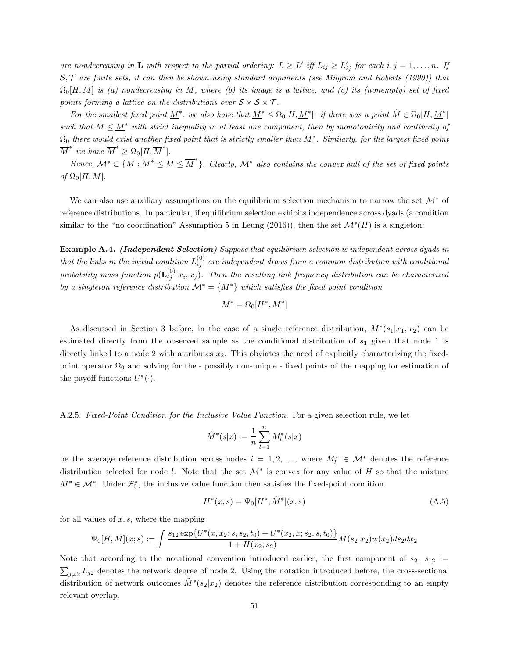are nondecreasing in **L** with respect to the partial ordering:  $L \geq L'$  iff  $L_{ij} \geq L'_{ij}$  for each  $i, j = 1, ..., n$ . If  $S, \mathcal{T}$  are finite sets, it can then be shown using standard arguments (see Milgrom and Roberts (1990)) that  $\Omega_0[H,M]$  is (a) nondecreasing in M, where (b) its image is a lattice, and (c) its (nonempty) set of fixed points forming a lattice on the distributions over  $S \times S \times T$ .

For the smallest fixed point  $\underline{M}^*$ , we also have that  $\underline{M}^* \leq \Omega_0[H, \underline{M}^*]$ : if there was a point  $\tilde{M} \in \Omega_0[H, \underline{M}^*]$ such that  $M \leq M^*$  with strict inequality in at least one component, then by monotonicity and continuity of  $\Omega_0$  there would exist another fixed point that is strictly smaller than  $\underline{M}^*$ . Similarly, for the largest fixed point  $\overline{M}^*$  we have  $\overline{M}^* \ge \Omega_0[H, \overline{M}^*].$ 

Hence,  $\mathcal{M}^* \subset \{M : \underline{M}^* \leq M \leq \overline{M}^*\}$ . Clearly,  $\mathcal{M}^*$  also contains the convex hull of the set of fixed points of  $\Omega_0[H, M]$ .

We can also use auxiliary assumptions on the equilibrium selection mechanism to narrow the set  $\mathcal{M}^*$  of reference distributions. In particular, if equilibrium selection exhibits independence across dyads (a condition similar to the "no coordination" Assumption 5 in Leung (2016)), then the set  $\mathcal{M}^*(H)$  is a singleton:

Example A.4. (Independent Selection) Suppose that equilibrium selection is independent across dyads in that the links in the initial condition  $L_{ij}^{(0)}$  are independent draws from a common distribution with conditional probability mass function  $p(\mathbf{L}_{ij}^{(0)}|x_i,x_j)$ . Then the resulting link frequency distribution can be characterized by a singleton reference distribution  $\mathcal{M}^* = \{M^*\}\$  which satisfies the fixed point condition

$$
M^* = \Omega_0[H^*, M^*]
$$

As discussed in Section 3 before, in the case of a single reference distribution,  $M^*(s_1|x_1, x_2)$  can be estimated directly from the observed sample as the conditional distribution of  $s_1$  given that node 1 is directly linked to a node 2 with attributes  $x_2$ . This obviates the need of explicitly characterizing the fixedpoint operator  $\Omega_0$  and solving for the - possibly non-unique - fixed points of the mapping for estimation of the payoff functions  $U^*(\cdot)$ .

A.2.5. Fixed-Point Condition for the Inclusive Value Function. For a given selection rule, we let

$$
\tilde{M}^*(s|x) := \frac{1}{n} \sum_{l=1}^n M_l^*(s|x)
$$

be the average reference distribution across nodes  $i = 1, 2, \ldots$ , where  $M_i^* \in \mathcal{M}^*$  denotes the reference distribution selected for node l. Note that the set  $\mathcal{M}^*$  is convex for any value of H so that the mixture  $\tilde{M}^* \in \mathcal{M}^*$ . Under  $\mathcal{F}_0^*$ , the inclusive value function then satisfies the fixed-point condition

$$
H^*(x; s) = \Psi_0[H^*, \tilde{M}^*](x; s)
$$
\n(A.5)

for all values of  $x, s$ , where the mapping

$$
\Psi_0[H,M](x;s) := \int \frac{s_{12} \exp\{U^*(x,x_2;s,s_2,t_0) + U^*(x_2,x;s_2,s,t_0)\}}{1 + H(x_2;s_2)} M(s_2|x_2) w(x_2) ds_2 dx_2
$$

Note that according to the notational convention introduced earlier, the first component of  $s_2$ ,  $s_{12}$  :=  $\sum_{j\neq 2} L_{j2}$  denotes the network degree of node 2. Using the notation introduced before, the cross-sectional distribution of network outcomes  $\tilde{M}^*(s_2|x_2)$  denotes the reference distribution corresponding to an empty relevant overlap.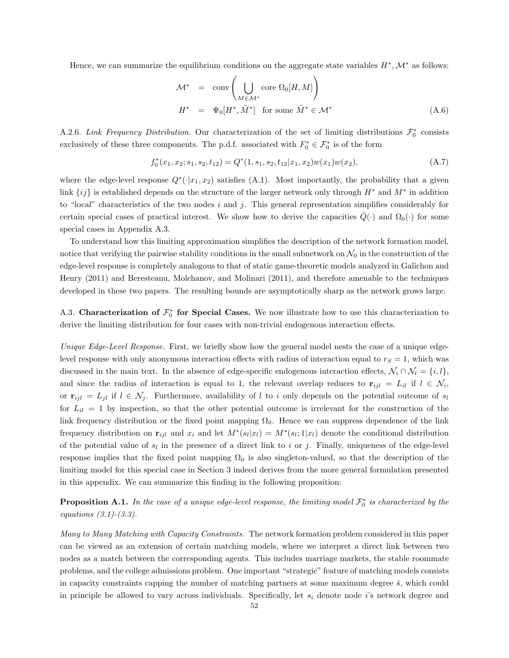Hence, we can summarize the equilibrium conditions on the aggregate state variables  $H^*, \mathcal{M}^*$  as follows:

$$
\mathcal{M}^* = \text{conv}\left(\bigcup_{M \in \mathcal{M}^*} \text{core } \Omega_0[H, M]\right)
$$
  

$$
H^* = \Psi_0[H^*, \tilde{M}^*] \text{ for some } \tilde{M}^* \in \mathcal{M}^*
$$
 (A.6)

A.2.6. Link Frequency Distribution. Our characterization of the set of limiting distributions  $\mathcal{F}_0^*$  consists exclusively of these three components. The p.d.f. associated with  $F_0^* \in \mathcal{F}_0^*$  is of the form

$$
f_0^*(x_1, x_2; s_1, s_2, t_{12}) = Q^*(1, s_1, s_2, t_{12}|x_1, x_2)w(x_1)w(x_2),
$$
\n(A.7)

where the edge-level response  $Q^*(\cdot|x_1, x_2)$  satisfies (A.1). Most importantly, the probability that a given link  $\{ij\}$  is established depends on the structure of the larger network only through  $H^*$  and  $M^*$  in addition to "local" characteristics of the two nodes i and j. This general representation simplifies considerably for certain special cases of practical interest. We show how to derive the capacities  $\bar{Q}(\cdot)$  and  $\Omega_0(\cdot)$  for some special cases in Appendix A.3.

To understand how this limiting approximation simplifies the description of the network formation model, notice that verifying the pairwise stability conditions in the small subnetwork on  $\mathcal{N}_0$  in the construction of the edge-level response is completely analogous to that of static game-theoretic models analyzed in Galichon and Henry (2011) and Beresteanu, Molchanov, and Molinari (2011), and therefore amenable to the techniques developed in these two papers. The resulting bounds are asymptotically sharp as the network grows large.

A.3. Characterization of  $\mathcal{F}_0^*$  for Special Cases. We now illustrate how to use this characterization to derive the limiting distribution for four cases with non-trivial endogenous interaction effects.

Unique Edge-Level Response. First, we briefly show how the general model nests the case of a unique edgelevel response with only anonymous interaction effects with radius of interaction equal to  $r<sub>S</sub> = 1$ , which was discussed in the main text. In the absence of edge-specific endogenous interaction effects,  $\mathcal{N}_i \cap \mathcal{N}_l = \{i, l\}$ , and since the radius of interaction is equal to 1, the relevant overlap reduces to  $\mathbf{r}_{ijl} = L_{il}$  if  $l \in \mathcal{N}_i$ , or  $\mathbf{r}_{ijl} = L_{jl}$  if  $l \in \mathcal{N}_j$ . Furthermore, availability of l to i only depends on the potential outcome of  $s_l$ for  $L_{il} = 1$  by inspection, so that the other potential outcome is irrelevant for the construction of the link frequency distribution or the fixed point mapping  $\Omega_0$ . Hence we can suppress dependence of the link frequency distribution on  $\mathbf{r}_{ijl}$  and  $x_i$  and let  $M^*(s_l|x_l) = M^*(s_l; 1|x_l)$  denote the conditional distribution of the potential value of  $s_l$  in the presence of a direct link to i or j. Finally, uniqueness of the edge-level response implies that the fixed point mapping  $\Omega_0$  is also singleton-valued, so that the description of the limiting model for this special case in Section 3 indeed derives from the more general formulation presented in this appendix. We can summarize this finding in the following proposition:

**Proposition A.1.** In the case of a unique edge-level response, the limiting model  $\mathcal{F}_0^*$  is characterized by the equations  $(3.1)-(3.3)$ .

Many to Many Matching with Capacity Constraints. The network formation problem considered in this paper can be viewed as an extension of certain matching models, where we interpret a direct link between two nodes as a match between the corresponding agents. This includes marriage markets, the stable roommate problems, and the college admissions problem. One important "strategic" feature of matching models consists in capacity constraints capping the number of matching partners at some maximum degree  $\bar{s}$ , which could in principle be allowed to vary across individuals. Specifically, let  $s_i$  denote node i's network degree and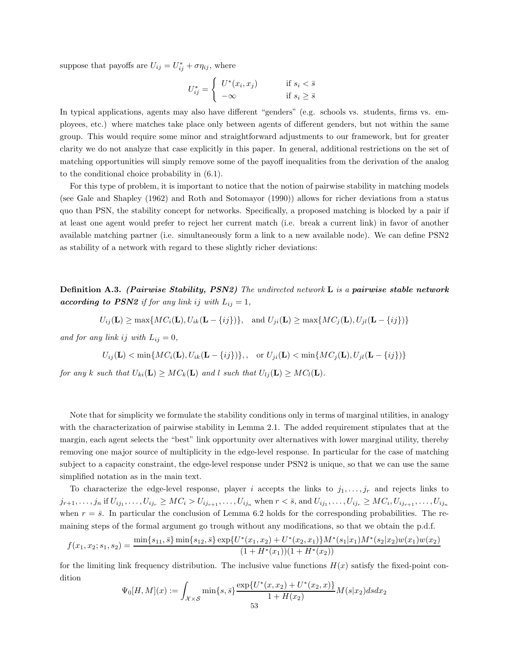suppose that payoffs are  $U_{ij} = U_{ij}^* + \sigma \eta_{ij}$ , where

$$
U_{ij}^* = \begin{cases} U^*(x_i, x_j) & \text{if } s_i < \bar{s} \\ -\infty & \text{if } s_i \ge \bar{s} \end{cases}
$$

In typical applications, agents may also have different "genders" (e.g. schools vs. students, firms vs. employees, etc.) where matches take place only between agents of different genders, but not within the same group. This would require some minor and straightforward adjustments to our framework, but for greater clarity we do not analyze that case explicitly in this paper. In general, additional restrictions on the set of matching opportunities will simply remove some of the payoff inequalities from the derivation of the analog to the conditional choice probability in (6.1).

For this type of problem, it is important to notice that the notion of pairwise stability in matching models (see Gale and Shapley (1962) and Roth and Sotomayor (1990)) allows for richer deviations from a status quo than PSN, the stability concept for networks. Specifically, a proposed matching is blocked by a pair if at least one agent would prefer to reject her current match (i.e. break a current link) in favor of another available matching partner (i.e. simultaneously form a link to a new available node). We can define PSN2 as stability of a network with regard to these slightly richer deviations:

**Definition A.3.** (Pairwise Stability, PSN2) The undirected network L is a pairwise stable network **according to PSN2** if for any link ij with  $L_{ij} = 1$ ,

$$
U_{ij}(\mathbf{L}) \ge \max\{MC_i(\mathbf{L}), U_{ik}(\mathbf{L} - \{ij\})\}, \text{ and } U_{ji}(\mathbf{L}) \ge \max\{MC_j(\mathbf{L}), U_{jl}(\mathbf{L} - \{ij\})\}
$$

and for any link ij with  $L_{ij} = 0$ ,

$$
U_{ij}(\mathbf{L}) < \min\{MC_i(\mathbf{L}), U_{ik}(\mathbf{L} - \{ij\})\}, \quad \text{or } U_{ji}(\mathbf{L}) < \min\{MC_j(\mathbf{L}), U_{jl}(\mathbf{L} - \{ij\})\}
$$

for any k such that  $U_{ki}(\mathbf{L}) \geq MC_k(\mathbf{L})$  and l such that  $U_{lj}(\mathbf{L}) \geq MC_l(\mathbf{L})$ .

Note that for simplicity we formulate the stability conditions only in terms of marginal utilities, in analogy with the characterization of pairwise stability in Lemma 2.1. The added requirement stipulates that at the margin, each agent selects the "best" link opportunity over alternatives with lower marginal utility, thereby removing one major source of multiplicity in the edge-level response. In particular for the case of matching subject to a capacity constraint, the edge-level response under PSN2 is unique, so that we can use the same simplified notation as in the main text.

To characterize the edge-level response, player i accepts the links to  $j_1, \ldots, j_r$  and rejects links to  $j_{r+1},\ldots,j_n$  if  $U_{ij_1},\ldots,U_{ij_r}\geq MC_i>U_{ij_{r+1}},\ldots,U_{ij_n}$  when  $r<\bar{s}$ , and  $U_{ij_1},\ldots,U_{ij_r}\geq MC_i,U_{ij_{r+1}},\ldots,U_{ij_n}$ when  $r = \bar{s}$ . In particular the conclusion of Lemma 6.2 holds for the corresponding probabilities. The remaining steps of the formal argument go trough without any modifications, so that we obtain the p.d.f.

$$
f(x_1, x_2; s_1, s_2) = \frac{\min\{s_{11}, \bar{s}\}\min\{s_{12}, \bar{s}\} \exp\{U^*(x_1, x_2) + U^*(x_2, x_1)\} M^*(s_1|x_1) M^*(s_2|x_2) w(x_1) w(x_2)}{(1 + H^*(x_1))(1 + H^*(x_2))}
$$

for the limiting link frequency distribution. The inclusive value functions  $H(x)$  satisfy the fixed-point condition

$$
\Psi_0[H, M](x) := \int_{\mathcal{X}\times\mathcal{S}} \min\{s, \bar{s}\} \frac{\exp\{U^*(x, x_2) + U^*(x_2, x)\}}{1 + H(x_2)} M(s|x_2) ds dx_2
$$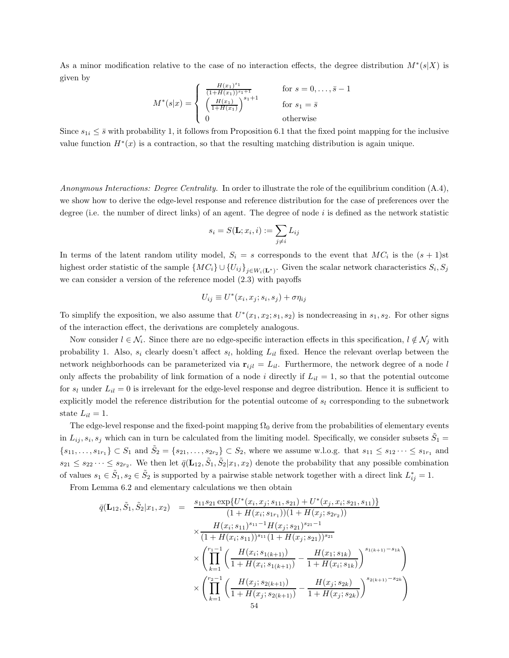As a minor modification relative to the case of no interaction effects, the degree distribution  $M^*(s|X)$  is given by

$$
M^*(s|x) = \begin{cases} \frac{H(x_1)^{s_1}}{(1+H(x_1))^{s_1+1}} & \text{for } s = 0, \dots, \bar{s} - 1\\ \left(\frac{H(x_1)}{1+H(x_1)}\right)^{s_1+1} & \text{for } s_1 = \bar{s} \\ 0 & \text{otherwise} \end{cases}
$$

Since  $s_{1i} \leq \bar{s}$  with probability 1, it follows from Proposition 6.1 that the fixed point mapping for the inclusive value function  $H^*(x)$  is a contraction, so that the resulting matching distribution is again unique.

Anonymous Interactions: Degree Centrality. In order to illustrate the role of the equilibrium condition (A.4), we show how to derive the edge-level response and reference distribution for the case of preferences over the degree (i.e. the number of direct links) of an agent. The degree of node  $i$  is defined as the network statistic

$$
s_i = S(\mathbf{L}; x_i, i) := \sum_{j \neq i} L_{ij}
$$

In terms of the latent random utility model,  $S_i = s$  corresponds to the event that  $MC_i$  is the  $(s + 1)$ st highest order statistic of the sample  $\{MC_i\} \cup \{U_{ij}\}_{j \in W_i(\mathbf{L}^*)}$ . Given the scalar network characteristics  $S_i, S_j$ we can consider a version of the reference model (2.3) with payoffs

$$
U_{ij} \equiv U^*(x_i, x_j; s_i, s_j) + \sigma \eta_{ij}
$$

To simplify the exposition, we also assume that  $U^*(x_1, x_2; s_1, s_2)$  is nondecreasing in  $s_1, s_2$ . For other signs of the interaction effect, the derivations are completely analogous.

Now consider  $l \in \mathcal{N}_i$ . Since there are no edge-specific interaction effects in this specification,  $l \notin \mathcal{N}_j$  with probability 1. Also,  $s_i$  clearly doesn't affect  $s_l$ , holding  $L_{il}$  fixed. Hence the relevant overlap between the network neighborhoods can be parameterized via  $\mathbf{r}_{ijl} = L_{il}$ . Furthermore, the network degree of a node l only affects the probability of link formation of a node i directly if  $L_{il} = 1$ , so that the potential outcome for  $s_l$  under  $L_{il} = 0$  is irrelevant for the edge-level response and degree distribution. Hence it is sufficient to explicitly model the reference distribution for the potential outcome of  $s_l$  corresponding to the subnetwork state  $L_{il} = 1$ .

The edge-level response and the fixed-point mapping  $\Omega_0$  derive from the probabilities of elementary events in  $L_{ij}, s_i, s_j$  which can in turn be calculated from the limiting model. Specifically, we consider subsets  $\tilde{S}_1$  =  ${s_1, \ldots, s_{1r_1}} \subset S_1$  and  $\tilde{S}_2 = {s_2, \ldots, s_{2r_2}} \subset S_2$ , where we assume w.l.o.g. that  $s_{11} \leq s_{12} \cdots \leq s_{1r_1}$  and  $s_{21} \leq s_{22} \cdots \leq s_{2r_2}$ . We then let  $\bar{q}(\mathbf{L}_{12}, \tilde{S}_1, \tilde{S}_2 | x_1, x_2)$  denote the probability that any possible combination of values  $s_1 \in \tilde{S}_1, s_2 \in \tilde{S}_2$  is supported by a pairwise stable network together with a direct link  $L_{ij}^* = 1$ .

From Lemma 6.2 and elementary calculations we then obtain

$$
\overline{q}(\mathbf{L}_{12}, \tilde{S}_1, \tilde{S}_2 | x_1, x_2) = \frac{s_{11}s_{21} \exp\{U^*(x_i, x_j; s_{11}, s_{21}) + U^*(x_j, x_i; s_{21}, s_{11})\}}{(1 + H(x_i; s_{1r_1}))(1 + H(x_j; s_{2r_2}))}
$$
\n
$$
\times \frac{H(x_i; s_{11})^{s_{11} - 1} H(x_j; s_{21})^{s_{21} - 1}}{(1 + H(x_i; s_{11}))^{s_{11}} (1 + H(x_j; s_{21}))^{s_{21}}}
$$
\n
$$
\times \left(\prod_{k=1}^{r_1 - 1} \left(\frac{H(x_i; s_{1(k+1)})}{1 + H(x_i; s_{1(k+1)})} - \frac{H(x_1; s_{1k})}{1 + H(x_i; s_{1k})}\right)^{s_{1(k+1)} - s_{1k}}\right)
$$
\n
$$
\times \left(\prod_{k=1}^{r_2 - 1} \left(\frac{H(x_j; s_{2(k+1)})}{1 + H(x_j; s_{2(k+1)})} - \frac{H(x_j; s_{2k})}{1 + H(x_j; s_{2k})}\right)^{s_{2(k+1)} - s_{2k}}\right)
$$
\n
$$
\frac{54}{}
$$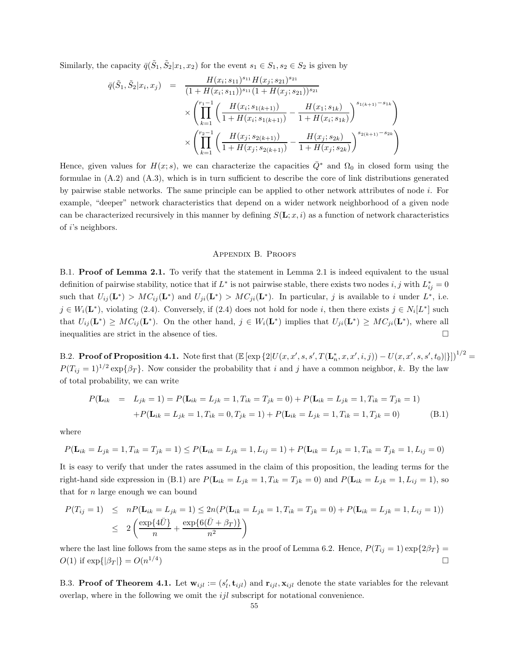Similarly, the capacity  $\bar{q}(\tilde{S}_1, \tilde{S}_2 | x_1, x_2)$  for the event  $s_1 \in S_1, s_2 \in S_2$  is given by

$$
\overline{q}(\tilde{S}_{1}, \tilde{S}_{2}|x_{i}, x_{j}) = \frac{H(x_{i}; s_{11})^{s_{11}} H(x_{j}; s_{21})^{s_{21}}}{(1 + H(x_{i}; s_{11}))^{s_{11}} (1 + H(x_{j}; s_{21}))^{s_{21}}} \times \left( \prod_{k=1}^{r_{1}-1} \left( \frac{H(x_{i}; s_{1(k+1)})}{1 + H(x_{i}; s_{1(k+1)})} - \frac{H(x_{1}; s_{1k})}{1 + H(x_{i}; s_{1k})} \right)^{s_{1(k+1)} - s_{1k}} \right) \times \left( \prod_{k=1}^{r_{2}-1} \left( \frac{H(x_{j}; s_{2(k+1)})}{1 + H(x_{j}; s_{2(k+1)})} - \frac{H(x_{j}; s_{2k})}{1 + H(x_{j}; s_{2k})} \right)^{s_{2(k+1)} - s_{2k}} \right)
$$

Hence, given values for  $H(x; s)$ , we can characterize the capacities  $\overline{Q}^*$  and  $\Omega_0$  in closed form using the formulae in (A.2) and (A.3), which is in turn sufficient to describe the core of link distributions generated by pairwise stable networks. The same principle can be applied to other network attributes of node i. For example, "deeper" network characteristics that depend on a wider network neighborhood of a given node can be characterized recursively in this manner by defining  $S(\mathbf{L}; x, i)$  as a function of network characteristics of i's neighbors.

#### Appendix B. Proofs

B.1. Proof of Lemma 2.1. To verify that the statement in Lemma 2.1 is indeed equivalent to the usual definition of pairwise stability, notice that if  $L^*$  is not pairwise stable, there exists two nodes  $i, j$  with  $L_{ij}^* = 0$ such that  $U_{ij}(\mathbf{L}^*) > MC_{ij}(\mathbf{L}^*)$  and  $U_{ji}(\mathbf{L}^*) > MC_{ji}(\mathbf{L}^*)$ . In particular, j is available to i under  $L^*$ , i.e.  $j \in W_i(\mathbf{L}^*)$ , violating (2.4). Conversely, if (2.4) does not hold for node i, then there exists  $j \in N_i[L^*]$  such that  $U_{ij}(\mathbf{L}^*) \geq MC_{ij}(\mathbf{L}^*)$ . On the other hand,  $j \in W_i(\mathbf{L}^*)$  implies that  $U_{ji}(\mathbf{L}^*) \geq MC_{ji}(\mathbf{L}^*)$ , where all inequalities are strict in the absence of ties.  $\Box$ 

B.2. **Proof of Proposition 4.1.** Note first that  $(\mathbb{E}[\exp{\{2|U(x,x',s,s',T(\mathbf{L}_n^*,x,x',i,j))}-U(x,x',s,s',t_0)|\}]^{1/2}$  $P(T_{ij} = 1)^{1/2} \exp{\{\beta_T\}}$ . Now consider the probability that i and j have a common neighbor, k. By the law of total probability, we can write

$$
P(\mathbf{L}_{ik} = L_{jk} = 1) = P(\mathbf{L}_{ik} = L_{jk} = 1, T_{ik} = T_{jk} = 0) + P(\mathbf{L}_{ik} = L_{jk} = 1, T_{ik} = T_{jk} = 1) \\
+ P(\mathbf{L}_{ik} = L_{jk} = 1, T_{ik} = 0, T_{jk} = 1) + P(\mathbf{L}_{ik} = L_{jk} = 1, T_{ik} = 1, T_{jk} = 0)
$$
\n(B.1)

where

$$
P(\mathbf{L}_{ik} = L_{jk} = 1, T_{ik} = T_{jk} = 1) \le P(\mathbf{L}_{ik} = L_{jk} = 1, L_{ij} = 1) + P(\mathbf{L}_{ik} = L_{jk} = 1, T_{ik} = T_{jk} = 1, L_{ij} = 0)
$$

It is easy to verify that under the rates assumed in the claim of this proposition, the leading terms for the right-hand side expression in (B.1) are  $P(\mathbf{L}_{ik} = L_{jk} = 1, T_{ik} = T_{jk} = 0)$  and  $P(\mathbf{L}_{ik} = L_{jk} = 1, L_{ij} = 1)$ , so that for  $n$  large enough we can bound

$$
P(T_{ij} = 1) \leq nP(\mathbf{L}_{ik} = L_{jk} = 1) \leq 2n(P(\mathbf{L}_{ik} = L_{jk} = 1, T_{ik} = T_{jk} = 0) + P(\mathbf{L}_{ik} = L_{jk} = 1, L_{ij} = 1))
$$
  

$$
\leq 2\left(\frac{\exp\{4\bar{U}\}}{n} + \frac{\exp\{6(\bar{U} + \beta_T)\}}{n^2}\right)
$$

where the last line follows from the same steps as in the proof of Lemma 6.2. Hence,  $P(T_{ij} = 1) \exp\{2\beta_T\}$  $O(1)$  if  $\exp\{|\beta_T|\} = O(n^{1/4})$ ) and the contract of  $\Box$ 

B.3. Proof of Theorem 4.1. Let  $\mathbf{w}_{ijl} := (s'_l, \mathbf{t}_{ijl})$  and  $\mathbf{r}_{ijl}, \mathbf{x}_{ijl}$  denote the state variables for the relevant overlap, where in the following we omit the  $ijl$  subscript for notational convenience.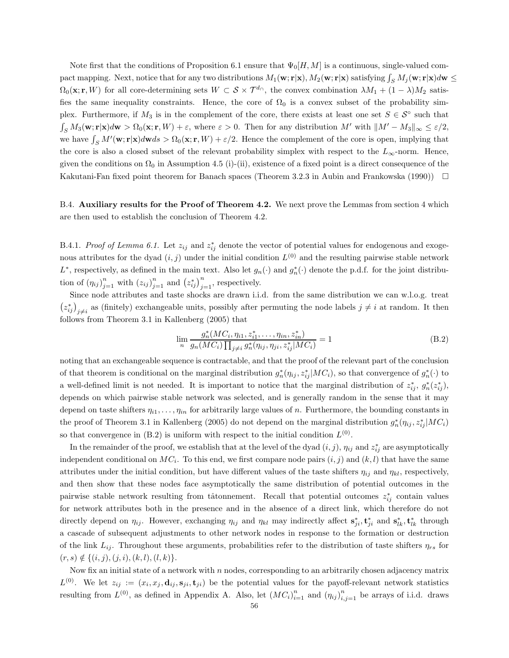Note first that the conditions of Proposition 6.1 ensure that  $\Psi_0[H, M]$  is a continuous, single-valued compact mapping. Next, notice that for any two distributions  $M_1(\mathbf{w}; \mathbf{r}|\mathbf{x})$ ,  $M_2(\mathbf{w}; \mathbf{r}|\mathbf{x})$  satisfying  $\int_S M_j(\mathbf{w}; \mathbf{r}|\mathbf{x})d\mathbf{w} \leq$  $\Omega_0(\mathbf{x}; \mathbf{r}, W)$  for all core-determining sets  $W \subset \mathcal{S} \times \mathcal{T}^{d_{\cap}}$ , the convex combination  $\lambda M_1 + (1 - \lambda)M_2$  satisfies the same inequality constraints. Hence, the core of  $\Omega_0$  is a convex subset of the probability simplex. Furthermore, if  $M_3$  is in the complement of the core, there exists at least one set  $S \in \mathcal{S}^\circ$  such that  $\int_S M_3(\mathbf{w}; \mathbf{r}|\mathbf{x})d\mathbf{w} > \Omega_0(\mathbf{x}; \mathbf{r}, W) + \varepsilon$ , where  $\varepsilon > 0$ . Then for any distribution  $M'$  with  $\|M' - M_3\|_{\infty} \leq \varepsilon/2$ , we have  $\int_S M'(\mathbf{w}; \mathbf{r}|\mathbf{x})d\mathbf{w}ds > \Omega_0(\mathbf{x}; \mathbf{r}, W) + \varepsilon/2$ . Hence the complement of the core is open, implying that the core is also a closed subset of the relevant probability simplex with respect to the  $L_{\infty}$ -norm. Hence, given the conditions on  $\Omega_0$  in Assumption 4.5 (i)-(ii), existence of a fixed point is a direct consequence of the Kakutani-Fan fixed point theorem for Banach spaces (Theorem 3.2.3 in Aubin and Frankowska (1990))  $\Box$ 

B.4. Auxiliary results for the Proof of Theorem 4.2. We next prove the Lemmas from section 4 which are then used to establish the conclusion of Theorem 4.2.

B.4.1. Proof of Lemma 6.1. Let  $z_{ij}$  and  $z_{ij}^*$  denote the vector of potential values for endogenous and exogenous attributes for the dyad  $(i, j)$  under the initial condition  $L^{(0)}$  and the resulting pairwise stable network  $L^*$ , respectively, as defined in the main text. Also let  $g_n(\cdot)$  and  $g_n^*(\cdot)$  denote the p.d.f. for the joint distribution of  $(\eta_{ij})_{j=1}^n$  with  $(z_{ij})_{j=1}^n$  and  $(z_{ij}^*)_{j=1}^n$ , respectively.

Since node attributes and taste shocks are drawn i.i.d. from the same distribution we can w.l.o.g. treat  $(z_{ij}^*)_{j\neq i}$  as (finitely) exchangeable units, possibly after permuting the node labels  $j\neq i$  at random. It then follows from Theorem 3.1 in Kallenberg (2005) that

$$
\lim_{n} \frac{g_n^*(MC_i, \eta_{i1}, z_{i1}^*, \dots, \eta_{in}, z_{in}^*)}{g_n(MC_i) \prod_{j \neq i} g_n^*(\eta_{ij}, \eta_{ji}, z_{ij}^* | MC_i)} = 1
$$
\n(B.2)

noting that an exchangeable sequence is contractable, and that the proof of the relevant part of the conclusion of that theorem is conditional on the marginal distribution  $g_n^*(\eta_{ij}, z_{ij}^*|MC_i)$ , so that convergence of  $g_n^*(\cdot)$  to a well-defined limit is not needed. It is important to notice that the marginal distribution of  $z_{ij}^*$ ,  $g_n^*(z_{ij}^*)$ , depends on which pairwise stable network was selected, and is generally random in the sense that it may depend on taste shifters  $\eta_{i1}, \ldots, \eta_{in}$  for arbitrarily large values of n. Furthermore, the bounding constants in the proof of Theorem 3.1 in Kallenberg (2005) do not depend on the marginal distribution  $g_n^*(\eta_{ij}, z_{ij}^*|MC_i)$ so that convergence in  $(B.2)$  is uniform with respect to the initial condition  $L^{(0)}$ .

In the remainder of the proof, we establish that at the level of the dyad  $(i, j)$ ,  $\eta_{ij}$  and  $z_{ij}^*$  are asymptotically independent conditional on  $MC_i$ . To this end, we first compare node pairs  $(i, j)$  and  $(k, l)$  that have the same attributes under the initial condition, but have different values of the taste shifters  $\eta_{ij}$  and  $\eta_{kl}$ , respectively, and then show that these nodes face asymptotically the same distribution of potential outcomes in the pairwise stable network resulting from tâtonnement. Recall that potential outcomes  $z_{ij}^*$  contain values for network attributes both in the presence and in the absence of a direct link, which therefore do not directly depend on  $\eta_{ij}$ . However, exchanging  $\eta_{ij}$  and  $\eta_{kl}$  may indirectly affect  $\mathbf{s}_{ji}^*, \mathbf{t}_{ji}^*$  and  $\mathbf{s}_{lk}^*, \mathbf{t}_{lk}^*$  through a cascade of subsequent adjustments to other network nodes in response to the formation or destruction of the link  $L_{ij}$ . Throughout these arguments, probabilities refer to the distribution of taste shifters  $\eta_{rs}$  for  $(r, s) \notin \{(i, j), (j, i), (k, l), (l, k)\}.$ 

Now fix an initial state of a network with  $n$  nodes, corresponding to an arbitrarily chosen adjacency matrix  $L^{(0)}$ . We let  $z_{ij} := (x_i, x_j, \mathbf{d}_{ij}, \mathbf{s}_{ji}, \mathbf{t}_{ji})$  be the potential values for the payoff-relevant network statistics resulting from  $L^{(0)}$ , as defined in Appendix A. Also, let  $(MC_i)_{i=1}^n$  and  $(\eta_{ij})_{i,j=1}^n$  be arrays of i.i.d. draws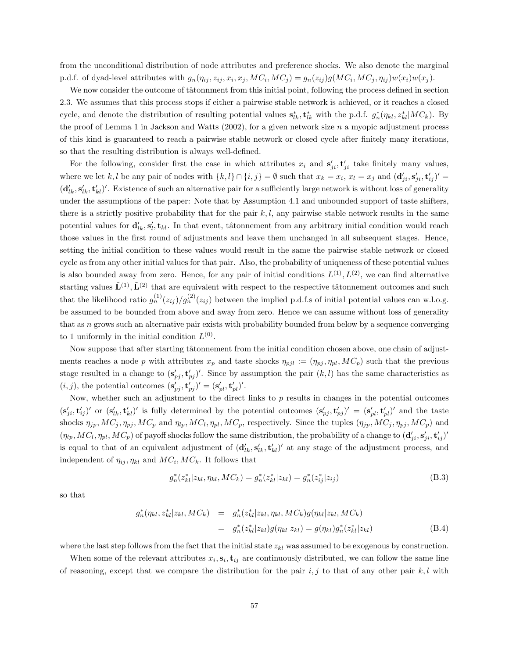from the unconditional distribution of node attributes and preference shocks. We also denote the marginal p.d.f. of dyad-level attributes with  $g_n(\eta_{ij}, z_{ij}, x_i, x_j, MC_i, MC_j) = g_n(z_{ij})g(MC_i, MC_j, \eta_{ij})w(x_i)w(x_j)$ .

We now consider the outcome of tâtonnment from this initial point, following the process defined in section 2.3. We assumes that this process stops if either a pairwise stable network is achieved, or it reaches a closed cycle, and denote the distribution of resulting potential values  $s_{lk}^*$ ,  $t_{lk}^*$  with the p.d.f.  $g_n^*(\eta_{kl}, z_{kl}^*|MC_k)$ . By the proof of Lemma 1 in Jackson and Watts  $(2002)$ , for a given network size n a myopic adjustment process of this kind is guaranteed to reach a pairwise stable network or closed cycle after finitely many iterations, so that the resulting distribution is always well-defined.

For the following, consider first the case in which attributes  $x_i$  and  $s'_{ji}$ ,  $t'_{ji}$  take finitely many values, where we let k, l be any pair of nodes with  $\{k, l\} \cap \{i, j\} = \emptyset$  such that  $x_k = x_i$ ,  $x_l = x_j$  and  $(\mathbf{d}'_{ji}, \mathbf{s}'_{ji}, \mathbf{t}'_{ij})' =$  $(\mathbf{d}'_{lk}, \mathbf{s}'_{lk}, \mathbf{t}'_{kl})'$ . Existence of such an alternative pair for a sufficiently large network is without loss of generality under the assumptions of the paper: Note that by Assumption 4.1 and unbounded support of taste shifters, there is a strictly positive probability that for the pair  $k, l$ , any pairwise stable network results in the same potential values for  $\mathbf{d}'_{lk}, \mathbf{s}'_l, \mathbf{t}_{kl}$ . In that event, tâtonnement from any arbitrary initial condition would reach those values in the first round of adjustments and leave them unchanged in all subsequent stages. Hence, setting the initial condition to these values would result in the same the pairwise stable network or closed cycle as from any other initial values for that pair. Also, the probability of uniqueness of these potential values is also bounded away from zero. Hence, for any pair of initial conditions  $L^{(1)}$ ,  $L^{(2)}$ , we can find alternative starting values  $\tilde{\mathbf{L}}^{(1)}$ ,  $\tilde{\mathbf{L}}^{(2)}$  that are equivalent with respect to the respective tâtonnement outcomes and such that the likelihood ratio  $g_n^{(1)}(z_{ij})/g_n^{(2)}(z_{ij})$  between the implied p.d.f.s of initial potential values can w.l.o.g. be assumed to be bounded from above and away from zero. Hence we can assume without loss of generality that as  $n$  grows such an alternative pair exists with probability bounded from below by a sequence converging to 1 uniformly in the initial condition  $L^{(0)}$ .

Now suppose that after starting tâtonnement from the initial condition chosen above, one chain of adjustments reaches a node p with attributes  $x_p$  and taste shocks  $\eta_{pj} := (\eta_{pj}, \eta_{pl}, MC_p)$  such that the previous stage resulted in a change to  $({\bf s}'_{pj}, {\bf t}'_{pj})'$ . Since by assumption the pair  $(k, l)$  has the same characteristics as  $(i, j)$ , the potential outcomes  $(\mathbf{s}'_{pj}, \mathbf{t}'_{pj})' = (\mathbf{s}'_{pl}, \mathbf{t}'_{pl})'$ .

Now, whether such an adjustment to the direct links to  $p$  results in changes in the potential outcomes  $(\mathbf{s}'_{ji}, \mathbf{t}'_{ij})'$  or  $(\mathbf{s}'_{lk}, \mathbf{t}'_{kl})'$  is fully determined by the potential outcomes  $(\mathbf{s}'_{pj}, \mathbf{t}'_{pj})' = (\mathbf{s}'_{pl}, \mathbf{t}'_{pl})'$  and the taste shocks  $\eta_{jp}, MC_j, \eta_{pj}, MC_p$  and  $\eta_{lp}, MC_l, \eta_{pl}, MC_p$ , respectively. Since the tuples  $(\eta_{jp}, MC_j, \eta_{pj}, MC_p)$  and  $(\eta_{lp}, MC_l, \eta_{pl}, MC_p)$  of payoff shocks follow the same distribution, the probability of a change to  $(\mathbf{d}'_{ji}, \mathbf{s}'_{ji}, \mathbf{t}'_{ij})'$ is equal to that of an equivalent adjustment of  $(\mathbf{d}'_{lk}, \mathbf{s}'_{lk}, \mathbf{t}'_{kl})'$  at any stage of the adjustment process, and independent of  $\eta_{ij}, \eta_{kl}$  and  $MC_i, MC_k$ . It follows that

$$
g_n^*(z_{kl}^*|z_{kl}, \eta_{kl}, MC_k) = g_n^*(z_{kl}^*|z_{kl}) = g_n^*(z_{ij}^*|z_{ij})
$$
\n(B.3)

so that

$$
g_n^*(\eta_{kl}, z_{kl}^* | z_{kl}, MC_k) = g_n^*(z_{kl}^* | z_{kl}, \eta_{kl}, MC_k)g(\eta_{kl} | z_{kl}, MC_k)
$$
  

$$
= g_n^*(z_{kl}^* | z_{kl})g(\eta_{kl} | z_{kl}) = g(\eta_{kl})g_n^*(z_{kl}^* | z_{kl})
$$
(B.4)

where the last step follows from the fact that the initial state  $z_{kl}$  was assumed to be exogenous by construction.

When some of the relevant attributes  $x_i$ ,  $\mathbf{s}_i$ ,  $\mathbf{t}_{ij}$  are continuously distributed, we can follow the same line of reasoning, except that we compare the distribution for the pair  $i, j$  to that of any other pair  $k, l$  with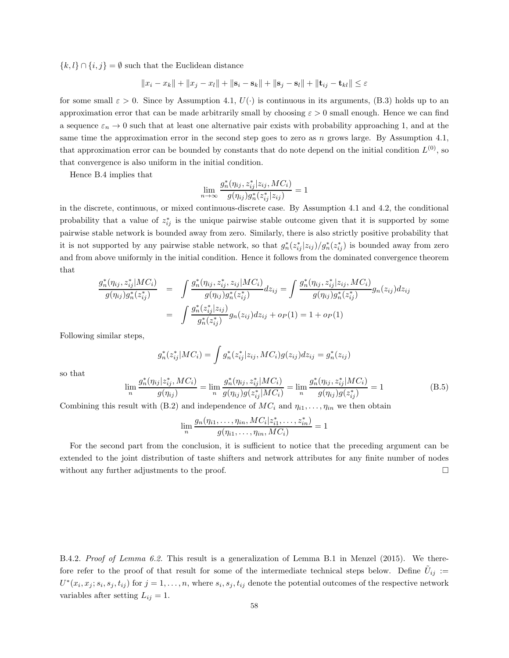$\{k, l\} \cap \{i, j\} = \emptyset$  such that the Euclidean distance

$$
||x_i - x_k|| + ||x_j - x_l|| + ||\mathbf{s}_i - \mathbf{s}_k|| + ||\mathbf{s}_j - \mathbf{s}_l|| + ||\mathbf{t}_{ij} - \mathbf{t}_{kl}|| \le \varepsilon
$$

for some small  $\varepsilon > 0$ . Since by Assumption 4.1,  $U(\cdot)$  is continuous in its arguments, (B.3) holds up to an approximation error that can be made arbitrarily small by choosing  $\varepsilon > 0$  small enough. Hence we can find a sequence  $\varepsilon_n \to 0$  such that at least one alternative pair exists with probability approaching 1, and at the same time the approximation error in the second step goes to zero as  $n$  grows large. By Assumption 4.1, that approximation error can be bounded by constants that do note depend on the initial condition  $L^{(0)}$ , so that convergence is also uniform in the initial condition.

Hence B.4 implies that

$$
\lim_{n\to\infty}\frac{g_n^*(\eta_{ij},z_{ij}^*|z_{ij},MC_i)}{g(\eta_{ij})g_n^*(z_{ij}^*|z_{ij})}=1
$$

in the discrete, continuous, or mixed continuous-discrete case. By Assumption 4.1 and 4.2, the conditional probability that a value of  $z_{ij}^*$  is the unique pairwise stable outcome given that it is supported by some pairwise stable network is bounded away from zero. Similarly, there is also strictly positive probability that it is not supported by any pairwise stable network, so that  $g_n^*(z_{ij}^*|z_{ij})/g_n^*(z_{ij}^*)$  is bounded away from zero and from above uniformly in the initial condition. Hence it follows from the dominated convergence theorem that

$$
\frac{g_n^*(\eta_{ij}, z_{ij}^*|MC_i)}{g(\eta_{ij})g_n^*(z_{ij}^*)} = \int \frac{g_n^*(\eta_{ij}, z_{ij}^*, z_{ij}|MC_i)}{g(\eta_{ij})g_n^*(z_{ij}^*)} dz_{ij} = \int \frac{g_n^*(\eta_{ij}, z_{ij}^*|z_{ij}, MC_i)}{g(\eta_{ij})g_n^*(z_{ij}^*)} g_n(z_{ij}) dz_{ij}
$$
\n
$$
= \int \frac{g_n^*(z_{ij}^*|z_{ij})}{g_n^*(z_{ij}^*)} g_n(z_{ij}) dz_{ij} + o_P(1) = 1 + o_P(1)
$$

Following similar steps,

$$
g_n^*(z_{ij}^*|MC_i) = \int g_n^*(z_{ij}^*|z_{ij}, MC_i)g(z_{ij})dz_{ij} = g_n^*(z_{ij})
$$

so that

$$
\lim_{n} \frac{g_n^*(\eta_{ij}|z_{ij}^*, MC_i)}{g(\eta_{ij})} = \lim_{n} \frac{g_n^*(\eta_{ij}, z_{ij}^*|MC_i)}{g(\eta_{ij})g(z_{ij}^*|MC_i)} = \lim_{n} \frac{g_n^*(\eta_{ij}, z_{ij}^*|MC_i)}{g(\eta_{ij})g(z_{ij}^*)} = 1
$$
\n(B.5)

Combining this result with (B.2) and independence of  $MC_i$  and  $\eta_{i1}, \ldots, \eta_{in}$  we then obtain

$$
\lim_{n} \frac{g_n(\eta_{i1},\ldots,\eta_{in},MC_i|z_{i1}^*,\ldots,z_{in}^*)}{g(\eta_{i1},\ldots,\eta_{in},MC_i)} = 1
$$

For the second part from the conclusion, it is sufficient to notice that the preceding argument can be extended to the joint distribution of taste shifters and network attributes for any finite number of nodes without any further adjustments to the proof.

B.4.2. Proof of Lemma 6.2. This result is a generalization of Lemma B.1 in Menzel (2015). We therefore refer to the proof of that result for some of the intermediate technical steps below. Define  $\tilde{U}_{ij}$  :=  $U^*(x_i, x_j; s_i, s_j, t_{ij})$  for  $j = 1, \ldots, n$ , where  $s_i, s_j, t_{ij}$  denote the potential outcomes of the respective network variables after setting  $L_{ij} = 1$ .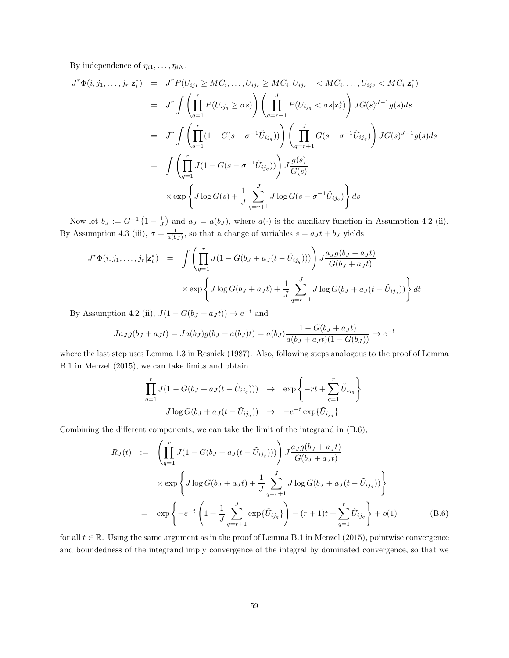By independence of  $\eta_{i1}, \ldots, \eta_{iN}$ ,

$$
J^{T}\Phi(i,j_{1},...,j_{r}|\mathbf{z}_{i}^{*}) = J^{T}P(U_{ij_{1}} \geq MC_{i},...,U_{ij_{r}} \geq MC_{i},U_{ij_{r+1}} < MC_{i},...,U_{ij_{J}} < MC_{i}|\mathbf{z}_{i}^{*})
$$
  
\n
$$
= J^{T} \int \left(\prod_{q=1}^{r} P(U_{ij_{q}} \geq \sigma s)\right) \left(\prod_{q=r+1}^{J} P(U_{ij_{q}} < \sigma s|\mathbf{z}_{i}^{*})\right) JG(s)^{J-1}g(s)ds
$$
  
\n
$$
= J^{T} \int \left(\prod_{q=1}^{r} (1 - G(s - \sigma^{-1}\tilde{U}_{ij_{q}}))\right) \left(\prod_{q=r+1}^{J} G(s - \sigma^{-1}\tilde{U}_{ij_{q}})\right) JG(s)^{J-1}g(s)ds
$$
  
\n
$$
= \int \left(\prod_{q=1}^{r} J(1 - G(s - \sigma^{-1}\tilde{U}_{ij_{q}}))\right) J\frac{g(s)}{G(s)}
$$
  
\n
$$
\times \exp\left\{J\log G(s) + \frac{1}{J} \sum_{q=r+1}^{J} J\log G(s - \sigma^{-1}\tilde{U}_{ij_{q}})\right\} ds
$$

Now let  $b_J := G^{-1}(1-\frac{1}{J})$  and  $a_J = a(b_J)$ , where  $a(\cdot)$  is the auxiliary function in Assumption 4.2 (ii). By Assumption 4.3 (iii),  $\sigma = \frac{1}{a(b_J)}$ , so that a change of variables  $s = a_J t + b_J$  yields

$$
J^{r}\Phi(i,j_{1},...,j_{r}|\mathbf{z}_{i}^{*}) = \int \left(\prod_{q=1}^{r} J(1-G(b_{J}+a_{J}(t-\tilde{U}_{ij_{q}})))\right) J \frac{a_{J}g(b_{J}+a_{J}t)}{G(b_{J}+a_{J}t)}
$$

$$
\times \exp\left\{J\log G(b_{J}+a_{J}t)+\frac{1}{J}\sum_{q=r+1}^{J} J\log G(b_{J}+a_{J}(t-\tilde{U}_{ij_{q}}))\right\} dt
$$

By Assumption 4.2 (ii),  $J(1 - G(b_J + a_J t)) \rightarrow e^{-t}$  and

$$
Ja_{J}g(b_{J} + a_{J}t) = Ja(b_{J})g(b_{J} + a(b_{J})t) = a(b_{J})\frac{1 - G(b_{J} + a_{J}t)}{a(b_{J} + a_{J}t)(1 - G(b_{J}))} \rightarrow e^{-t}
$$

where the last step uses Lemma 1.3 in Resnick (1987). Also, following steps analogous to the proof of Lemma B.1 in Menzel (2015), we can take limits and obtain

$$
\prod_{q=1}^{r} J(1 - G(b_J + a_J(t - \tilde{U}_{ij_q}))) \rightarrow \exp\left\{-rt + \sum_{q=1}^{r} \tilde{U}_{ij_q}\right\}
$$

$$
J \log G(b_J + a_J(t - \tilde{U}_{ij_q})) \rightarrow -e^{-t} \exp{\{\tilde{U}_{ij_q}\}}
$$

Combining the different components, we can take the limit of the integrand in (B.6),

$$
R_J(t) := \left(\prod_{q=1}^r J(1 - G(b_J + a_J(t - \tilde{U}_{ij_q})))\right) J \frac{a_J g(b_J + a_J t)}{G(b_J + a_J t)}
$$
  
 
$$
\times \exp\left\{J \log G(b_J + a_J t) + \frac{1}{J} \sum_{q=r+1}^J J \log G(b_J + a_J(t - \tilde{U}_{ij_q}))\right\}
$$
  

$$
= \exp\left\{-e^{-t} \left(1 + \frac{1}{J} \sum_{q=r+1}^J \exp\{\tilde{U}_{ij_q}\}\right) - (r+1)t + \sum_{q=1}^r \tilde{U}_{ij_q}\right\} + o(1) \tag{B.6}
$$

for all  $t \in \mathbb{R}$ . Using the same argument as in the proof of Lemma B.1 in Menzel (2015), pointwise convergence and boundedness of the integrand imply convergence of the integral by dominated convergence, so that we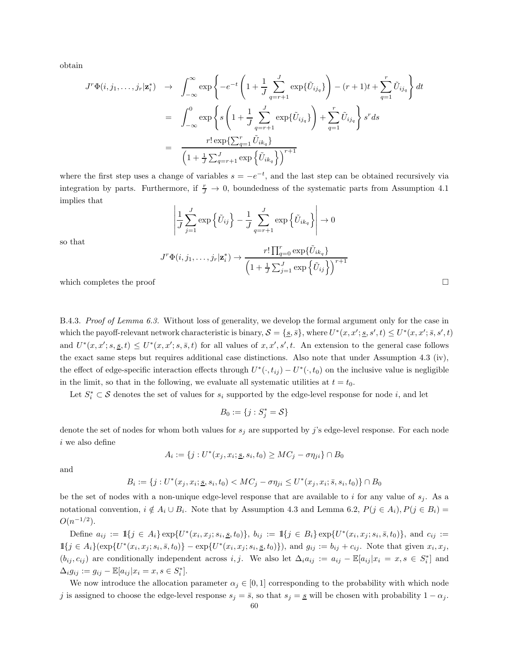obtain

$$
J^r \Phi(i, j_1, \dots, j_r | \mathbf{z}_i^*) \rightarrow \int_{-\infty}^{\infty} \exp \left\{-e^{-t} \left(1 + \frac{1}{J} \sum_{q=r+1}^J \exp\{\tilde{U}_{ij_q}\}\right) - (r+1)t + \sum_{q=1}^r \tilde{U}_{ij_q}\right\} dt
$$
  

$$
= \int_{-\infty}^0 \exp \left\{ s \left(1 + \frac{1}{J} \sum_{q=r+1}^J \exp\{\tilde{U}_{ij_q}\}\right) + \sum_{q=1}^r \tilde{U}_{ij_q}\right\} s^r ds
$$
  

$$
= \frac{r! \exp\{\sum_{q=1}^r \tilde{U}_{ik_q}\}}{\left(1 + \frac{1}{J} \sum_{q=r+1}^J \exp\{\tilde{U}_{ik_q}\}\right)^{r+1}}
$$

where the first step uses a change of variables  $s = -e^{-t}$ , and the last step can be obtained recursively via integration by parts. Furthermore, if  $\frac{r}{J} \to 0$ , boundedness of the systematic parts from Assumption 4.1 implies that

$$
\left| \frac{1}{J} \sum_{j=1}^{J} \exp\left\{ \tilde{U}_{ij} \right\} - \frac{1}{J} \sum_{q=r+1}^{J} \exp\left\{ \tilde{U}_{ik_q} \right\} \right| \to 0
$$

so that

$$
J^r \Phi(i, j_1, \dots, j_r | \mathbf{z}_i^*) \rightarrow \frac{r! \prod_{q=0}^r \exp{\{\tilde{U}_{ik_q}\}}}{\left(1 + \frac{1}{J} \sum_{j=1}^J \exp{\left{\{\tilde{U}_{ij}\right\}}\right)^{r+1}}
$$

which completes the proof

B.4.3. Proof of Lemma 6.3. Without loss of generality, we develop the formal argument only for the case in which the payoff-relevant network characteristic is binary,  $S = \{\underline{s}, \bar{s}\}\text{, where } U^*(x, x'; \underline{s}, s', t) \leq U^*(x, x'; \bar{s}, s', t)$ and  $U^*(x, x'; s, \underline{s}, t) \leq U^*(x, x'; s, \overline{s}, t)$  for all values of  $x, x', s', t$ . An extension to the general case follows the exact same steps but requires additional case distinctions. Also note that under Assumption 4.3 (iv), the effect of edge-specific interaction effects through  $U^*(\cdot,t_{ij}) - U^*(\cdot,t_0)$  on the inclusive value is negligible in the limit, so that in the following, we evaluate all systematic utilities at  $t = t_0$ .

Let  $S_i^* \subset \mathcal{S}$  denotes the set of values for  $s_i$  supported by the edge-level response for node i, and let

$$
B_0:=\{j:S^*_j=\mathcal{S}\}
$$

denote the set of nodes for whom both values for  $s_j$  are supported by j's edge-level response. For each node  $i$  we also define

$$
A_i := \{j: U^*(x_j, x_i; \underline{s}, s_i, t_0) \geq MC_j - \sigma \eta_{ji}\} \cap B_0
$$

and

$$
B_i := \{ j : U^*(x_j, x_i; \underline{s}, s_i, t_0) < MC_j - \sigma \eta_{ji} \le U^*(x_j, x_i; \overline{s}, s_i, t_0) \} \cap B_0
$$

be the set of nodes with a non-unique edge-level response that are available to i for any value of  $s_j$ . As a notational convention,  $i \notin A_i \cup B_i$ . Note that by Assumption 4.3 and Lemma 6.2,  $P(j \in A_i)$ ,  $P(j \in B_i)$  $O(n^{-1/2})$ .

Define  $a_{ij} := \mathbb{1}{j \in A_i} \exp\{U^*(x_i, x_j; s_i, \underline{s}, t_0)\}, b_{ij} := \mathbb{1}{j \in B_i} \exp\{U^*(x_i, x_j; s_i, \overline{s}, t_0)\}, \text{ and } c_{ij} :=$  $\mathbb{1}{j \in A_i}$  ( $\exp\{U^*(x_i, x_j; s_i, \bar{s}, t_0)\} - \exp\{U^*(x_i, x_j; s_i, \underline{s}, t_0)\}\)$ , and  $g_{ij} := b_{ij} + c_{ij}$ . Note that given  $x_i, x_j$ ,  $(b_{ij}, c_{ij})$  are conditionally independent across i, j. We also let  $\Delta_i a_{ij} := a_{ij} - \mathbb{E}[a_{ij}|x_i = x, s \in S_i^*]$  and  $\Delta_i g_{ij} := g_{ij} - \mathbb{E}[a_{ij}|x_i = x, s \in S_i^*].$ 

We now introduce the allocation parameter  $\alpha_j \in [0,1]$  corresponding to the probability with which node j is assigned to choose the edge-level response  $s_j = \overline{s}$ , so that  $s_j = \underline{s}$  will be chosen with probability  $1 - \alpha_j$ .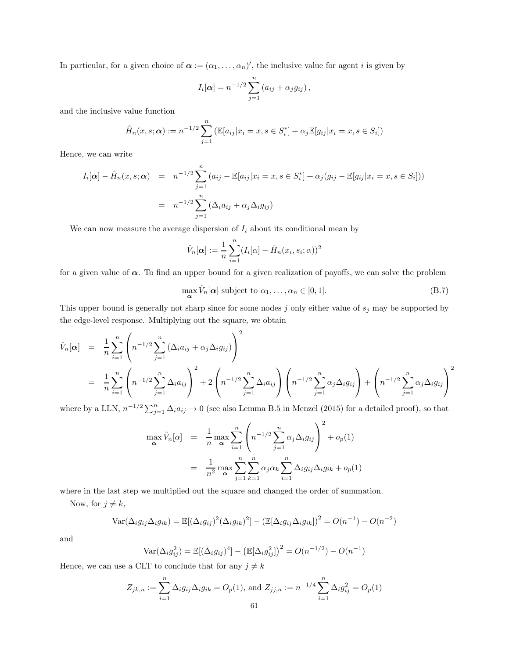In particular, for a given choice of  $\alpha := (\alpha_1, \ldots, \alpha_n)'$ , the inclusive value for agent i is given by

$$
I_i[\boldsymbol{\alpha}] = n^{-1/2} \sum_{j=1}^n (a_{ij} + \alpha_j g_{ij}),
$$

and the inclusive value function

$$
\hat{H}_n(x, s; \alpha) := n^{-1/2} \sum_{j=1}^n \left( \mathbb{E}[a_{ij} | x_i = x, s \in S_i^*] + \alpha_j \mathbb{E}[g_{ij} | x_i = x, s \in S_i] \right)
$$

Hence, we can write

$$
I_i[\alpha] - \hat{H}_n(x, s; \alpha) = n^{-1/2} \sum_{j=1}^n (a_{ij} - \mathbb{E}[a_{ij}|x_i = x, s \in S_i^*] + \alpha_j (g_{ij} - \mathbb{E}[g_{ij}|x_i = x, s \in S_i]))
$$
  
=  $n^{-1/2} \sum_{j=1}^n (\Delta_i a_{ij} + \alpha_j \Delta_i g_{ij})$ 

We can now measure the average dispersion of  $I_i$  about its conditional mean by

$$
\hat{V}_n[\boldsymbol{\alpha}] := \frac{1}{n} \sum_{i=1}^n (I_i[\alpha] - \hat{H}_n(x_i, s_i; \alpha))^2
$$

for a given value of  $\alpha$ . To find an upper bound for a given realization of payoffs, we can solve the problem

 $\max_{\mathbf{\alpha}} \hat{V}_n[\mathbf{\alpha}]$  subject to  $\alpha_1, \dots, \alpha_n \in [0, 1].$  (B.7)

This upper bound is generally not sharp since for some nodes  $j$  only either value of  $s_j$  may be supported by the edge-level response. Multiplying out the square, we obtain

$$
\hat{V}_n[\alpha] = \frac{1}{n} \sum_{i=1}^n \left( n^{-1/2} \sum_{j=1}^n (\Delta_i a_{ij} + \alpha_j \Delta_i g_{ij}) \right)^2
$$
\n
$$
= \frac{1}{n} \sum_{i=1}^n \left( n^{-1/2} \sum_{j=1}^n \Delta_i a_{ij} \right)^2 + 2 \left( n^{-1/2} \sum_{j=1}^n \Delta_i a_{ij} \right) \left( n^{-1/2} \sum_{j=1}^n \alpha_j \Delta_i g_{ij} \right) + \left( n^{-1/2} \sum_{j=1}^n \alpha_j \Delta_i g_{ij} \right)^2
$$

where by a LLN,  $n^{-1/2} \sum_{j=1}^{n} \Delta_i a_{ij} \to 0$  (see also Lemma B.5 in Menzel (2015) for a detailed proof), so that

$$
\max_{\alpha} \hat{V}_n[\alpha] = \frac{1}{n} \max_{\alpha} \sum_{i=1}^n \left( n^{-1/2} \sum_{j=1}^n \alpha_j \Delta_i g_{ij} \right)^2 + o_p(1)
$$

$$
= \frac{1}{n^2} \max_{\alpha} \sum_{j=1}^n \sum_{k=1}^n \alpha_j \alpha_k \sum_{i=1}^n \Delta_i g_{ij} \Delta_i g_{ik} + o_p(1)
$$

where in the last step we multiplied out the square and changed the order of summation.

Now, for  $j \neq k$ ,

$$
\text{Var}(\Delta_i g_{ij} \Delta_i g_{ik}) = \mathbb{E}[(\Delta_i g_{ij})^2 (\Delta_i g_{ik})^2] - (\mathbb{E}[\Delta_i g_{ij} \Delta_i g_{ik}])^2 = O(n^{-1}) - O(n^{-2})
$$

and

$$
Var(\Delta_i g_{ij}^2) = \mathbb{E}[(\Delta_i g_{ij})^4] - (\mathbb{E}[\Delta_i g_{ij}^2])^2 = O(n^{-1/2}) - O(n^{-1})
$$

Hence, we can use a CLT to conclude that for any  $j \neq k$ 

$$
Z_{jk,n} := \sum_{i=1}^{n} \Delta_i g_{ij} \Delta_i g_{ik} = O_p(1), \text{ and } Z_{jj,n} := n^{-1/4} \sum_{i=1}^{n} \Delta_i g_{ij}^2 = O_p(1)
$$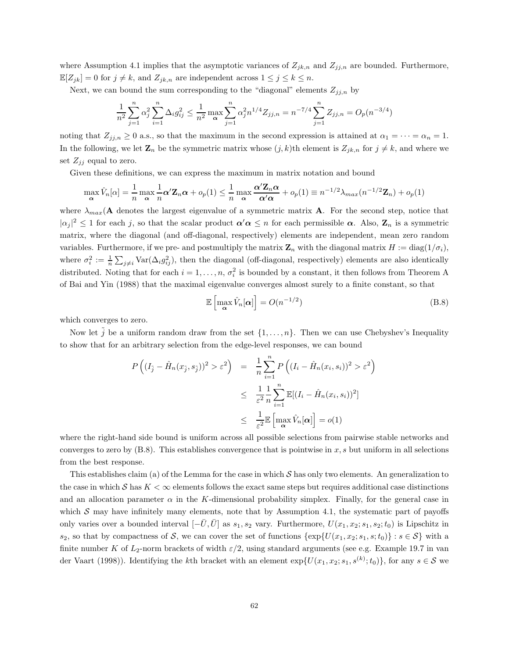where Assumption 4.1 implies that the asymptotic variances of  $Z_{jk,n}$  and  $Z_{jj,n}$  are bounded. Furthermore,  $\mathbb{E}[Z_{jk}] = 0$  for  $j \neq k$ , and  $Z_{jk,n}$  are independent across  $1 \leq j \leq k \leq n$ .

Next, we can bound the sum corresponding to the "diagonal" elements  $Z_{jj,n}$  by

$$
\frac{1}{n^2} \sum_{j=1}^n \alpha_j^2 \sum_{i=1}^n \Delta_i g_{ij}^2 \le \frac{1}{n^2} \max_{\mathbf{\alpha}} \sum_{j=1}^n \alpha_j^2 n^{1/4} Z_{jj,n} = n^{-7/4} \sum_{j=1}^n Z_{jj,n} = O_p(n^{-3/4})
$$

noting that  $Z_{jj,n} \geq 0$  a.s., so that the maximum in the second expression is attained at  $\alpha_1 = \cdots = \alpha_n = 1$ . In the following, we let  $\mathbf{Z}_n$  be the symmetric matrix whose  $(j, k)$ th element is  $Z_{jk,n}$  for  $j \neq k$ , and where we set  $Z_{ij}$  equal to zero.

Given these definitions, we can express the maximum in matrix notation and bound

$$
\max_{\alpha} \hat{V}_n[\alpha] = \frac{1}{n} \max_{\alpha} \frac{1}{n} \alpha' \mathbf{Z}_n \alpha + o_p(1) \le \frac{1}{n} \max_{\alpha} \frac{\alpha' \mathbf{Z}_n \alpha}{\alpha' \alpha} + o_p(1) \equiv n^{-1/2} \lambda_{max}(n^{-1/2} \mathbf{Z}_n) + o_p(1)
$$

where  $\lambda_{max}(\mathbf{A})$  denotes the largest eigenvalue of a symmetric matrix  $\mathbf{A}$ . For the second step, notice that  $|\alpha_j|^2 \leq 1$  for each j, so that the scalar product  $\alpha' \alpha \leq n$  for each permissible  $\alpha$ . Also,  $\mathbb{Z}_n$  is a symmetric matrix, where the diagonal (and off-diagonal, respectively) elements are independent, mean zero random variables. Furthermore, if we pre- and postmultiply the matrix  $\mathbf{Z}_n$  with the diagonal matrix  $H := \text{diag}(1/\sigma_i)$ , where  $\sigma_i^2 := \frac{1}{n} \sum_{j \neq i} \text{Var}(\Delta_i g_{ij}^2)$ , then the diagonal (off-diagonal, respectively) elements are also identically distributed. Noting that for each  $i = 1, \ldots, n, \sigma_i^2$  is bounded by a constant, it then follows from Theorem A of Bai and Yin (1988) that the maximal eigenvalue converges almost surely to a finite constant, so that

$$
\mathbb{E}\left[\max_{\alpha} \hat{V}_n[\alpha]\right] = O(n^{-1/2})\tag{B.8}
$$

which converges to zero.

Now let  $\tilde{j}$  be a uniform random draw from the set  $\{1, \ldots, n\}$ . Then we can use Chebyshev's Inequality to show that for an arbitrary selection from the edge-level responses, we can bound

$$
P\left((I_{\tilde{j}} - \hat{H}_n(x_{\tilde{j}}, s_{\tilde{j}}))^2 > \varepsilon^2\right) = \frac{1}{n} \sum_{i=1}^n P\left((I_i - \hat{H}_n(x_i, s_i))^2 > \varepsilon^2\right)
$$
  

$$
\leq \frac{1}{\varepsilon^2} \frac{1}{n} \sum_{i=1}^n \mathbb{E}[(I_i - \hat{H}_n(x_i, s_i))^2]
$$
  

$$
\leq \frac{1}{\varepsilon^2} \mathbb{E}\left[\max_{\alpha} \hat{V}_n[\alpha]\right] = o(1)
$$

where the right-hand side bound is uniform across all possible selections from pairwise stable networks and converges to zero by  $(B.8)$ . This establishes convergence that is pointwise in x, s but uniform in all selections from the best response.

This establishes claim (a) of the Lemma for the case in which  $S$  has only two elements. An generalization to the case in which S has  $K < \infty$  elements follows the exact same steps but requires additional case distinctions and an allocation parameter  $\alpha$  in the K-dimensional probability simplex. Finally, for the general case in which  $S$  may have infinitely many elements, note that by Assumption 4.1, the systematic part of payoffs only varies over a bounded interval  $[-\bar{U}, \bar{U}]$  as  $s_1, s_2$  vary. Furthermore,  $U(x_1, x_2; s_1, s_2; t_0)$  is Lipschitz in  $s_2$ , so that by compactness of S, we can cover the set of functions  $\{\exp\{U(x_1, x_2; s_1, s; t_0)\}: s \in S\}$  with a finite number K of  $L_2$ -norm brackets of width  $\varepsilon/2$ , using standard arguments (see e.g. Example 19.7 in van der Vaart (1998)). Identifying the kth bracket with an element  $\exp\{U(x_1, x_2; s_1, s^{(k)}; t_0)\}\,$  for any  $s \in \mathcal{S}$  we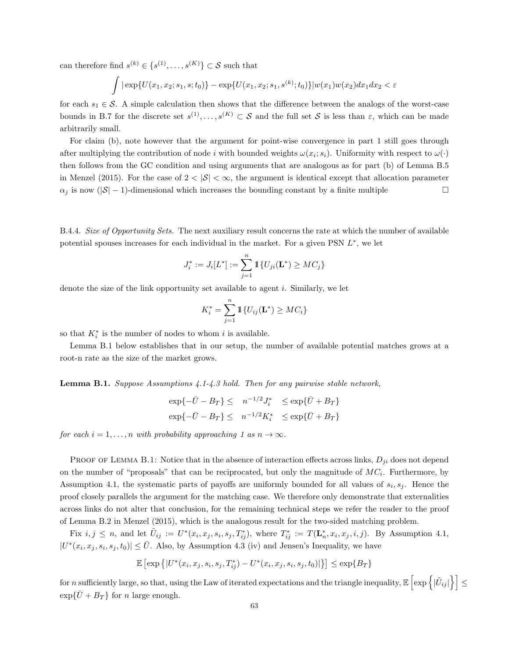can therefore find  $s^{(k)} \in \{s^{(1)}, \ldots, s^{(K)}\} \subset S$  such that

$$
\int |\exp\{U(x_1, x_2; s_1, s; t_0)\} - \exp\{U(x_1, x_2; s_1, s^{(k)}; t_0)\}|w(x_1)w(x_2)dx_1dx_2 < \varepsilon
$$

for each  $s_1 \in \mathcal{S}$ . A simple calculation then shows that the difference between the analogs of the worst-case bounds in B.7 for the discrete set  $s^{(1)},\ldots,s^{(K)}\subset S$  and the full set S is less than  $\varepsilon$ , which can be made arbitrarily small.

For claim (b), note however that the argument for point-wise convergence in part 1 still goes through after multiplying the contribution of node i with bounded weights  $\omega(x_i; s_i)$ . Uniformity with respect to  $\omega(\cdot)$ then follows from the GC condition and using arguments that are analogous as for part (b) of Lemma B.5 in Menzel (2015). For the case of  $2 < |\mathcal{S}| < \infty$ , the argument is identical except that allocation parameter  $\alpha_j$  is now (|S| − 1)-dimensional which increases the bounding constant by a finite multiple

B.4.4. Size of Opportunity Sets. The next auxiliary result concerns the rate at which the number of available potential spouses increases for each individual in the market. For a given PSN  $L^*$ , we let

$$
J_i^* := J_i[L^*] := \sum_{j=1}^n \mathbb{1}{U_{ji}(\mathbf{L}^*) \geq MC_j}
$$

denote the size of the link opportunity set available to agent i. Similarly, we let

$$
K_i^* = \sum_{j=1}^n \mathbb{1}\{U_{ij}(\mathbf{L}^*) \geq MC_i\}
$$

so that  $K_i^*$  is the number of nodes to whom i is available.

Lemma B.1 below establishes that in our setup, the number of available potential matches grows at a root-n rate as the size of the market grows.

Lemma B.1. Suppose Assumptions 4.1-4.3 hold. Then for any pairwise stable network,

$$
\exp\{-\bar{U} - B_T\} \leq n^{-1/2} J_i^* \leq \exp\{\bar{U} + B_T\}
$$
  

$$
\exp\{-\bar{U} - B_T\} \leq n^{-1/2} K_i^* \leq \exp\{\bar{U} + B_T\}
$$

for each  $i = 1, \ldots, n$  with probability approaching 1 as  $n \to \infty$ .

PROOF OF LEMMA B.1: Notice that in the absence of interaction effects across links,  $D_{ji}$  does not depend on the number of "proposals" that can be reciprocated, but only the magnitude of  $MC_i$ . Furthermore, by Assumption 4.1, the systematic parts of payoffs are uniformly bounded for all values of  $s_i, s_j$ . Hence the proof closely parallels the argument for the matching case. We therefore only demonstrate that externalities across links do not alter that conclusion, for the remaining technical steps we refer the reader to the proof of Lemma B.2 in Menzel (2015), which is the analogous result for the two-sided matching problem.

Fix  $i, j \leq n$ , and let  $\tilde{U}_{ij} := U^*(x_i, x_j, s_i, s_j, T^*_{ij})$ , where  $T^*_{ij} := T(\mathbf{L}_n^*, x_i, x_j, i, j)$ . By Assumption 4.1,  $|U^*(x_i, x_j, s_i, s_j, t_0)| \leq \overline{U}$ . Also, by Assumption 4.3 (iv) and Jensen's Inequality, we have

$$
\mathbb{E}\left[\exp\left\{|U^*(x_i,x_j,s_i,s_j,T^*_{ij})-U^*(x_i,x_j,s_i,s_j,t_0)|\right\}\right]\leq \exp\{B_T\}
$$

for n sufficiently large, so that, using the Law of iterated expectations and the triangle inequality,  $\mathbb{E}\left[\exp\left\{|\tilde{U}_{ij}|\right\}\right] \leq$  $\exp{\{\bar{U} + B_T\}}$  for *n* large enough.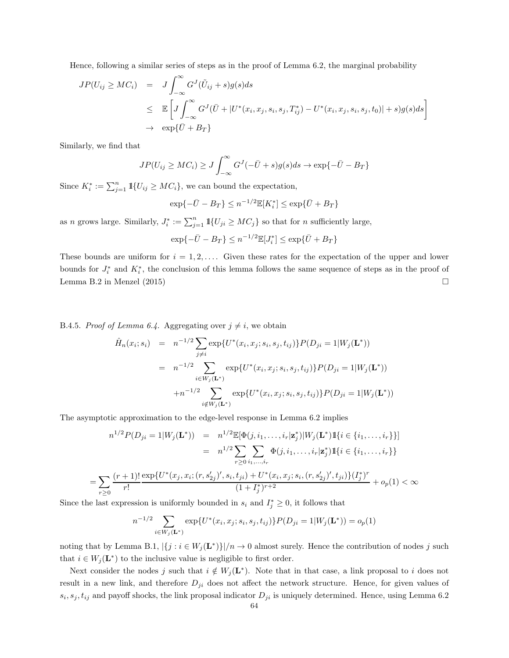Hence, following a similar series of steps as in the proof of Lemma 6.2, the marginal probability

$$
JP(U_{ij} \ge MC_i) = J \int_{-\infty}^{\infty} G^J(\tilde{U}_{ij} + s)g(s)ds
$$
  
\n
$$
\le \mathbb{E}\left[J \int_{-\infty}^{\infty} G^J(\bar{U} + |U^*(x_i, x_j, s_i, s_j, T^*_{ij}) - U^*(x_i, x_j, s_i, s_j, t_0)| + s)g(s)ds\right]
$$
  
\n
$$
\rightarrow \exp{\{\bar{U} + B_T\}}
$$

Similarly, we find that

=

$$
JP(U_{ij} \ge MC_i) \ge J \int_{-\infty}^{\infty} G^{J}(-\bar{U} + s)g(s)ds \to \exp{-\bar{U} - B_T}
$$

Since  $K_i^* := \sum_{j=1}^n \mathbb{1}{U_{ij} \geq MC_i}$ , we can bound the expectation,

$$
\exp\{-\bar{U} - B_T\} \le n^{-1/2} \mathbb{E}[K_i^*] \le \exp\{\bar{U} + B_T\}
$$

as n grows large. Similarly,  $J_i^* := \sum_{j=1}^n 1\!\!1\{U_{ji} \geq MC_j\}$  so that for n sufficiently large,

$$
\exp\{-\bar{U} - B_T\} \le n^{-1/2} \mathbb{E}[J_i^*] \le \exp\{\bar{U} + B_T\}
$$

These bounds are uniform for  $i = 1, 2, \ldots$ . Given these rates for the expectation of the upper and lower bounds for  $J_i^*$  and  $K_i^*$ , the conclusion of this lemma follows the same sequence of steps as in the proof of Lemma B.2 in Menzel  $(2015)$ 

B.4.5. Proof of Lemma 6.4. Aggregating over  $j \neq i$ , we obtain

$$
\hat{H}_n(x_i; s_i) = n^{-1/2} \sum_{j \neq i} \exp\{U^*(x_i, x_j; s_i, s_j, t_{ij})\} P(D_{ji} = 1 | W_j(\mathbf{L}^*))
$$
\n
$$
= n^{-1/2} \sum_{i \in W_j(\mathbf{L}^*)} \exp\{U^*(x_i, x_j; s_i, s_j, t_{ij})\} P(D_{ji} = 1 | W_j(\mathbf{L}^*))
$$
\n
$$
+ n^{-1/2} \sum_{i \notin W_j(\mathbf{L}^*)} \exp\{U^*(x_i, x_j; s_i, s_j, t_{ij})\} P(D_{ji} = 1 | W_j(\mathbf{L}^*))
$$

The asymptotic approximation to the edge-level response in Lemma 6.2 implies

$$
n^{1/2} P(D_{ji} = 1 | W_j(\mathbf{L}^*)) = n^{1/2} \mathbb{E}[\Phi(j, i_1, \dots, i_r | \mathbf{z}_j^*) | W_j(\mathbf{L}^*) \mathbb{1}\{i \in \{i_1, \dots, i_r\}\}]
$$
  
\n
$$
= n^{1/2} \sum_{r \geq 0} \sum_{i_1, \dots, i_r} \Phi(j, i_1, \dots, i_r | \mathbf{z}_j^*) \mathbb{1}\{i \in \{i_1, \dots, i_r\}\}
$$
  
\n
$$
\sum_{r \geq 0} \frac{(r+1)!}{r!} \frac{\exp\{U^*(x_j, x_i; (r, s_{2j}')', s_i, t_{ji}) + U^*(x_i, x_j; s_i, (r, s_{2j}')', t_{ji})\}(I_j^*)^r}{(1+I_j^*)^{r+2}} + o_p(1) < \infty
$$

Since the last expression is uniformly bounded in  $s_i$  and  $I_j^* \geq 0$ , it follows that

$$
n^{-1/2} \sum_{i \in W_j(\mathbf{L}^*)} \exp\{U^*(x_i, x_j; s_i, s_j, t_{ij})\} P(D_{ji} = 1 | W_j(\mathbf{L}^*)) = o_p(1)
$$

noting that by Lemma B.1,  $|\{j : i \in W_j(\mathbf{L}^*)\}|/n \to 0$  almost surely. Hence the contribution of nodes j such that  $i \in W_j(\mathbf{L}^*)$  to the inclusive value is negligible to first order.

Next consider the nodes j such that  $i \notin W_j(\mathbf{L}^*)$ . Note that in that case, a link proposal to i does not result in a new link, and therefore  $D_{ji}$  does not affect the network structure. Hence, for given values of  $s_i, s_j, t_{ij}$  and payoff shocks, the link proposal indicator  $D_{ji}$  is uniquely determined. Hence, using Lemma 6.2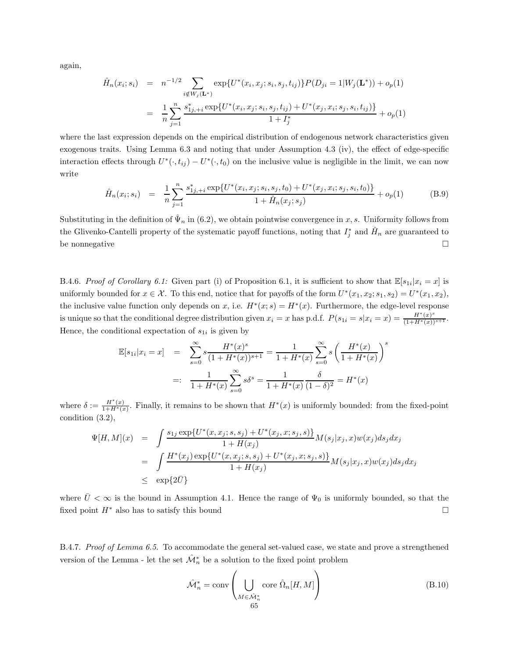again,

$$
\hat{H}_n(x_i; s_i) = n^{-1/2} \sum_{i \notin W_j(\mathbf{L}^*)} \exp\{U^*(x_i, x_j; s_i, s_j, t_{ij})\} P(D_{ji} = 1 | W_j(\mathbf{L}^*)) + o_p(1)
$$
\n
$$
= \frac{1}{n} \sum_{j=1}^n \frac{s_{1j, +i}^* \exp\{U^*(x_i, x_j; s_i, s_j, t_{ij}) + U^*(x_j, x_i; s_j, s_i, t_{ij})\}}{1 + I_j^*} + o_p(1)
$$

where the last expression depends on the empirical distribution of endogenous network characteristics given exogenous traits. Using Lemma 6.3 and noting that under Assumption 4.3 (iv), the effect of edge-specific interaction effects through  $U^*(\cdot,t_{ij}) - U^*(\cdot,t_0)$  on the inclusive value is negligible in the limit, we can now write

$$
\hat{H}_n(x_i; s_i) = \frac{1}{n} \sum_{j=1}^n \frac{s_{1j, +i}^* \exp\{U^*(x_i, x_j; s_i, s_j, t_0) + U^*(x_j, x_i; s_j, s_i, t_0)\}}{1 + \hat{H}_n(x_j; s_j)} + o_p(1)
$$
\n(B.9)

Substituting in the definition of  $\hat{\Psi}_n$  in (6.2), we obtain pointwise convergence in x, s. Uniformity follows from the Glivenko-Cantelli property of the systematic payoff functions, noting that  $I_j^*$  and  $\hat{H}_n$  are guaranteed to be nonnegative  $\Box$ 

B.4.6. Proof of Corollary 6.1: Given part (i) of Proposition 6.1, it is sufficient to show that  $\mathbb{E}[s_{1i}|x_i=x]$  is uniformly bounded for  $x \in \mathcal{X}$ . To this end, notice that for payoffs of the form  $U^*(x_1, x_2; s_1, s_2) = U^*(x_1, x_2)$ , the inclusive value function only depends on x, i.e.  $H^*(x; s) = H^*(x)$ . Furthermore, the edge-level response is unique so that the conditional degree distribution given  $x_i = x$  has p.d.f.  $P(s_{1i} = s | x_i = x) = \frac{H^*(x)^s}{(1 + H^*(x))^{s+1}}$ . Hence, the conditional expectation of  $s_{1i}$  is given by

$$
\mathbb{E}[s_{1i}|x_i = x] = \sum_{s=0}^{\infty} s \frac{H^*(x)^s}{(1 + H^*(x))^{s+1}} = \frac{1}{1 + H^*(x)} \sum_{s=0}^{\infty} s \left(\frac{H^*(x)}{1 + H^*(x)}\right)^s
$$

$$
=: \frac{1}{1 + H^*(x)} \sum_{s=0}^{\infty} s \delta^s = \frac{1}{1 + H^*(x)} \frac{\delta}{(1 - \delta)^2} = H^*(x)
$$

where  $\delta := \frac{H^*(x)}{1 + H^*(x)}$ . Finally, it remains to be shown that  $H^*(x)$  is uniformly bounded: from the fixed-point condition (3.2),

$$
\Psi[H, M](x) = \int \frac{s_{1j} \exp\{U^*(x, x_j; s, s_j) + U^*(x_j, x; s_j, s)\}}{1 + H(x_j)} M(s_j | x_j, x) w(x_j) ds_j dx_j
$$
  
\n
$$
= \int \frac{H^*(x_j) \exp\{U^*(x, x_j; s, s_j) + U^*(x_j, x; s_j, s)\}}{1 + H(x_j)} M(s_j | x_j, x) w(x_j) ds_j dx_j
$$
  
\n
$$
\leq \exp\{2\bar{U}\}
$$

where  $\bar{U} < \infty$  is the bound in Assumption 4.1. Hence the range of  $\Psi_0$  is uniformly bounded, so that the fixed point  $H^*$  also has to satisfy this bound  $\square$ 

B.4.7. Proof of Lemma 6.5. To accommodate the general set-valued case, we state and prove a strengthened version of the Lemma - let the set  $\hat{\mathcal{M}}_n^*$  be a solution to the fixed point problem

$$
\hat{\mathcal{M}}_n^* = \text{conv}\left(\bigcup_{M \in \hat{\mathcal{M}}_n^*} \text{core } \hat{\Omega}_n[H, M]\right) \tag{B.10}
$$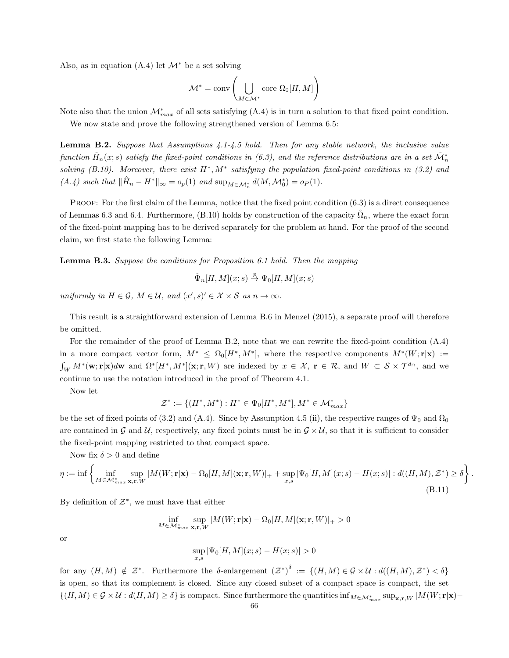Also, as in equation  $(A.4)$  let  $\mathcal{M}^*$  be a set solving

$$
\mathcal{M}^*=\textnormal{conv}\left(\bigcup_{M\in\mathcal{M}^*}\textnormal{core}\ \Omega_0[H,M]\right)
$$

Note also that the union  $\mathcal{M}^*_{max}$  of all sets satisfying (A.4) is in turn a solution to that fixed point condition.

We now state and prove the following strengthened version of Lemma 6.5:

Lemma B.2. Suppose that Assumptions 4.1-4.5 hold. Then for any stable network, the inclusive value function  $\hat{H}_n(x; s)$  satisfy the fixed-point conditions in (6.3), and the reference distributions are in a set  $\hat{\mathcal{M}}_n^*$ solving  $(B.10)$ . Moreover, there exist  $H^*$ ,  $M^*$  satisfying the population fixed-point conditions in (3.2) and  $(A.4)$  such that  $\|\hat{H}_n - H^*\|_{\infty} = o_p(1)$  and  $\sup_{M \in \mathcal{M}_n^*} d(M, \mathcal{M}_0^*) = o_P(1)$ .

PROOF: For the first claim of the Lemma, notice that the fixed point condition  $(6.3)$  is a direct consequence of Lemmas 6.3 and 6.4. Furthermore, (B.10) holds by construction of the capacity  $\hat{\Omega}_n$ , where the exact form of the fixed-point mapping has to be derived separately for the problem at hand. For the proof of the second claim, we first state the following Lemma:

Lemma B.3. Suppose the conditions for Proposition 6.1 hold. Then the mapping

$$
\hat{\Psi}_n[H,M](x;s) \stackrel{p}{\to} \Psi_0[H,M](x;s)
$$

uniformly in  $H \in \mathcal{G}$ ,  $M \in \mathcal{U}$ , and  $(x', s)' \in \mathcal{X} \times \mathcal{S}$  as  $n \to \infty$ .

This result is a straightforward extension of Lemma B.6 in Menzel (2015), a separate proof will therefore be omitted.

For the remainder of the proof of Lemma B.2, note that we can rewrite the fixed-point condition (A.4) in a more compact vector form,  $M^* \leq \Omega_0[H^*, M^*]$ , where the respective components  $M^*(W; \mathbf{r} | \mathbf{x}) :=$  $\int_W M^*(\mathbf{w}; \mathbf{r}|\mathbf{x})d\mathbf{w}$  and  $\Omega^*[H^*, M^*](\mathbf{x}; \mathbf{r}, W)$  are indexed by  $x \in \mathcal{X}$ ,  $\mathbf{r} \in \mathcal{R}$ , and  $W \subset \mathcal{S} \times \mathcal{T}^{d_{\cap}}$ , and we continue to use the notation introduced in the proof of Theorem 4.1.

Now let

$$
\mathcal{Z}^*:=\{(H^*,M^*): H^*\in \Psi_0[H^*,M^*], M^*\in \mathcal{M}_{max}^*\}
$$

be the set of fixed points of (3.2) and (A.4). Since by Assumption 4.5 (ii), the respective ranges of  $\Psi_0$  and  $\Omega_0$ are contained in G and U, respectively, any fixed points must be in  $\mathcal{G} \times \mathcal{U}$ , so that it is sufficient to consider the fixed-point mapping restricted to that compact space.

Now fix  $\delta > 0$  and define

$$
\eta := \inf \left\{ \inf_{M \in \mathcal{M}^*_{max} \mathbf{x}, \mathbf{r}, W} |M(W; \mathbf{r} | \mathbf{x}) - \Omega_0[H, M](\mathbf{x}; \mathbf{r}, W)|_+ + \sup_{x, s} |\Psi_0[H, M](x; s) - H(x; s)| : d((H, M), \mathcal{Z}^*) \ge \delta \right\}.
$$
\n(B.11)

By definition of  $\mathcal{Z}^*$ , we must have that either

$$
\inf_{M \in \mathcal{M}^*_{max}} \sup_{\mathbf{x}, \mathbf{r}, W} |M(W; \mathbf{r}|\mathbf{x}) - \Omega_0[H, M](\mathbf{x}; \mathbf{r}, W)|_+ > 0
$$

or

$$
\sup_{x,s} |\Psi_0[H, M](x;s) - H(x;s)| > 0
$$

for any  $(H, M) \notin \mathcal{Z}^*$ . Furthermore the  $\delta$ -enlargement  $(\mathcal{Z}^*)^{\delta} := \{(H, M) \in \mathcal{G} \times \mathcal{U} : d((H, M), \mathcal{Z}^*) < \delta\}$ is open, so that its complement is closed. Since any closed subset of a compact space is compact, the set  $\{(H, M) \in \mathcal{G} \times \mathcal{U} : d(H, M) \ge \delta\}$  is compact. Since furthermore the quantities  $\inf_{M \in \mathcal{M}_{max}^*} \sup_{\mathbf{x}, \mathbf{r}, W} |M(W; \mathbf{r} | \mathbf{x}) -$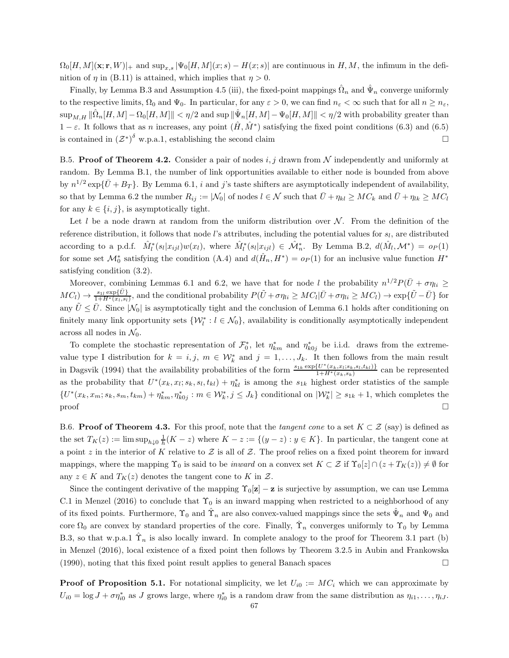$\Omega_0[H, M](\mathbf{x}; \mathbf{r}, W)|_+$  and  $\sup_{x,s} |\Psi_0[H, M](x; s) - H(x; s)|$  are continuous in H, M, the infimum in the definition of  $\eta$  in (B.11) is attained, which implies that  $\eta > 0$ .

Finally, by Lemma B.3 and Assumption 4.5 (iii), the fixed-point mappings  $\hat{\Omega}_n$  and  $\hat{\Psi}_n$  converge uniformly to the respective limits,  $\Omega_0$  and  $\Psi_0$ . In particular, for any  $\varepsilon > 0$ , we can find  $n_{\varepsilon} < \infty$  such that for all  $n \ge n_{\varepsilon}$ ,  $\sup_{M,H} \|\hat{\Omega}_n[H,M] - \Omega_0[H,M]\| < \eta/2$  and  $\sup \|\hat{\Psi}_n[H,M] - \Psi_0[H,M]\| < \eta/2$  with probability greater than  $1 - \varepsilon$ . It follows that as n increases, any point  $(\hat{H}, \hat{M}^*)$  satisfying the fixed point conditions (6.3) and (6.5) is contained in  $(\mathcal{Z}^*)^{\delta}$  w.p.a.1, establishing the second claim

B.5. **Proof of Theorem 4.2.** Consider a pair of nodes i, j drawn from N independently and uniformly at random. By Lemma B.1, the number of link opportunities available to either node is bounded from above by  $n^{1/2} \exp{\{\bar{U} + B_T\}}$ . By Lemma 6.1, *i* and *j*'s taste shifters are asymptotically independent of availability, so that by Lemma 6.2 the number  $R_{ij} := |\mathcal{N}_0|$  of nodes  $l \in \mathcal{N}$  such that  $\bar{U} + \eta_{kl} \geq MC_k$  and  $\bar{U} + \eta_{lk} \geq MC_l$ for any  $k \in \{i, j\}$ , is asymptotically tight.

Let l be a node drawn at random from the uniform distribution over  $\mathcal N$ . From the definition of the reference distribution, it follows that node *l*'s attributes, including the potential values for  $s_l$ , are distributed according to a p.d.f.  $\hat{M}_l^*(s_l|x_{ijl})w(x_l)$ , where  $\hat{M}_l^*(s_l|x_{ijl}) \in \hat{\mathcal{M}}_n^*$ . By Lemma B.2,  $d(\hat{M}_l, \mathcal{M}^*) = o_P(1)$ for some set  $\mathcal{M}_0^*$  satisfying the condition (A.4) and  $d(\hat{H}_n, H^*) = o_P(1)$  for an inclusive value function  $H^*$ satisfying condition (3.2).

Moreover, combining Lemmas 6.1 and 6.2, we have that for node l the probability  $n^{1/2}P(\bar{U} + \sigma \eta_{li} \geq$  $MC_l \rightarrow \frac{s_{1l} \exp{\{\bar{U}\}}}{1+H^*(x_l, s_l)}$ , and the conditional probability  $P(\tilde{U} + \sigma \eta_{li} \geq MC_l | \bar{U} + \sigma \eta_{li} \geq MC_l) \rightarrow \exp{\{\tilde{U} - \bar{U}\}}$  for any  $\tilde{U} \leq \tilde{U}$ . Since  $|\mathcal{N}_0|$  is asymptotically tight and the conclusion of Lemma 6.1 holds after conditioning on finitely many link opportunity sets  $\{W_l^*: l \in \mathcal{N}_0\}$ , availability is conditionally asymptotically independent across all nodes in  $\mathcal{N}_0$ .

To complete the stochastic representation of  $\mathcal{F}_0^*$ , let  $\eta_{km}^*$  and  $\eta_{k0j}^*$  be i.i.d. draws from the extremevalue type I distribution for  $k = i, j, m \in \mathcal{W}_k^*$  and  $j = 1, \ldots, J_k$ . It then follows from the main result in Dagsvik (1994) that the availability probabilities of the form  $\frac{s_{1k} \exp\{U^*(x_k, x_l; s_k, s_l, t_{kl})\}}{1 + H^*(x_k, s_k)}$  can be represented as the probability that  $U^*(x_k, x_l; s_k, s_l, t_{kl}) + \eta^*_{kl}$  is among the  $s_{1k}$  highest order statistics of the sample  $\{U^*(x_k, x_m; s_k, s_m, t_{km}) + \eta_{km}^*, \eta_{k0j}^* : m \in \mathcal{W}_k^*, j \leq J_k\}$  conditional on  $|\mathcal{W}_k^*| \geq s_{1k} + 1$ , which completes the proof the contract of the contract of the contract of the contract of the contract of  $\square$ 

B.6. Proof of Theorem 4.3. For this proof, note that the *tangent cone* to a set  $K \subset \mathcal{Z}$  (say) is defined as the set  $T_K(z) := \limsup_{h \downarrow 0} \frac{1}{h}(K - z)$  where  $K - z := \{(y - z) : y \in K\}$ . In particular, the tangent cone at a point z in the interior of K relative to  $Z$  is all of  $Z$ . The proof relies on a fixed point theorem for inward mappings, where the mapping  $\Upsilon_0$  is said to be *inward* on a convex set  $K \subset \mathcal{Z}$  if  $\Upsilon_0[z] \cap (z + T_K(z)) \neq \emptyset$  for any  $z \in K$  and  $T_K(z)$  denotes the tangent cone to K in  $\mathcal{Z}$ .

Since the contingent derivative of the mapping  $\Upsilon_0[\mathbf{z}] - \mathbf{z}$  is surjective by assumption, we can use Lemma C.1 in Menzel (2016) to conclude that  $\Upsilon_0$  is an inward mapping when restricted to a neighborhood of any of its fixed points. Furthermore,  $\Upsilon_0$  and  $\hat{\Upsilon}_n$  are also convex-valued mappings since the sets  $\hat{\Psi}_n$  and  $\Psi_0$  and core  $\Omega_0$  are convex by standard properties of the core. Finally,  $\hat{\Upsilon}_n$  converges uniformly to  $\Upsilon_0$  by Lemma B.3, so that w.p.a.1  $\hat{\Upsilon}_n$  is also locally inward. In complete analogy to the proof for Theorem 3.1 part (b) in Menzel (2016), local existence of a fixed point then follows by Theorem 3.2.5 in Aubin and Frankowska  $(1990)$ , noting that this fixed point result applies to general Banach spaces

**Proof of Proposition 5.1.** For notational simplicity, we let  $U_{i0} := MC_i$  which we can approximate by  $U_{i0} = \log J + \sigma \eta_{i0}^*$  as J grows large, where  $\eta_{i0}^*$  is a random draw from the same distribution as  $\eta_{i1}, \ldots, \eta_{iJ}$ .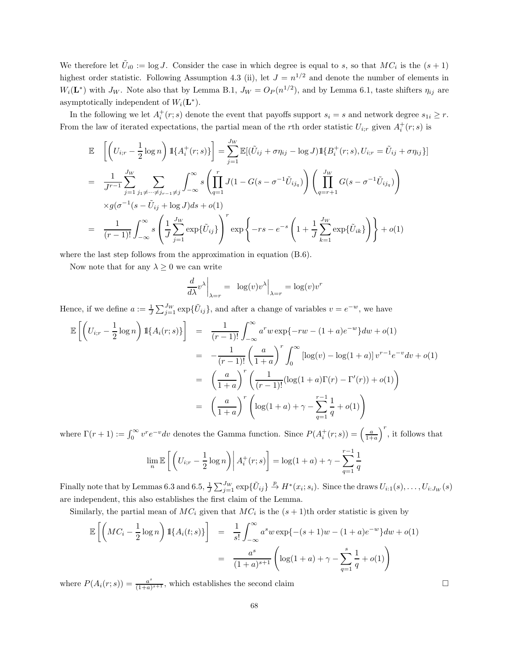We therefore let  $\tilde{U}_{i0} := \log J$ . Consider the case in which degree is equal to s, so that  $MC_i$  is the  $(s + 1)$ highest order statistic. Following Assumption 4.3 (ii), let  $J = n^{1/2}$  and denote the number of elements in  $W_i(\mathbf{L}^*)$  with  $J_W$ . Note also that by Lemma B.1,  $J_W = O_P(n^{1/2})$ , and by Lemma 6.1, taste shifters  $\eta_{ij}$  are asymptotically independent of  $W_i(\mathbf{L}^*)$ .

In the following we let  $A_i^+(r;s)$  denote the event that payoffs support  $s_i = s$  and network degree  $s_{1i} \geq r$ . From the law of iterated expectations, the partial mean of the rth order statistic  $U_{i,r}$  given  $A_i^+(r;s)$  is

$$
\mathbb{E} \left[ \left( U_{i;r} - \frac{1}{2} \log n \right) \mathbb{1}_{\{A_i^+(r;s)\}} \right] = \sum_{j=1}^{J_W} \mathbb{E}[(\tilde{U}_{ij} + \sigma \eta_{ij} - \log J) \mathbb{1}_{\{B_i^+(r;s), U_{i;r} = \tilde{U}_{ij} + \sigma \eta_{ij}\}}]
$$
\n
$$
= \frac{1}{J^{r-1}} \sum_{j=1}^{J_W} \sum_{j_1 \neq \dots \neq j_{r-1} \neq j} \int_{-\infty}^{\infty} s \left( \prod_{q=1}^r J(1 - G(s - \sigma^{-1} \tilde{U}_{ij_q}) \right) \left( \prod_{q=r+1}^{J_W} G(s - \sigma^{-1} \tilde{U}_{ij_q}) \right)
$$
\n
$$
\times g(\sigma^{-1}(s - \tilde{U}_{ij} + \log J)ds + o(1)
$$
\n
$$
= \frac{1}{(r-1)!} \int_{-\infty}^{\infty} s \left( \frac{1}{J} \sum_{j=1}^{J_W} \exp{\{\tilde{U}_{ij}\}} \right)^r \exp \left\{-rs - e^{-s} \left(1 + \frac{1}{J} \sum_{k=1}^{J_W} \exp{\{\tilde{U}_{ik}\}} \right) \right\} + o(1)
$$

where the last step follows from the approximation in equation  $(B.6)$ .

Now note that for any  $\lambda \geq 0$  we can write

$$
\left. \frac{d}{d\lambda} v^{\lambda} \right|_{\lambda = r} = \left. \log(v) v^{\lambda} \right|_{\lambda = r} = \log(v) v^{r}
$$

Hence, if we define  $a := \frac{1}{J} \sum_{j=1}^{J_W} \exp{\{\tilde{U}_{ij}\}}$ , and after a change of variables  $v = e^{-w}$ , we have

$$
\mathbb{E}\left[\left(U_{i;r} - \frac{1}{2}\log n\right)1\{A_i(r;s)\}\right] = \frac{1}{(r-1)!} \int_{-\infty}^{\infty} a^r w \exp\{-rw - (1+a)e^{-w}\} dw + o(1)
$$
  
\n
$$
= -\frac{1}{(r-1)!} \left(\frac{a}{1+a}\right)^r \int_0^{\infty} \left[\log(v) - \log(1+a)\right] v^{r-1} e^{-v} dv + o(1)
$$
  
\n
$$
= \left(\frac{a}{1+a}\right)^r \left(\frac{1}{(r-1)!} (\log(1+a)\Gamma(r) - \Gamma'(r)) + o(1)\right)
$$
  
\n
$$
= \left(\frac{a}{1+a}\right)^r \left(\log(1+a) + \gamma - \sum_{q=1}^{r-1} \frac{1}{q} + o(1)\right)
$$

where  $\Gamma(r+1) := \int_0^\infty v^r e^{-v} dv$  denotes the Gamma function. Since  $P(A_i^+(r;s)) = \left(\frac{a}{1+a}\right)^{n}$  $\int$ <sup>r</sup>, it follows that

$$
\lim_{n} \mathbb{E}\left[\left(U_{i;r} - \frac{1}{2}\log n\right) \middle| A_{i}^{+}(r;s)\right] = \log(1+a) + \gamma - \sum_{q=1}^{r-1} \frac{1}{q}
$$

Finally note that by Lemmas 6.3 and 6.5,  $\frac{1}{J}\sum_{j=1}^{J_W} \exp{\{\tilde{U}_{ij}\}} \stackrel{p}{\to} H^*(x_i; s_i)$ . Since the draws  $U_{i:1}(s), \ldots, U_{i:J_W}(s)$ are independent, this also establishes the first claim of the Lemma.

Similarly, the partial mean of  $MC_i$  given that  $MC_i$  is the  $(s + 1)$ th order statistic is given by

$$
\mathbb{E}\left[\left(MC_i - \frac{1}{2}\log n\right)1\{A_i(t;s)\}\right] = \frac{1}{s!} \int_{-\infty}^{\infty} a^s w \exp\{-(s+1)w - (1+a)e^{-w}\} dw + o(1)
$$

$$
= \frac{a^s}{(1+a)^{s+1}} \left(\log(1+a) + \gamma - \sum_{q=1}^s \frac{1}{q} + o(1)\right)
$$

where  $P(A_i(r;s)) = \frac{a^s}{(1+a)}$  $\frac{a^{s}}{(1+a)^{s+1}}$ , which establishes the second claim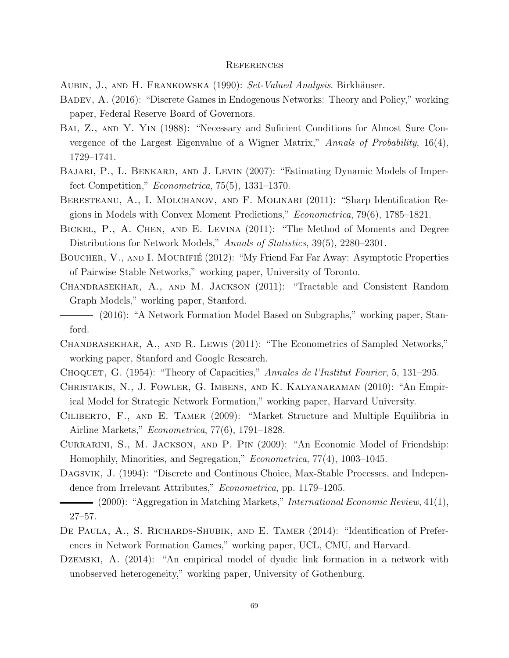#### **REFERENCES**

AUBIN, J., AND H. FRANKOWSKA (1990): Set-Valued Analysis. Birkhäuser.

- Badev, A. (2016): "Discrete Games in Endogenous Networks: Theory and Policy," working paper, Federal Reserve Board of Governors.
- Bai, Z., and Y. Yin (1988): "Necessary and Suficient Conditions for Almost Sure Convergence of the Largest Eigenvalue of a Wigner Matrix," Annals of Probability, 16(4), 1729–1741.
- Bajari, P., L. Benkard, and J. Levin (2007): "Estimating Dynamic Models of Imperfect Competition," Econometrica, 75(5), 1331–1370.
- Beresteanu, A., I. Molchanov, and F. Molinari (2011): "Sharp Identification Regions in Models with Convex Moment Predictions," Econometrica, 79(6), 1785–1821.
- Bickel, P., A. Chen, and E. Levina (2011): "The Method of Moments and Degree Distributions for Network Models," Annals of Statistics, 39(5), 2280–2301.
- BOUCHER, V., AND I. MOURIFIÉ (2012): "My Friend Far Far Away: Asymptotic Properties of Pairwise Stable Networks," working paper, University of Toronto.
- Chandrasekhar, A., and M. Jackson (2011): "Tractable and Consistent Random Graph Models," working paper, Stanford.
- (2016): "A Network Formation Model Based on Subgraphs," working paper, Stanford.
- Chandrasekhar, A., and R. Lewis (2011): "The Econometrics of Sampled Networks," working paper, Stanford and Google Research.
- CHOQUET, G. (1954): "Theory of Capacities," Annales de l'Institut Fourier, 5, 131-295.
- Christakis, N., J. Fowler, G. Imbens, and K. Kalyanaraman (2010): "An Empirical Model for Strategic Network Formation," working paper, Harvard University.
- Ciliberto, F., and E. Tamer (2009): "Market Structure and Multiple Equilibria in Airline Markets," Econometrica, 77(6), 1791–1828.
- Currarini, S., M. Jackson, and P. Pin (2009): "An Economic Model of Friendship: Homophily, Minorities, and Segregation," Econometrica, 77(4), 1003–1045.
- Dagsvik, J. (1994): "Discrete and Continous Choice, Max-Stable Processes, and Independence from Irrelevant Attributes," Econometrica, pp. 1179–1205.
- $-$  (2000): "Aggregation in Matching Markets," *International Economic Review*, 41(1), 27–57.
- DE PAULA, A., S. RICHARDS-SHUBIK, AND E. TAMER (2014): "Identification of Preferences in Network Formation Games," working paper, UCL, CMU, and Harvard.
- Dzemski, A. (2014): "An empirical model of dyadic link formation in a network with unobserved heterogeneity," working paper, University of Gothenburg.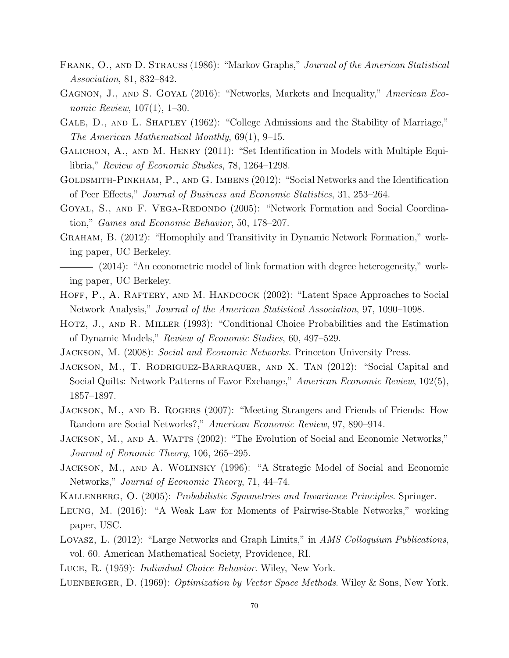- Frank, O., and D. Strauss (1986): "Markov Graphs," Journal of the American Statistical Association, 81, 832–842.
- GAGNON, J., AND S. GOYAL (2016): "Networks, Markets and Inequality," American Economic Review, 107(1), 1–30.
- GALE, D., AND L. SHAPLEY (1962): "College Admissions and the Stability of Marriage," The American Mathematical Monthly, 69(1), 9–15.
- Galichon, A., and M. Henry (2011): "Set Identification in Models with Multiple Equilibria," Review of Economic Studies, 78, 1264–1298.
- GOLDSMITH-PINKHAM, P., AND G. IMBENS (2012): "Social Networks and the Identification of Peer Effects," Journal of Business and Economic Statistics, 31, 253–264.
- GOYAL, S., AND F. VEGA-REDONDO (2005): "Network Formation and Social Coordination," Games and Economic Behavior, 50, 178–207.
- Graham, B. (2012): "Homophily and Transitivity in Dynamic Network Formation," working paper, UC Berkeley.
- (2014): "An econometric model of link formation with degree heterogeneity," working paper, UC Berkeley.
- HOFF, P., A. RAFTERY, AND M. HANDCOCK (2002): "Latent Space Approaches to Social Network Analysis," Journal of the American Statistical Association, 97, 1090–1098.
- Hotz, J., and R. Miller (1993): "Conditional Choice Probabilities and the Estimation of Dynamic Models," Review of Economic Studies, 60, 497–529.
- Jackson, M. (2008): Social and Economic Networks. Princeton University Press.
- JACKSON, M., T. RODRIGUEZ-BARRAQUER, AND X. TAN (2012): "Social Capital and Social Quilts: Network Patterns of Favor Exchange," American Economic Review, 102(5), 1857–1897.
- Jackson, M., and B. Rogers (2007): "Meeting Strangers and Friends of Friends: How Random are Social Networks?," American Economic Review, 97, 890–914.
- JACKSON, M., AND A. WATTS (2002): "The Evolution of Social and Economic Networks," Journal of Eonomic Theory, 106, 265–295.
- Jackson, M., and A. Wolinsky (1996): "A Strategic Model of Social and Economic Networks," Journal of Economic Theory, 71, 44–74.
- KALLENBERG, O. (2005): Probabilistic Symmetries and Invariance Principles. Springer.
- Leung, M. (2016): "A Weak Law for Moments of Pairwise-Stable Networks," working paper, USC.
- Lovasz, L. (2012): "Large Networks and Graph Limits," in AMS Colloquium Publications, vol. 60. American Mathematical Society, Providence, RI.
- Luce, R. (1959): Individual Choice Behavior. Wiley, New York.
- LUENBERGER, D. (1969): *Optimization by Vector Space Methods*. Wiley & Sons, New York.